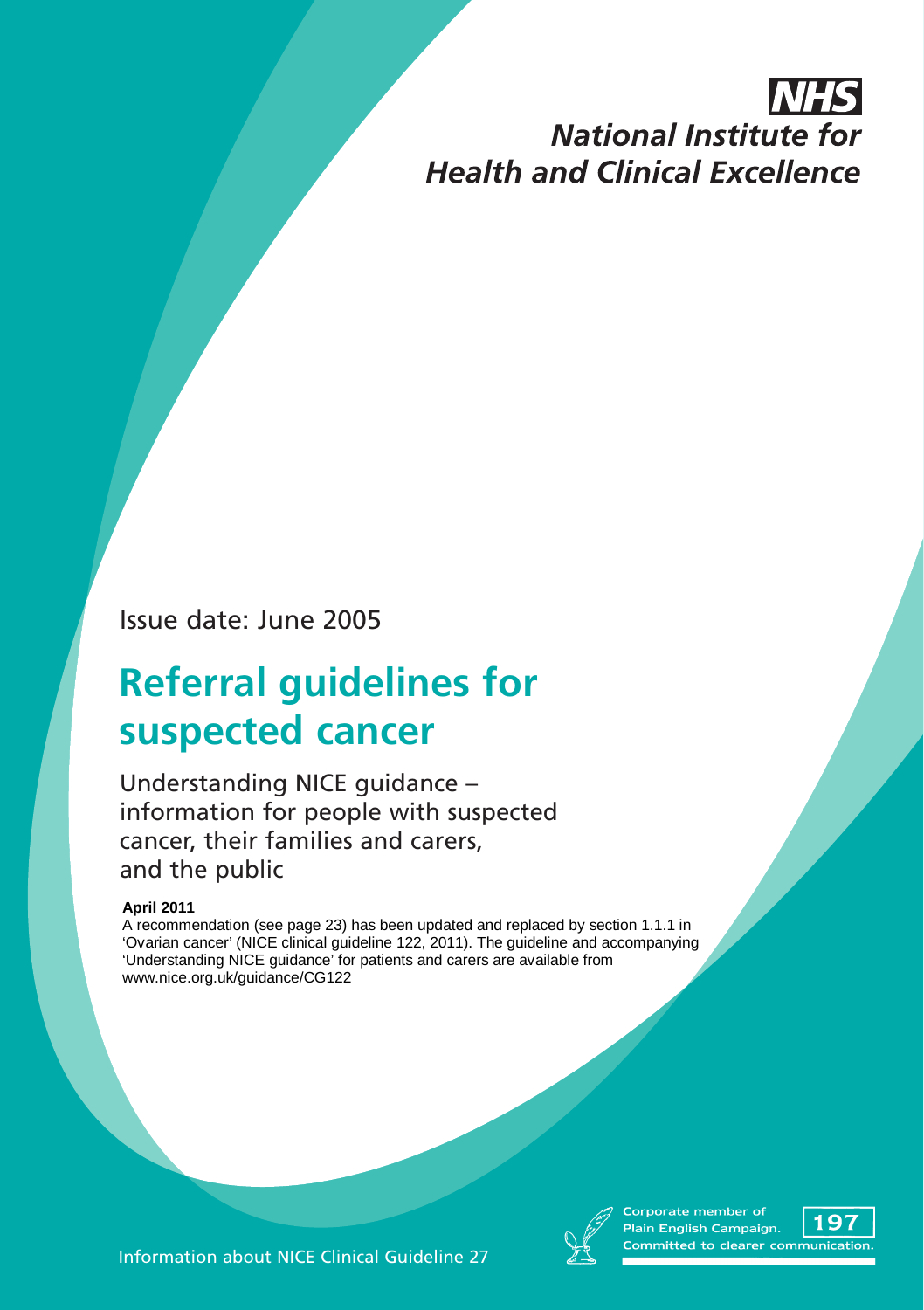# IN H **National Institute for Health and Clinical Excellence**

Issue date: June 2005

# **Referral guidelines for suspected cancer**

Understanding NICE guidance – information for people with suspected cancer, their families and carers, and the public

#### **April 2011**

A recommendation (see page 23) has been updated and replaced by section 1.1.1 in 'Ovarian cancer' (NICE clinical guideline 122, 2011). The guideline and accompanying 'Understanding NICE guidance' for patients and carers are available from www.nice.org.uk/guidance/CG122



Corporate member of  $\circ$ in English Campaign. mmitted to clearer commu

Information about NICE Clinical Guideline 27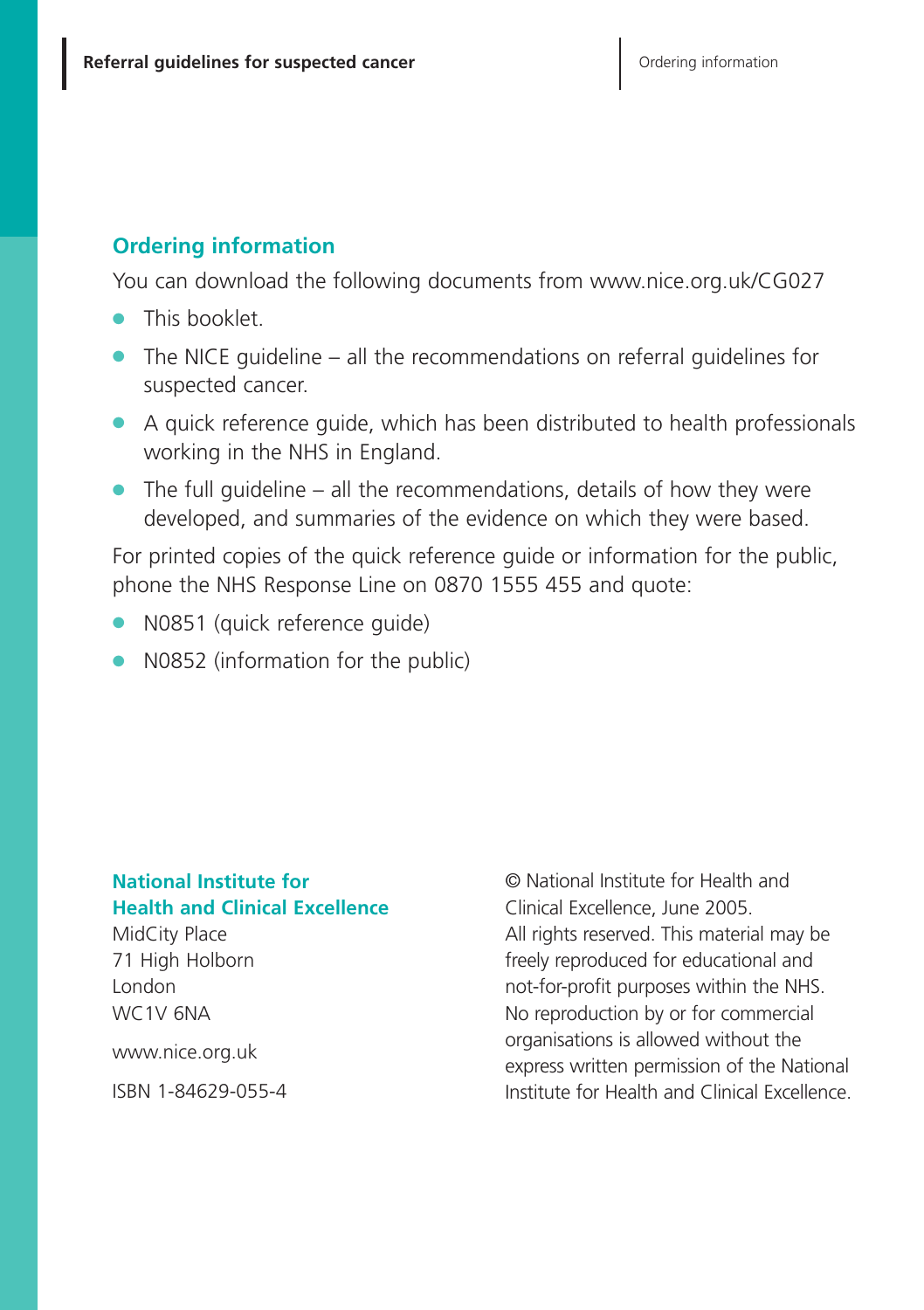#### **Ordering information**

You can download the following documents from www.nice.org.uk/CG027

- **●** This booklet.
- **●** The NICE guideline all the recommendations on referral guidelines for suspected cancer.
- **●** A quick reference guide, which has been distributed to health professionals working in the NHS in England.
- **●** The full guideline all the recommendations, details of how they were developed, and summaries of the evidence on which they were based.

For printed copies of the quick reference guide or information for the public, phone the NHS Response Line on 0870 1555 455 and quote:

- **●** N0851 (quick reference guide)
- **●** N0852 (information for the public)

#### **National Institute for Health and Clinical Excellence**

MidCity Place 71 High Holborn London WC1V 6NA

www.nice.org.uk

ISBN 1-84629-055-4

© National Institute for Health and Clinical Excellence, June 2005. All rights reserved. This material may be freely reproduced for educational and not-for-profit purposes within the NHS. No reproduction by or for commercial organisations is allowed without the express written permission of the National Institute for Health and Clinical Excellence.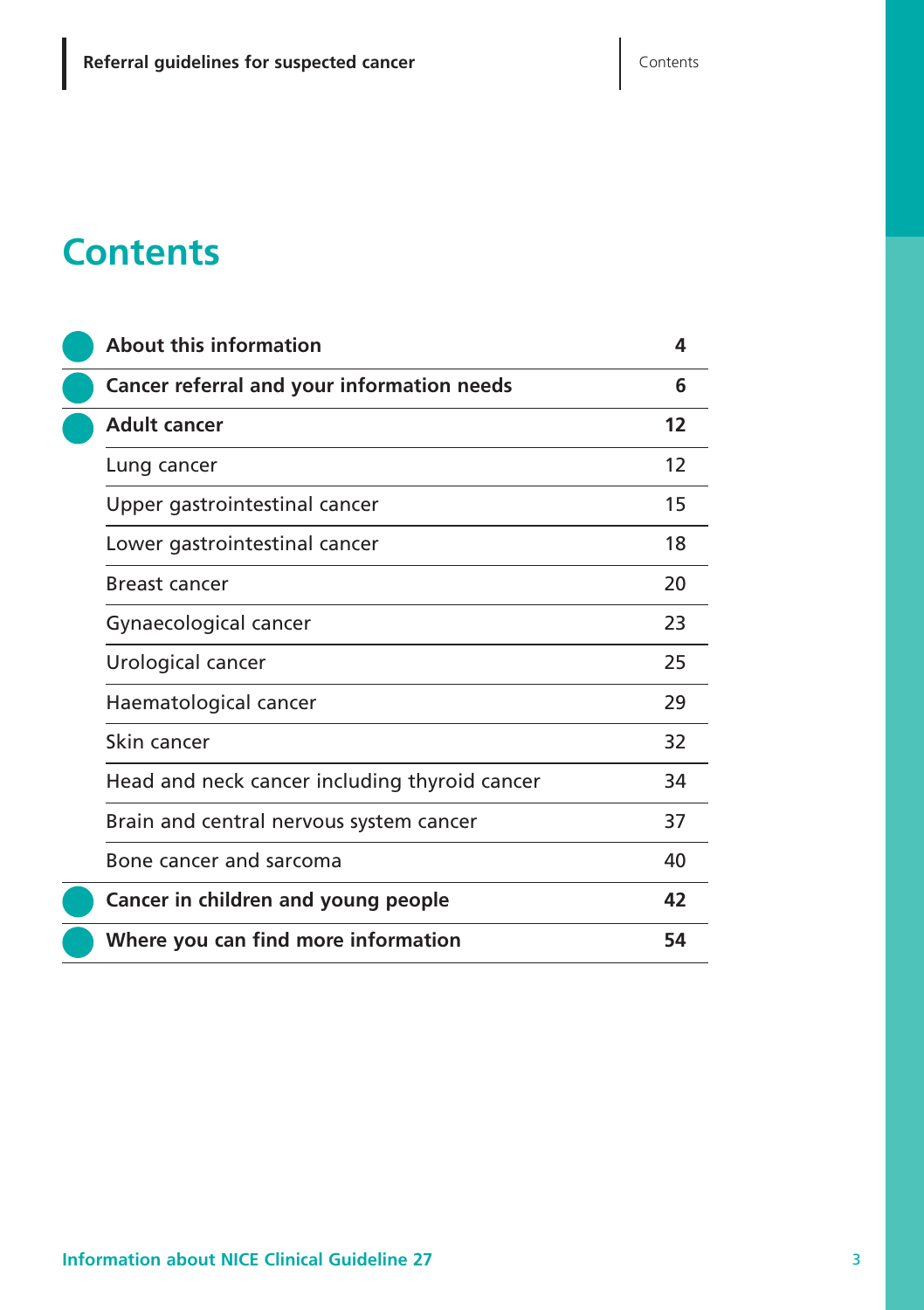# **Contents**

|  | <b>About this information</b>                 | 4  |
|--|-----------------------------------------------|----|
|  | Cancer referral and your information needs    | 6  |
|  | <b>Adult cancer</b>                           | 12 |
|  | Lung cancer                                   | 12 |
|  | Upper gastrointestinal cancer                 | 15 |
|  | Lower gastrointestinal cancer                 | 18 |
|  | Breast cancer                                 | 20 |
|  | Gynaecological cancer                         | 23 |
|  | Urological cancer                             | 25 |
|  | Haematological cancer                         | 29 |
|  | Skin cancer                                   | 32 |
|  | Head and neck cancer including thyroid cancer | 34 |
|  | Brain and central nervous system cancer       | 37 |
|  | Bone cancer and sarcoma                       | 40 |
|  | Cancer in children and young people           | 42 |
|  | Where you can find more information           | 54 |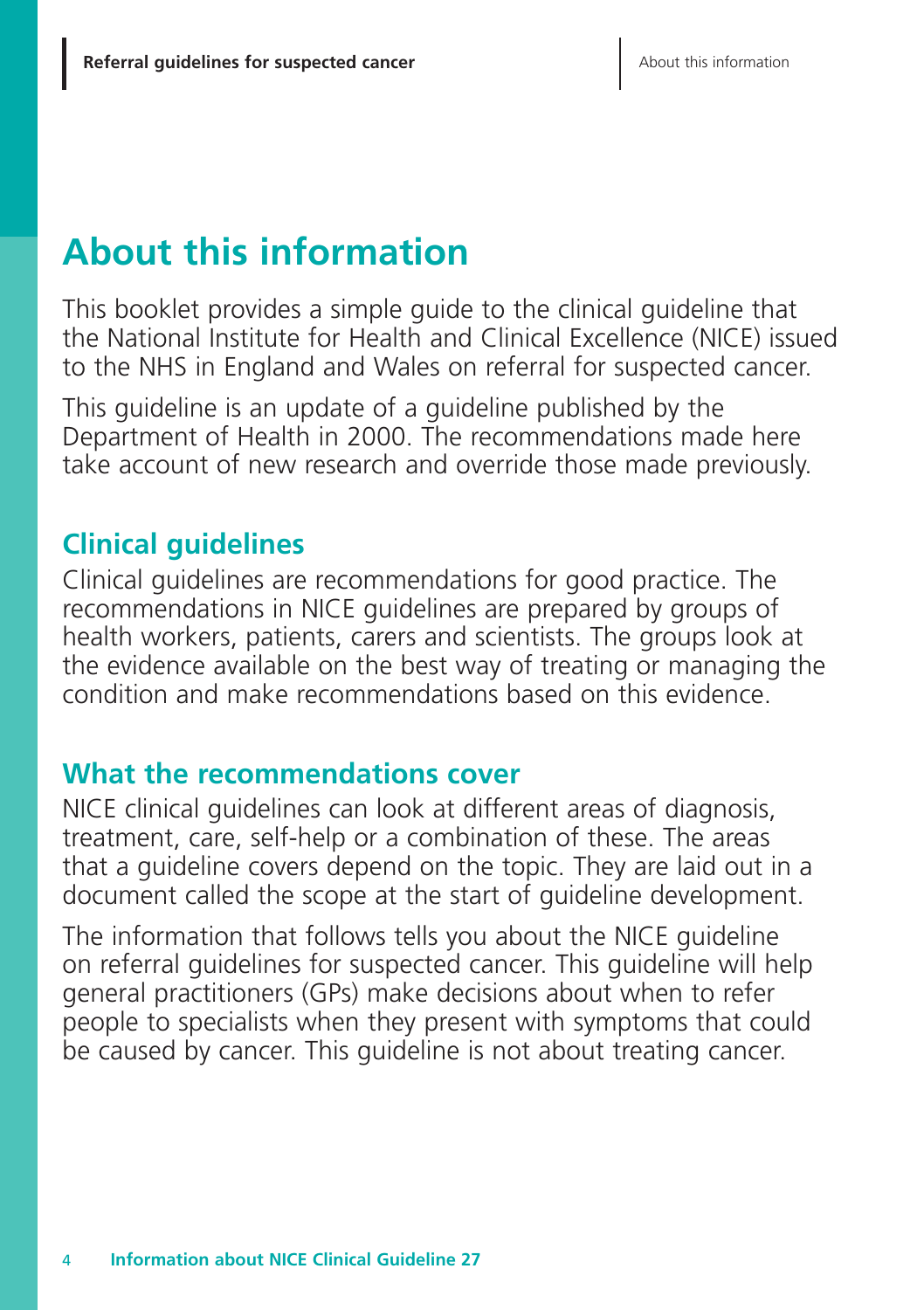# **About this information**

This booklet provides a simple guide to the clinical guideline that the National Institute for Health and Clinical Excellence (NICE) issued to the NHS in England and Wales on referral for suspected cancer.

This guideline is an update of a guideline published by the Department of Health in 2000. The recommendations made here take account of new research and override those made previously.

# **Clinical guidelines**

Clinical guidelines are recommendations for good practice. The recommendations in NICE guidelines are prepared by groups of health workers, patients, carers and scientists. The groups look at the evidence available on the best way of treating or managing the condition and make recommendations based on this evidence.

# **What the recommendations cover**

NICE clinical guidelines can look at different areas of diagnosis, treatment, care, self-help or a combination of these. The areas that a guideline covers depend on the topic. They are laid out in a document called the scope at the start of guideline development.

The information that follows tells you about the NICE guideline on referral guidelines for suspected cancer. This guideline will help general practitioners (GPs) make decisions about when to refer people to specialists when they present with symptoms that could be caused by cancer. This guideline is not about treating cancer.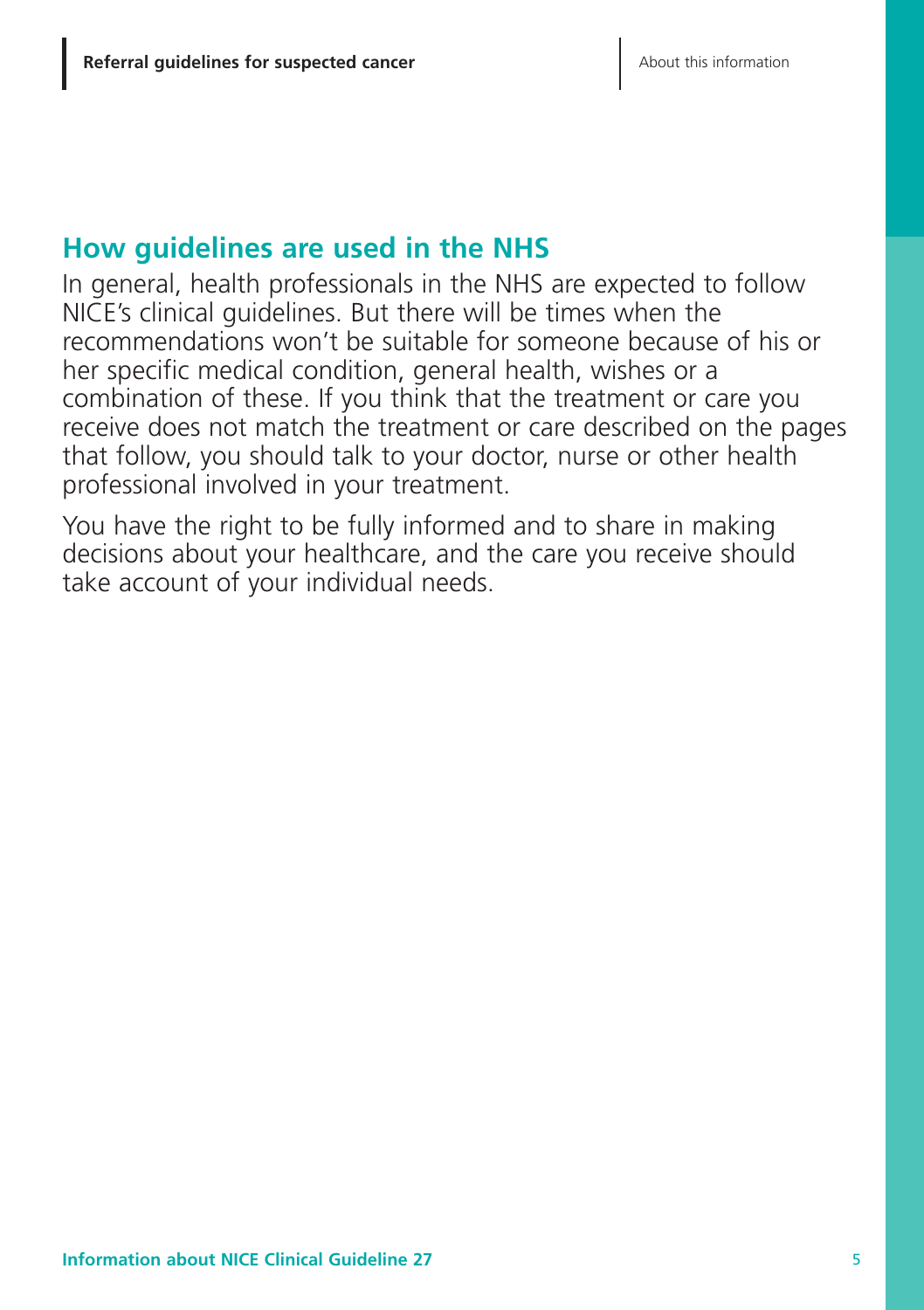## **How guidelines are used in the NHS**

In general, health professionals in the NHS are expected to follow NICE's clinical guidelines. But there will be times when the recommendations won't be suitable for someone because of his or her specific medical condition, general health, wishes or a combination of these. If you think that the treatment or care you receive does not match the treatment or care described on the pages that follow, you should talk to your doctor, nurse or other health professional involved in your treatment.

You have the right to be fully informed and to share in making decisions about your healthcare, and the care you receive should take account of your individual needs.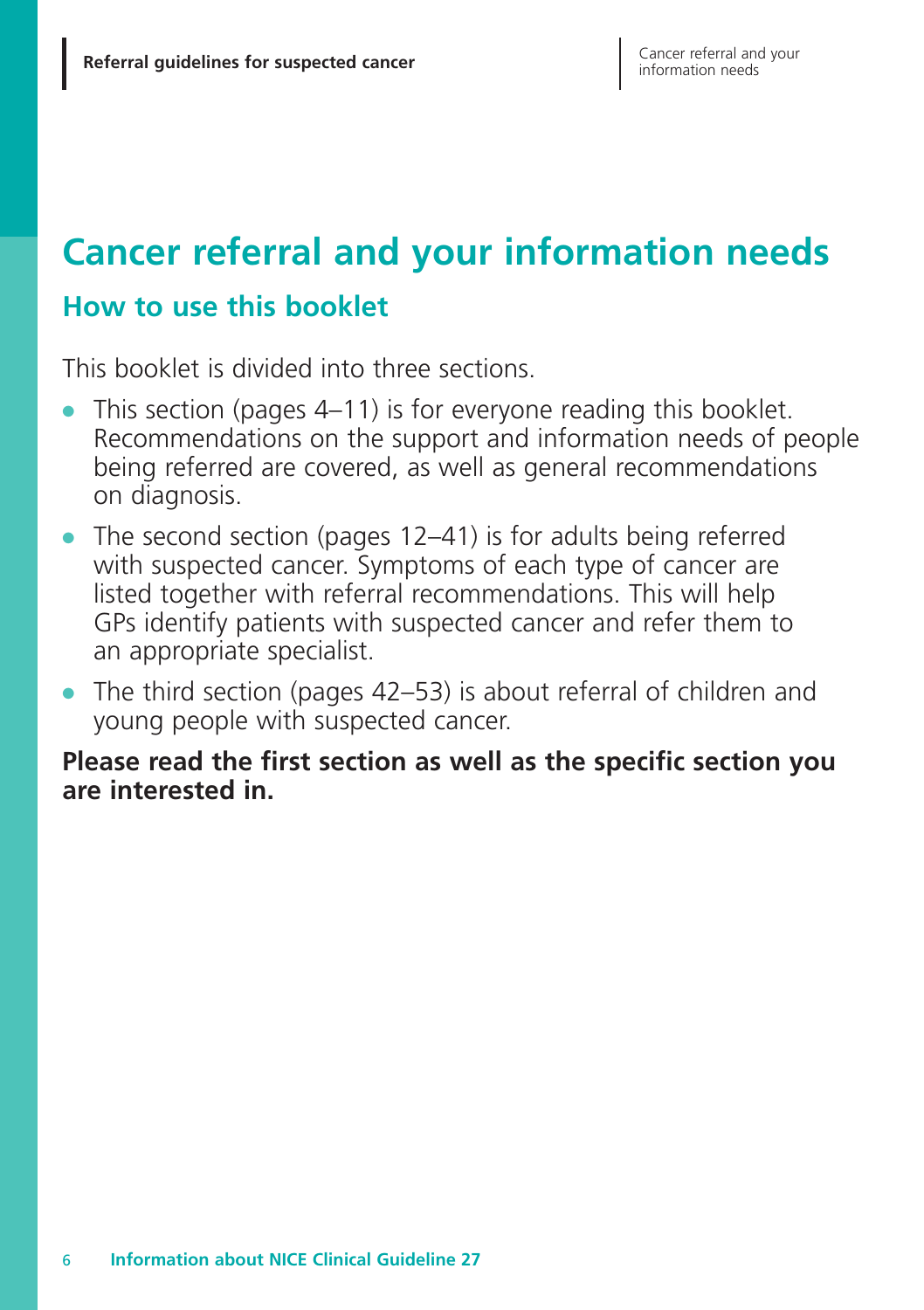# **Cancer referral and your information needs**

## **How to use this booklet**

This booklet is divided into three sections.

- This section (pages 4–11) is for everyone reading this booklet. Recommendations on the support and information needs of people being referred are covered, as well as general recommendations on diagnosis.
- **●** The second section (pages 12–41) is for adults being referred with suspected cancer. Symptoms of each type of cancer are listed together with referral recommendations. This will help GPs identify patients with suspected cancer and refer them to an appropriate specialist.
- **●** The third section (pages 42–53) is about referral of children and young people with suspected cancer.

#### **Please read the first section as well as the specific section you are interested in.**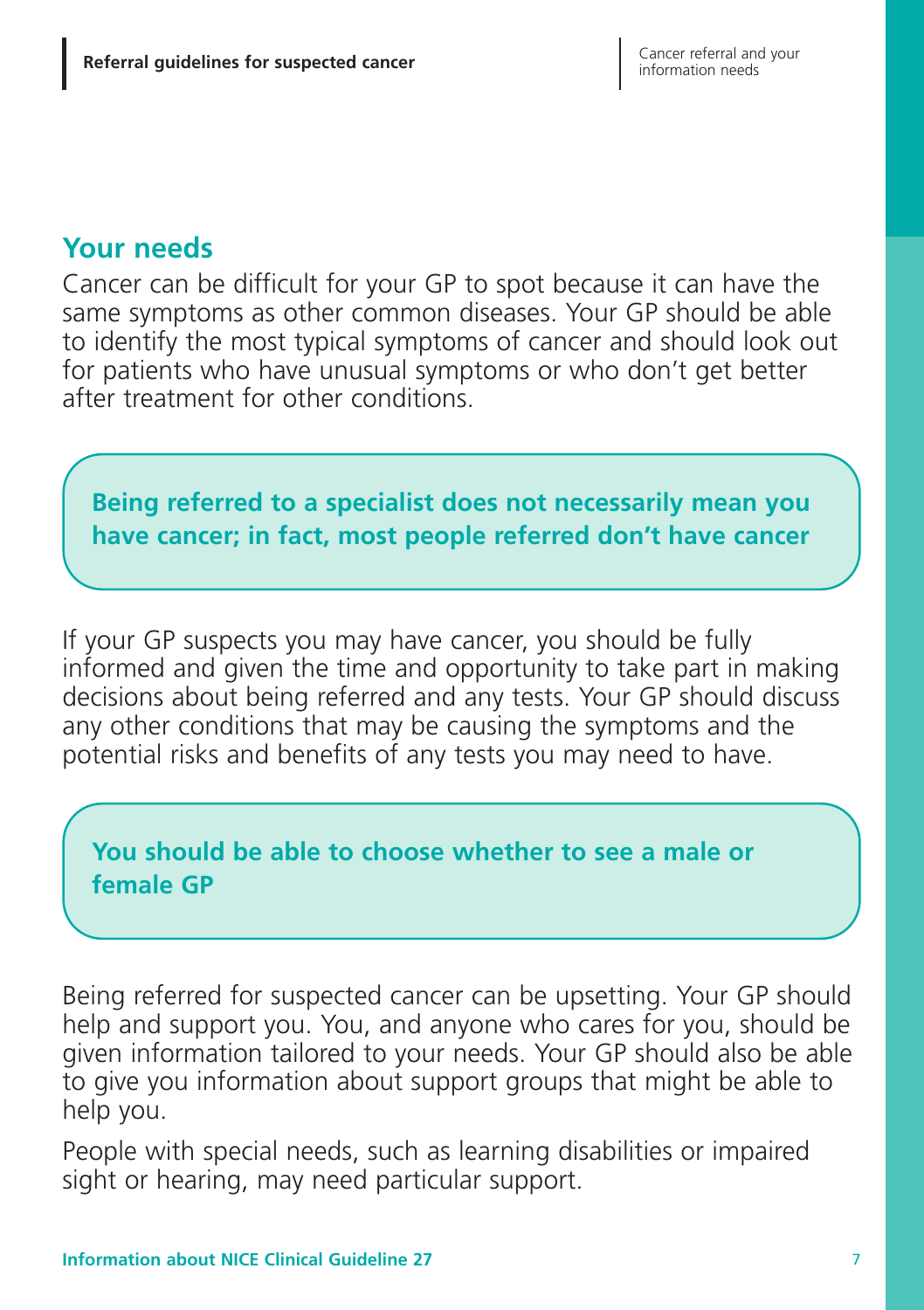## **Your needs**

Cancer can be difficult for your GP to spot because it can have the same symptoms as other common diseases. Your GP should be able to identify the most typical symptoms of cancer and should look out for patients who have unusual symptoms or who don't get better after treatment for other conditions.

### **Being referred to a specialist does not necessarily mean you have cancer; in fact, most people referred don't have cancer**

If your GP suspects you may have cancer, you should be fully informed and given the time and opportunity to take part in making decisions about being referred and any tests. Your GP should discuss any other conditions that may be causing the symptoms and the potential risks and benefits of any tests you may need to have.

### **You should be able to choose whether to see a male or female GP**

Being referred for suspected cancer can be upsetting. Your GP should help and support you. You, and anyone who cares for you, should be given information tailored to your needs. Your GP should also be able to give you information about support groups that might be able to help you.

People with special needs, such as learning disabilities or impaired sight or hearing, may need particular support.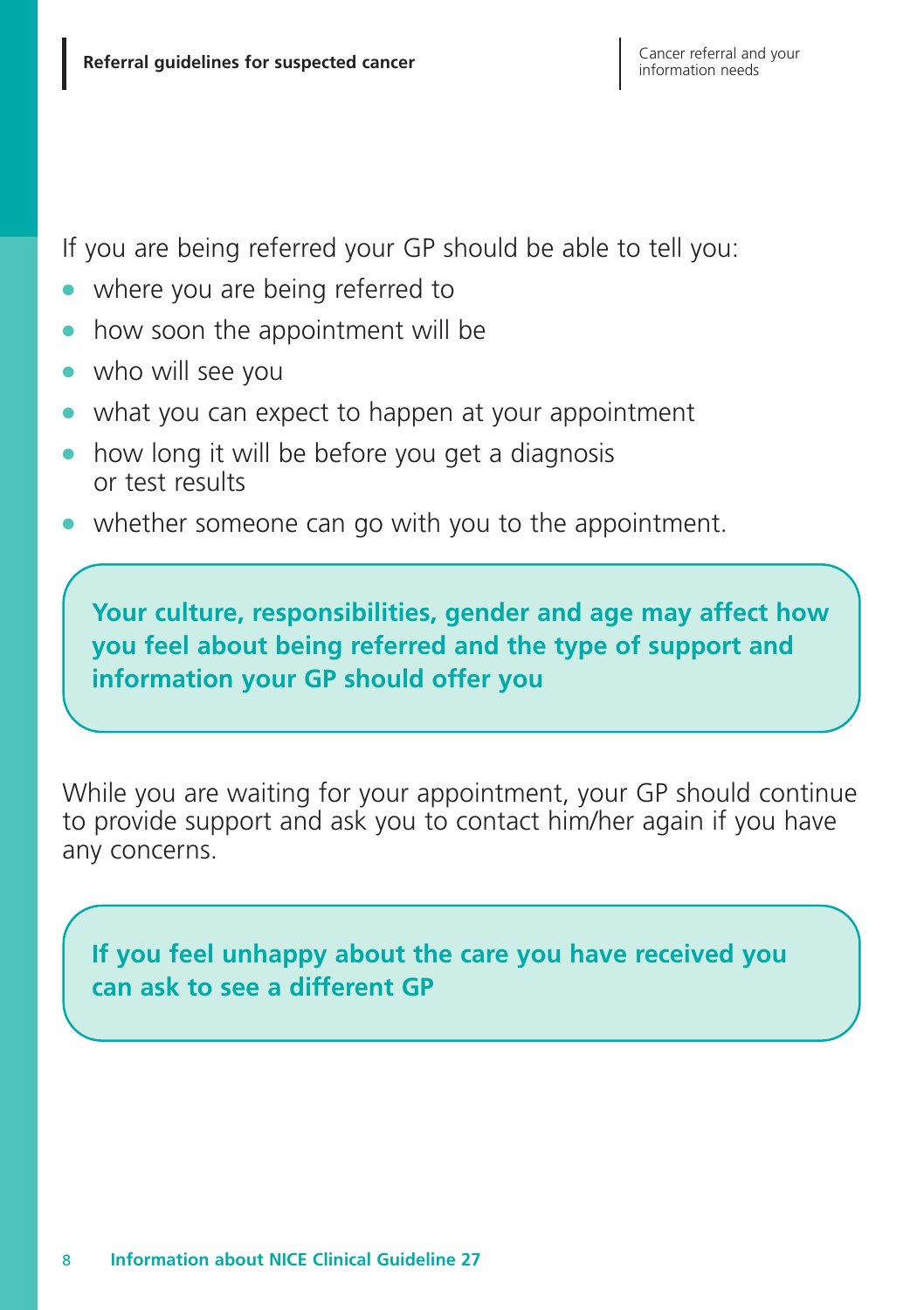If you are being referred your GP should be able to tell you:

- where you are being referred to
- **●** how soon the appointment will be
- **●** who will see you
- what you can expect to happen at your appointment
- how long it will be before you get a diagnosis or test results
- whether someone can go with you to the appointment.

**Your culture, responsibilities, gender and age may affect how you feel about being referred and the type of support and information your GP should offer you**

While you are waiting for your appointment, your GP should continue to provide support and ask you to contact him/her again if you have any concerns.

**If you feel unhappy about the care you have received you can ask to see a different GP**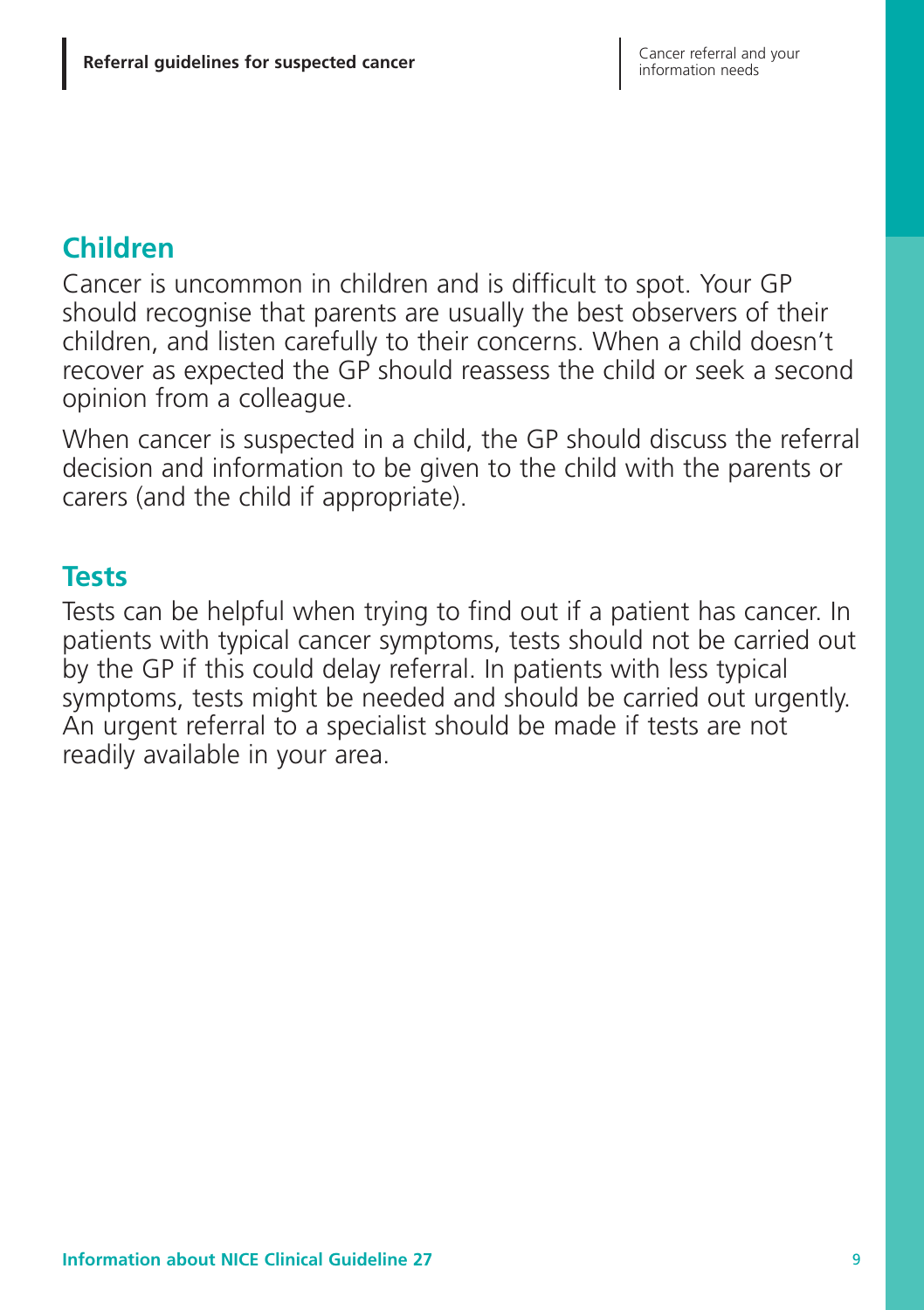# **Children**

Cancer is uncommon in children and is difficult to spot. Your GP should recognise that parents are usually the best observers of their children, and listen carefully to their concerns. When a child doesn't recover as expected the GP should reassess the child or seek a second opinion from a colleague.

When cancer is suspected in a child, the GP should discuss the referral decision and information to be given to the child with the parents or carers (and the child if appropriate).

#### **Tests**

Tests can be helpful when trying to find out if a patient has cancer. In patients with typical cancer symptoms, tests should not be carried out by the GP if this could delay referral. In patients with less typical symptoms, tests might be needed and should be carried out urgently. An urgent referral to a specialist should be made if tests are not readily available in your area.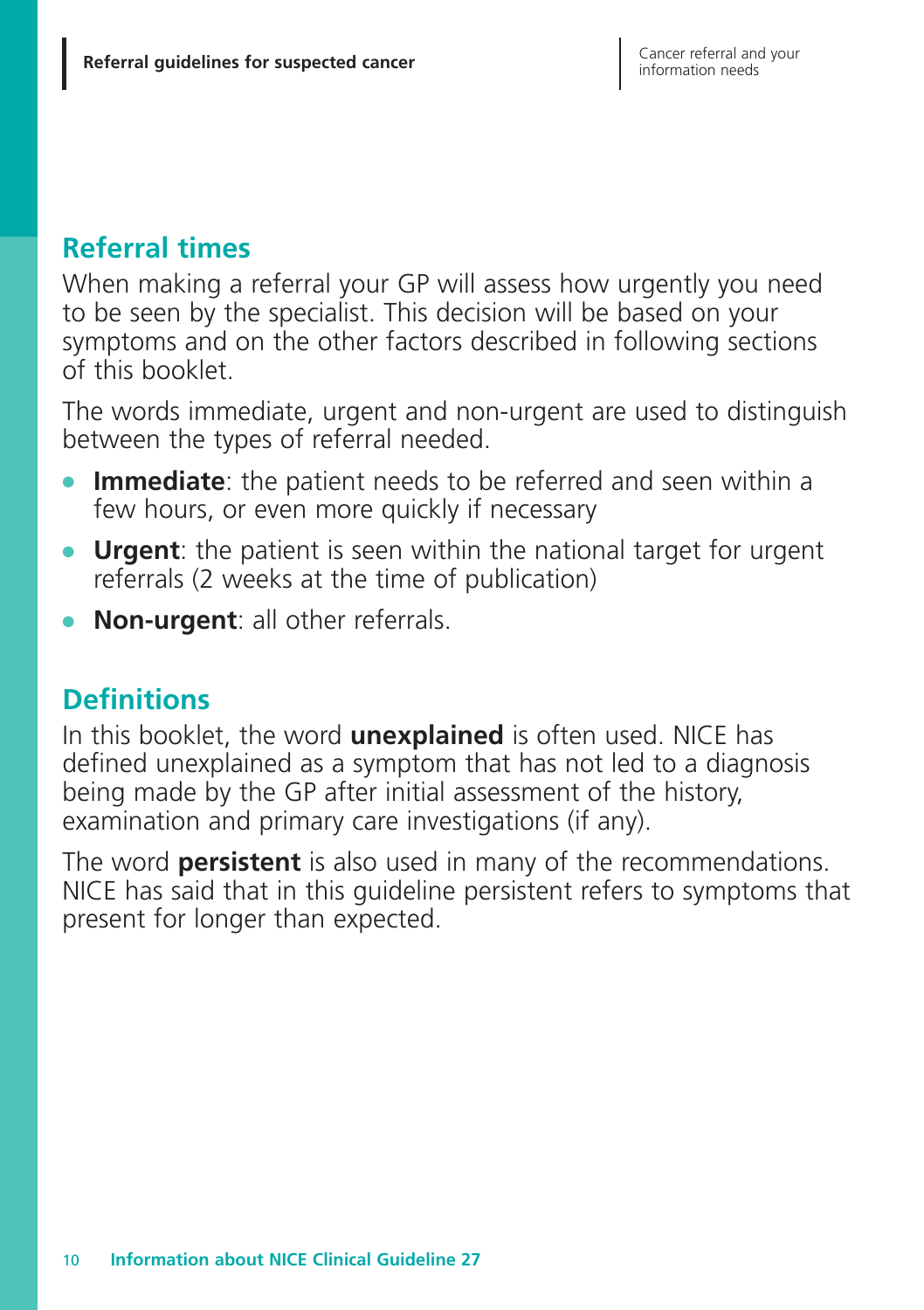# **Referral times**

When making a referral your GP will assess how urgently you need to be seen by the specialist. This decision will be based on your symptoms and on the other factors described in following sections of this booklet.

The words immediate, urgent and non-urgent are used to distinguish between the types of referral needed.

- **Immediate**: the patient needs to be referred and seen within a few hours, or even more quickly if necessary
- **Urgent:** the patient is seen within the national target for urgent referrals (2 weeks at the time of publication)
- **Non-urgent**: all other referrals.

# **Definitions**

In this booklet, the word **unexplained** is often used. NICE has defined unexplained as a symptom that has not led to a diagnosis being made by the GP after initial assessment of the history, examination and primary care investigations (if any).

The word **persistent** is also used in many of the recommendations. NICE has said that in this guideline persistent refers to symptoms that present for longer than expected.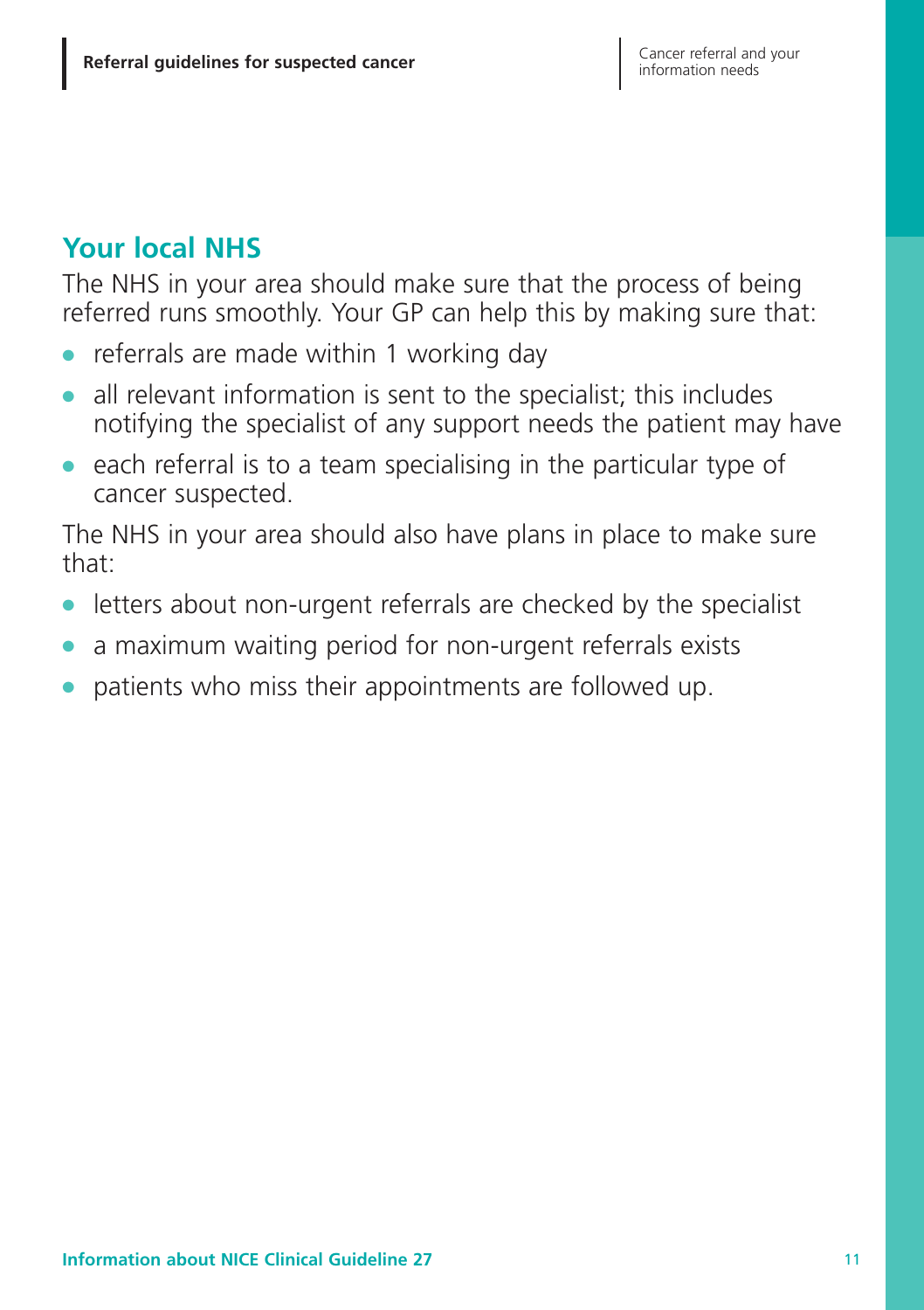# **Your local NHS**

The NHS in your area should make sure that the process of being referred runs smoothly. Your GP can help this by making sure that:

- **●** referrals are made within 1 working day
- **●** all relevant information is sent to the specialist; this includes notifying the specialist of any support needs the patient may have
- **●** each referral is to a team specialising in the particular type of cancer suspected.

The NHS in your area should also have plans in place to make sure that:

- letters about non-urgent referrals are checked by the specialist
- **●** a maximum waiting period for non-urgent referrals exists
- **●** patients who miss their appointments are followed up.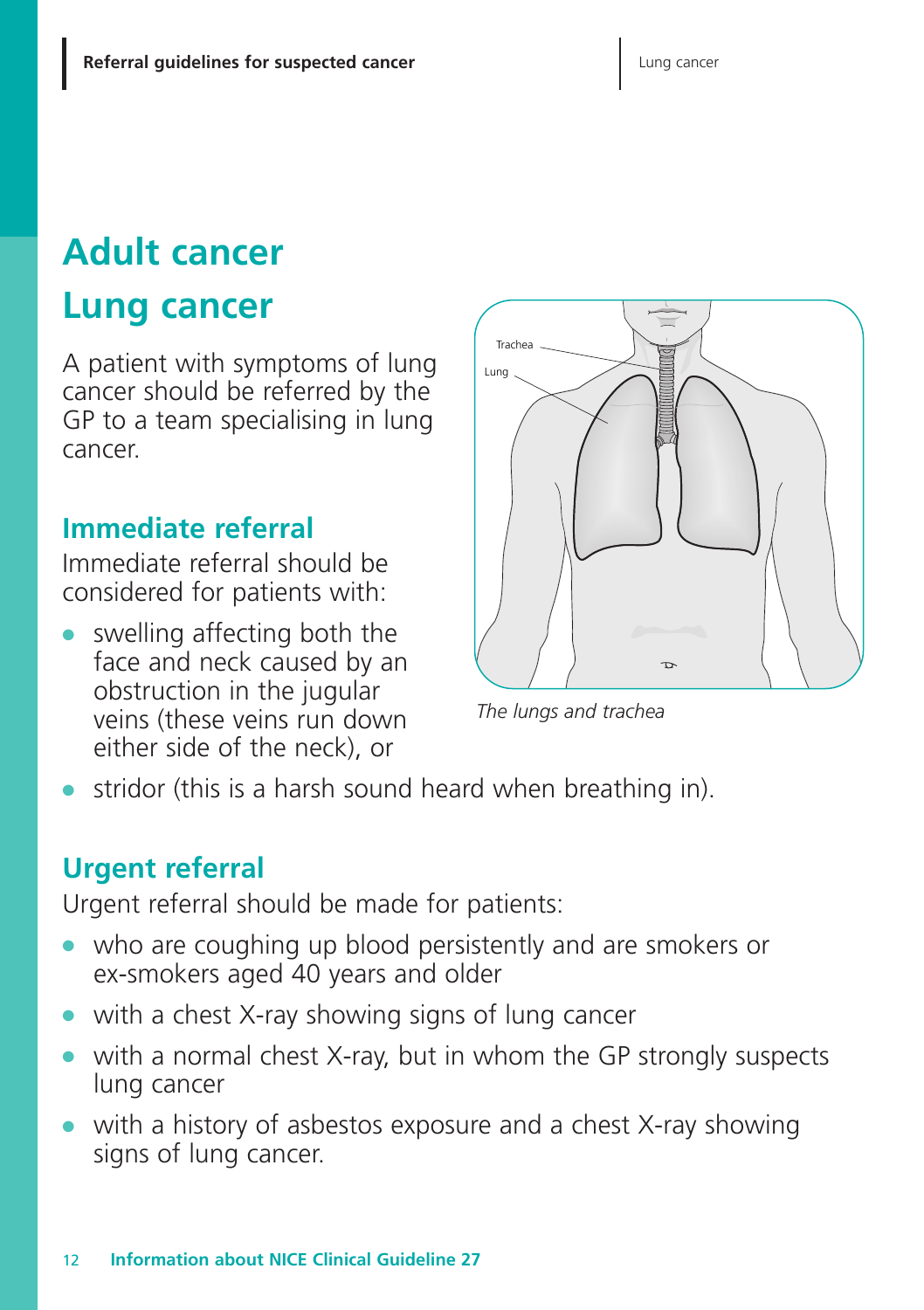# **Adult cancer**

# **Lung cancer**

A patient with symptoms of lung cancer should be referred by the GP to a team specialising in lung cancer.

## **Immediate referral**

Immediate referral should be considered for patients with:

swelling affecting both the face and neck caused by an obstruction in the jugular veins (these veins run down either side of the neck), or



*The lungs and trachea*

stridor (this is a harsh sound heard when breathing in).

# **Urgent referral**

Urgent referral should be made for patients:

- who are coughing up blood persistently and are smokers or ex-smokers aged 40 years and older
- **●** with a chest X-ray showing signs of lung cancer
- **●** with a normal chest X-ray, but in whom the GP strongly suspects lung cancer
- with a history of asbestos exposure and a chest X-ray showing signs of lung cancer.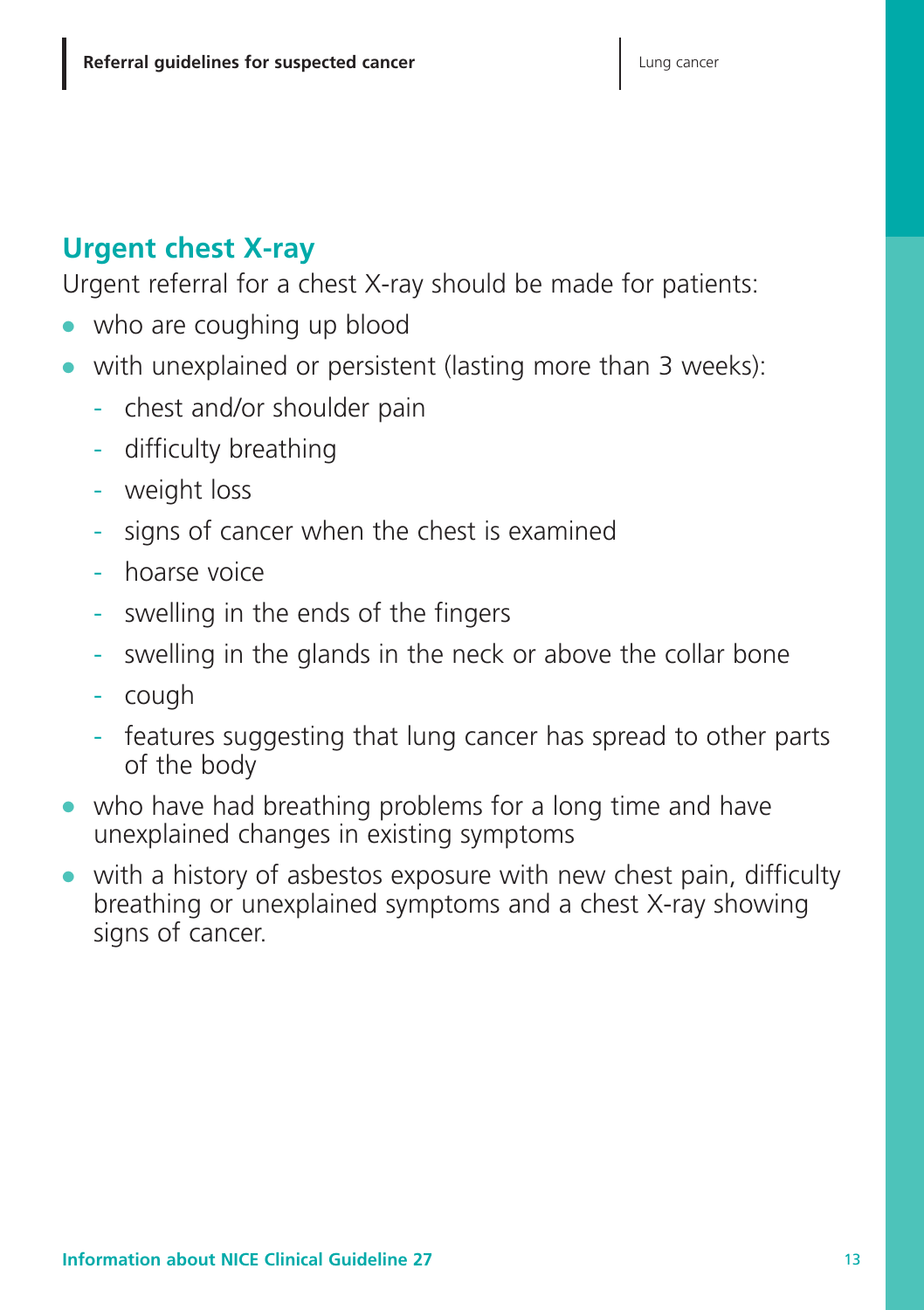# **Urgent chest X-ray**

Urgent referral for a chest X-ray should be made for patients:

- **●** who are coughing up blood
- **●** with unexplained or persistent (lasting more than 3 weeks):
	- chest and/or shoulder pain
	- difficulty breathing
	- weight loss
	- signs of cancer when the chest is examined
	- hoarse voice
	- swelling in the ends of the fingers
	- swelling in the glands in the neck or above the collar bone
	- cough
	- features suggesting that lung cancer has spread to other parts of the body
- **●** who have had breathing problems for a long time and have unexplained changes in existing symptoms
- **●** with a history of asbestos exposure with new chest pain, difficulty breathing or unexplained symptoms and a chest X-ray showing signs of cancer.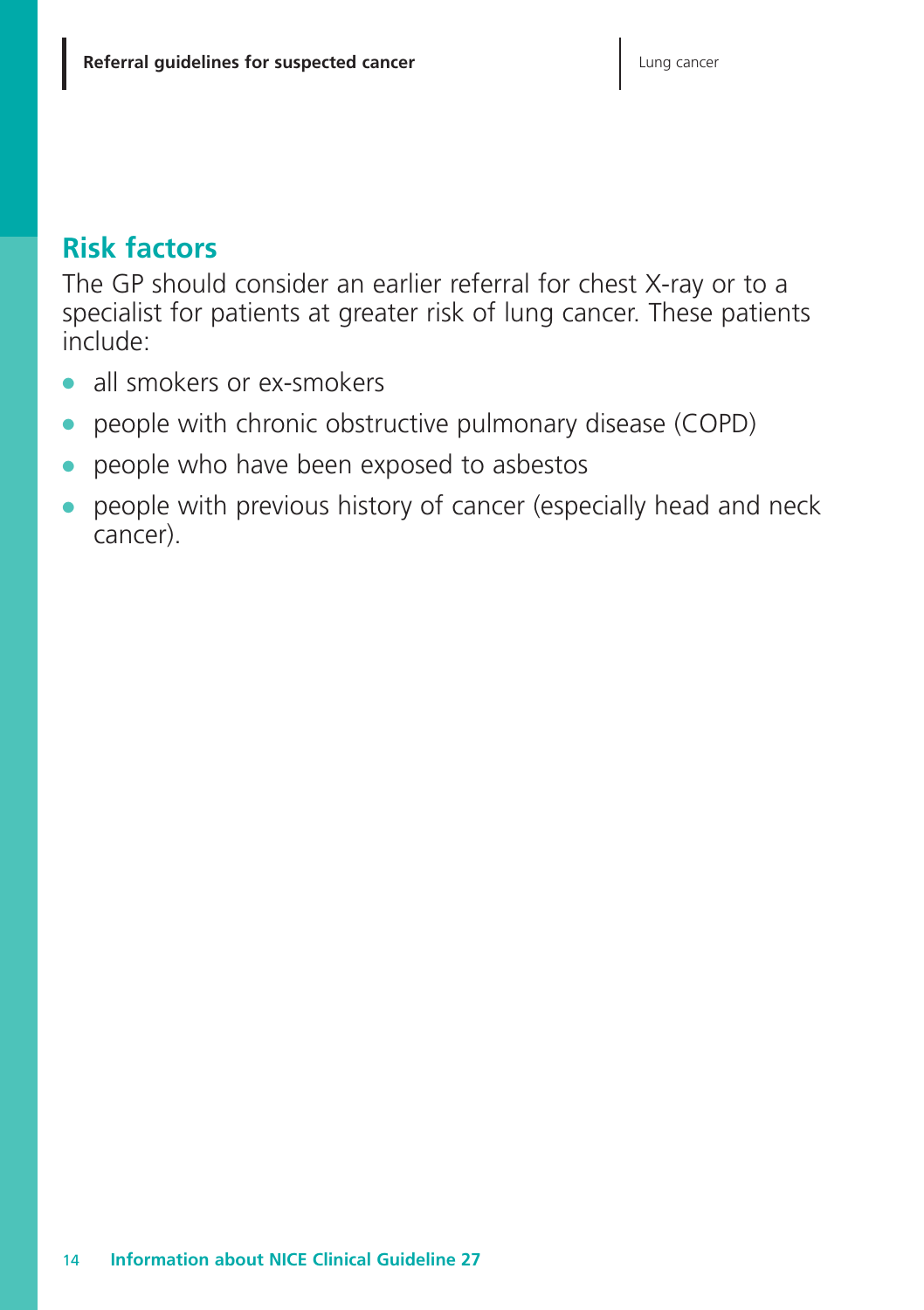## **Risk factors**

The GP should consider an earlier referral for chest X-ray or to a specialist for patients at greater risk of lung cancer. These patients include:

- **●** all smokers or ex-smokers
- people with chronic obstructive pulmonary disease (COPD)
- people who have been exposed to asbestos
- people with previous history of cancer (especially head and neck cancer).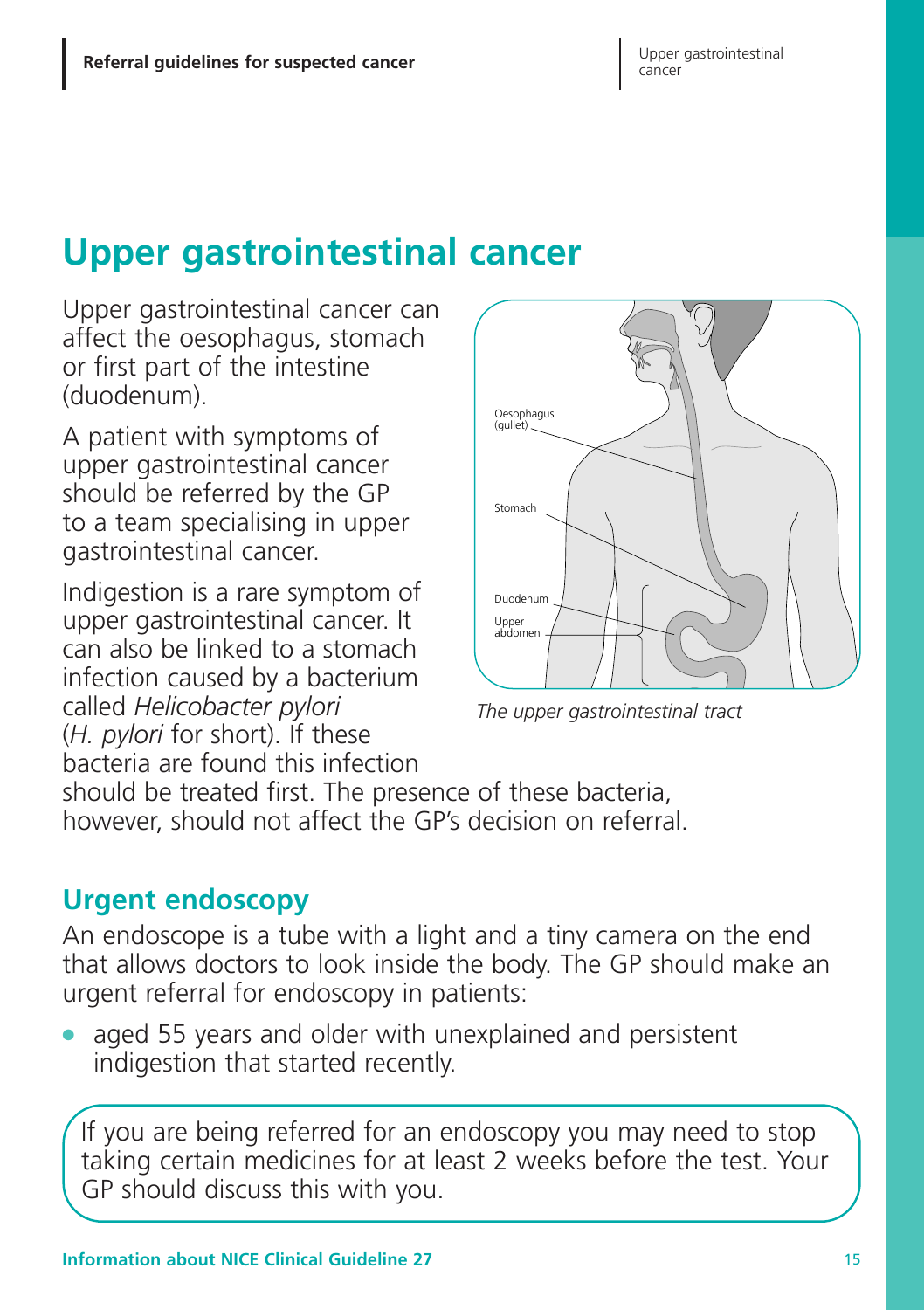# **Upper gastrointestinal cancer**

Upper gastrointestinal cancer can affect the oesophagus, stomach or first part of the intestine (duodenum).

A patient with symptoms of upper gastrointestinal cancer should be referred by the GP to a team specialising in upper gastrointestinal cancer.

Indigestion is a rare symptom of upper gastrointestinal cancer. It can also be linked to a stomach infection caused by a bacterium called *Helicobacter pylori* (*H. pylori* for short). If these bacteria are found this infection



*The upper gastrointestinal tract*

should be treated first. The presence of these bacteria, however, should not affect the GP's decision on referral.

# **Urgent endoscopy**

An endoscope is a tube with a light and a tiny camera on the end that allows doctors to look inside the body. The GP should make an urgent referral for endoscopy in patients:

aged 55 years and older with unexplained and persistent indigestion that started recently.

If you are being referred for an endoscopy you may need to stop taking certain medicines for at least 2 weeks before the test. Your GP should discuss this with you.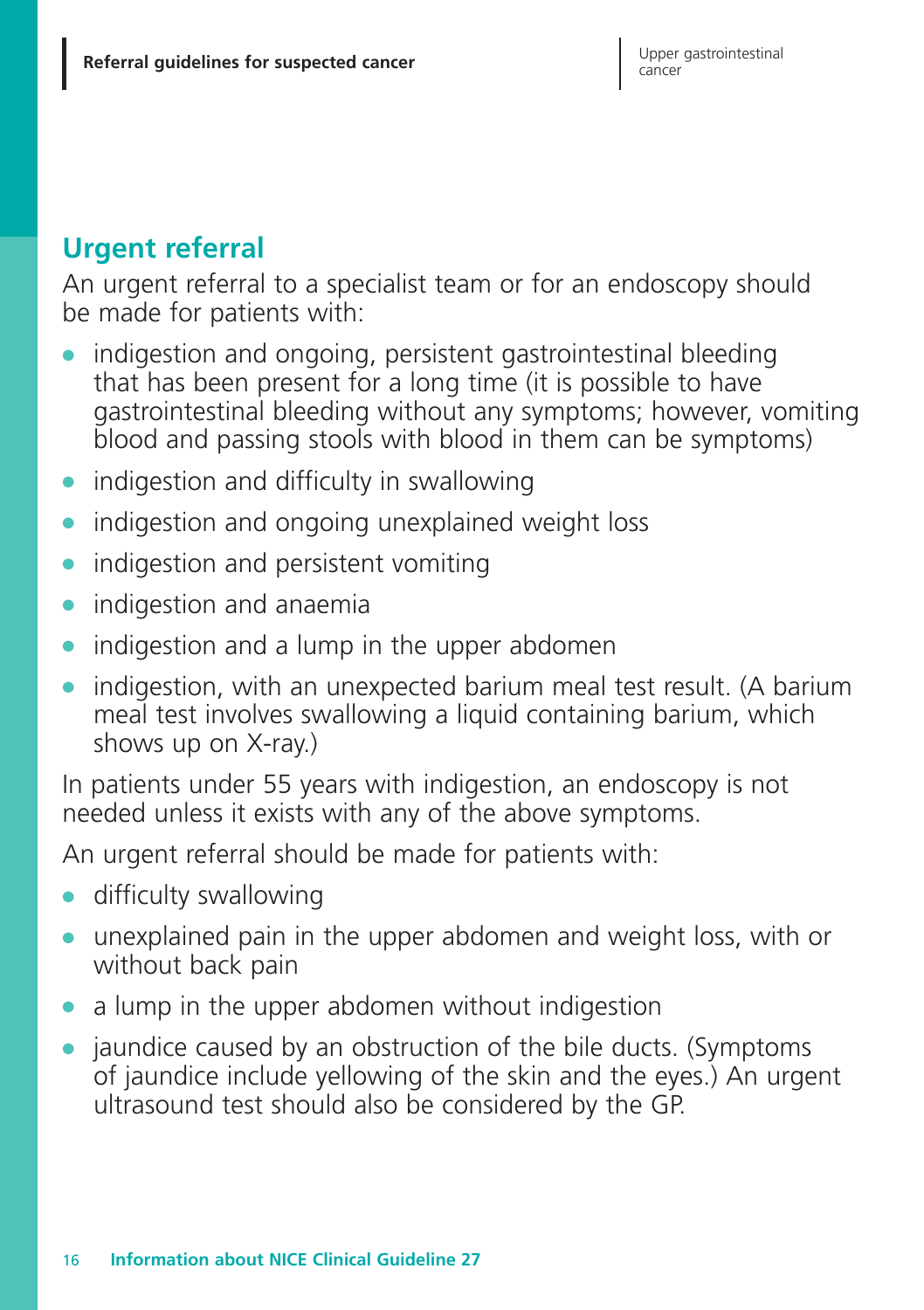# **Urgent referral**

An urgent referral to a specialist team or for an endoscopy should be made for patients with:

- **●** indigestion and ongoing, persistent gastrointestinal bleeding that has been present for a long time (it is possible to have gastrointestinal bleeding without any symptoms; however, vomiting blood and passing stools with blood in them can be symptoms)
- **●** indigestion and difficulty in swallowing
- **●** indigestion and ongoing unexplained weight loss
- **●** indigestion and persistent vomiting
- **●** indigestion and anaemia
- **●** indigestion and a lump in the upper abdomen
- indigestion, with an unexpected barium meal test result. (A barium meal test involves swallowing a liquid containing barium, which shows up on X-ray.)

In patients under 55 years with indigestion, an endoscopy is not needed unless it exists with any of the above symptoms.

An urgent referral should be made for patients with:

- **●** difficulty swallowing
- **●** unexplained pain in the upper abdomen and weight loss, with or without back pain
- a lump in the upper abdomen without indigestion
- **●** jaundice caused by an obstruction of the bile ducts. (Symptoms of jaundice include yellowing of the skin and the eyes.) An urgent ultrasound test should also be considered by the GP.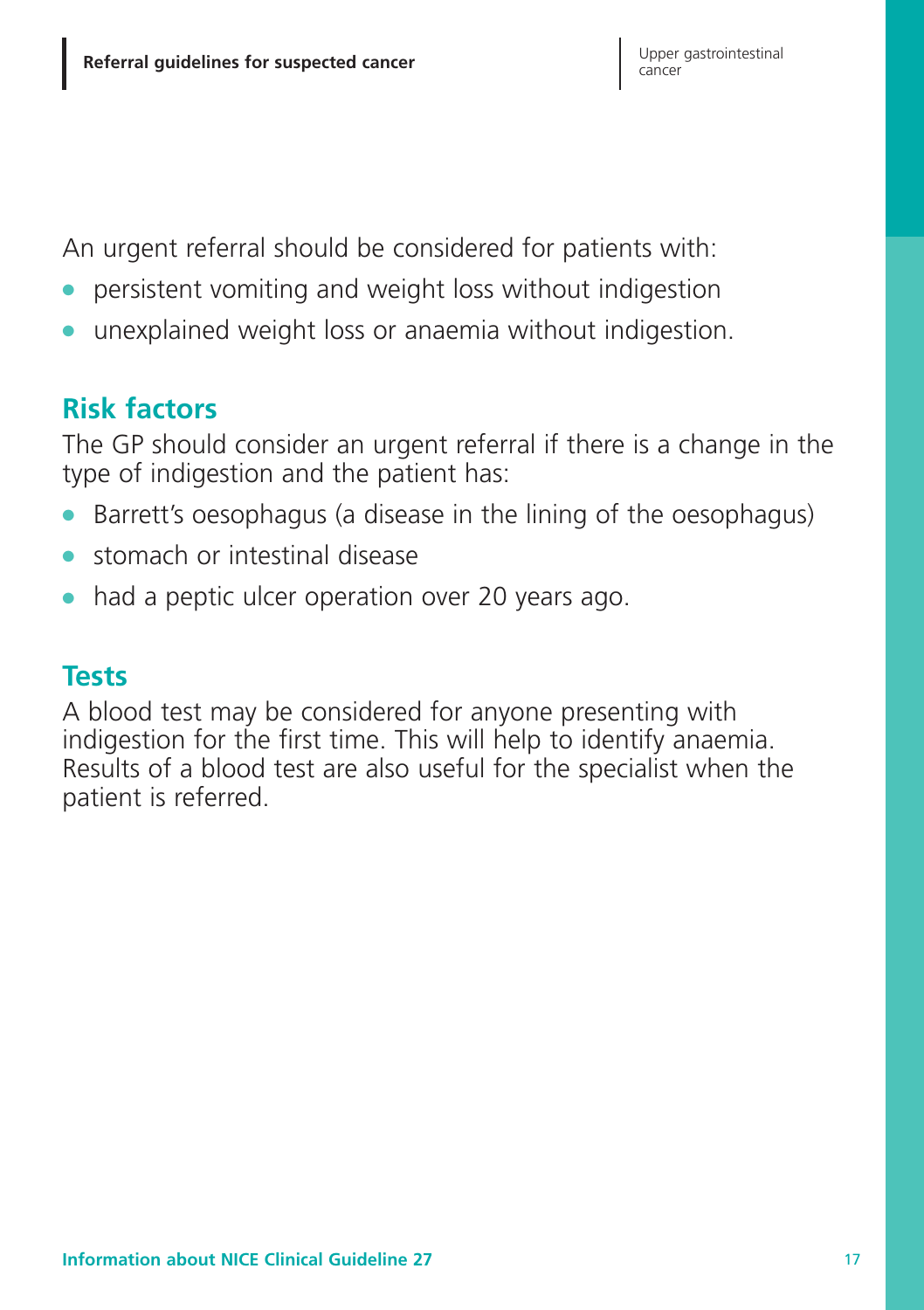An urgent referral should be considered for patients with:

- **●** persistent vomiting and weight loss without indigestion
- **●** unexplained weight loss or anaemia without indigestion.

# **Risk factors**

The GP should consider an urgent referral if there is a change in the type of indigestion and the patient has:

- **●** Barrett's oesophagus (a disease in the lining of the oesophagus)
- **●** stomach or intestinal disease
- had a peptic ulcer operation over 20 years ago.

## **Tests**

A blood test may be considered for anyone presenting with indigestion for the first time. This will help to identify anaemia. Results of a blood test are also useful for the specialist when the patient is referred.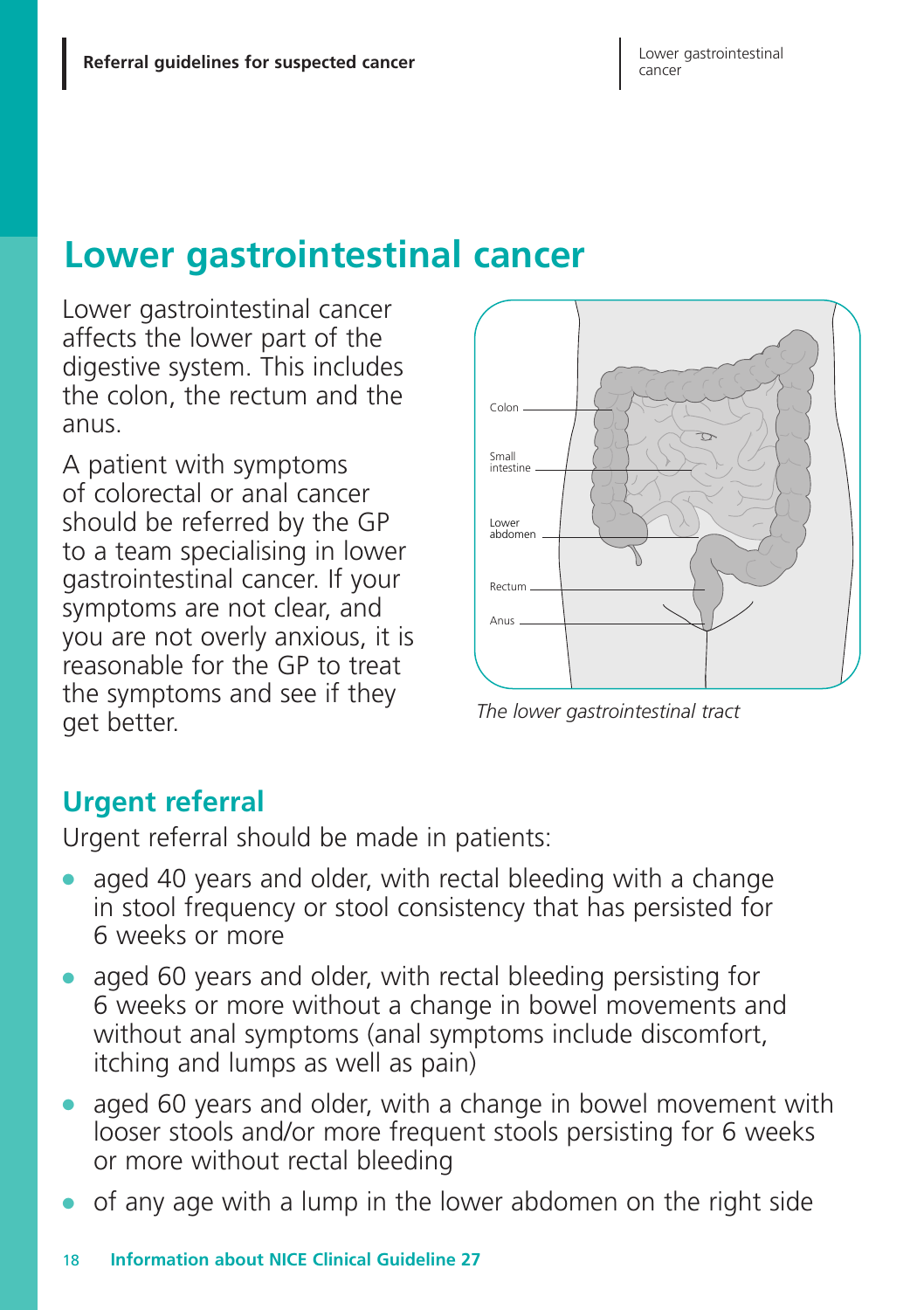# **Lower gastrointestinal cancer**

Lower gastrointestinal cancer affects the lower part of the digestive system. This includes the colon, the rectum and the anus.

A patient with symptoms of colorectal or anal cancer should be referred by the GP to a team specialising in lower gastrointestinal cancer. If your symptoms are not clear, and you are not overly anxious, it is reasonable for the GP to treat the symptoms and see if they get better.



*The lower gastrointestinal tract*

# **Urgent referral**

Urgent referral should be made in patients:

- aged 40 years and older, with rectal bleeding with a change in stool frequency or stool consistency that has persisted for 6 weeks or more
- **●** aged 60 years and older, with rectal bleeding persisting for 6 weeks or more without a change in bowel movements and without anal symptoms (anal symptoms include discomfort, itching and lumps as well as pain)
- aged 60 years and older, with a change in bowel movement with looser stools and/or more frequent stools persisting for 6 weeks or more without rectal bleeding
- **●** of any age with a lump in the lower abdomen on the right side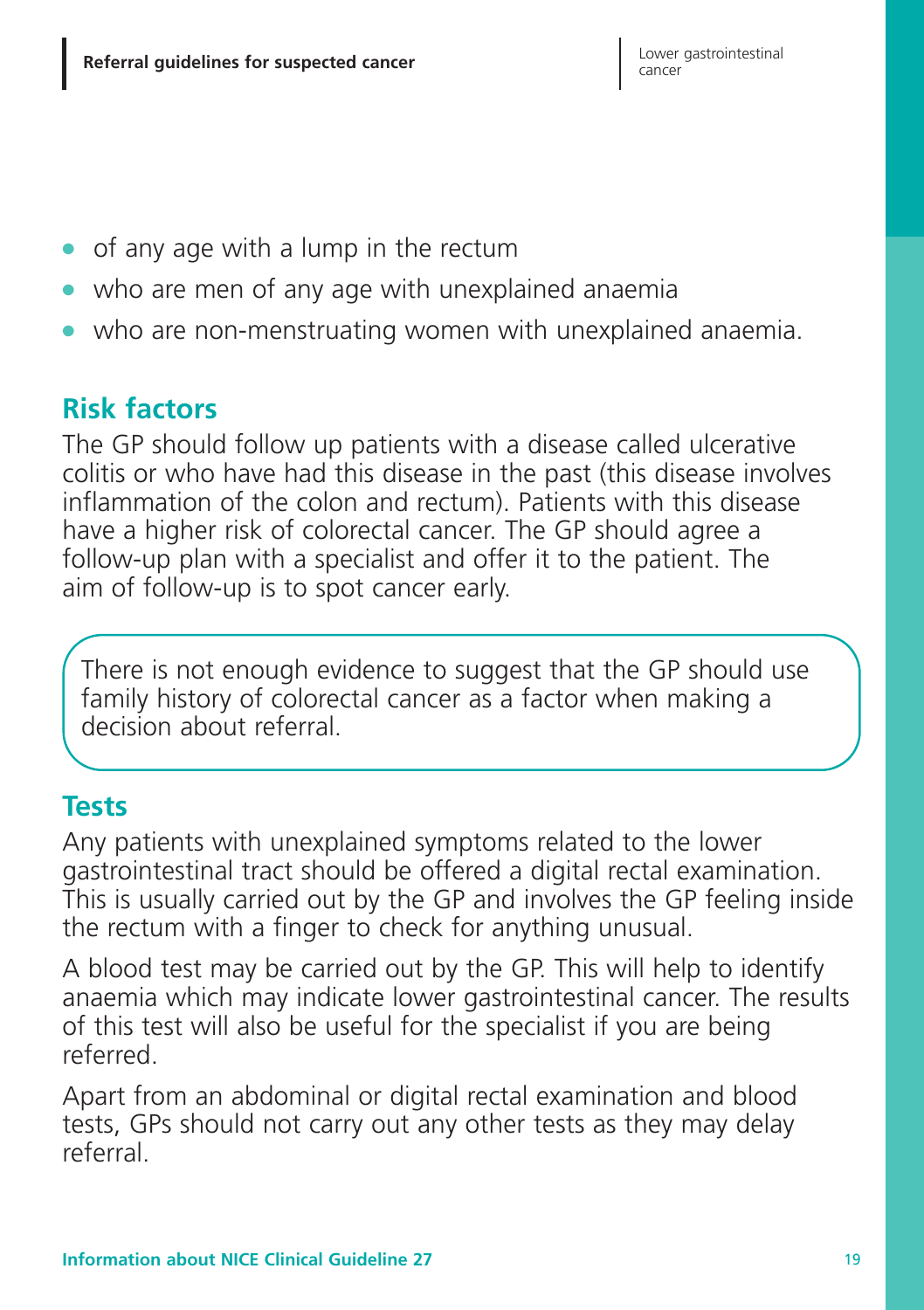- **●** of any age with a lump in the rectum
- **●** who are men of any age with unexplained anaemia
- **●** who are non-menstruating women with unexplained anaemia.

# **Risk factors**

The GP should follow up patients with a disease called ulcerative colitis or who have had this disease in the past (this disease involves inflammation of the colon and rectum). Patients with this disease have a higher risk of colorectal cancer. The GP should agree a follow-up plan with a specialist and offer it to the patient. The aim of follow-up is to spot cancer early.

There is not enough evidence to suggest that the GP should use family history of colorectal cancer as a factor when making a decision about referral.

## **Tests**

Any patients with unexplained symptoms related to the lower gastrointestinal tract should be offered a digital rectal examination. This is usually carried out by the GP and involves the GP feeling inside the rectum with a finger to check for anything unusual.

A blood test may be carried out by the GP. This will help to identify anaemia which may indicate lower gastrointestinal cancer. The results of this test will also be useful for the specialist if you are being referred.

Apart from an abdominal or digital rectal examination and blood tests, GPs should not carry out any other tests as they may delay referral.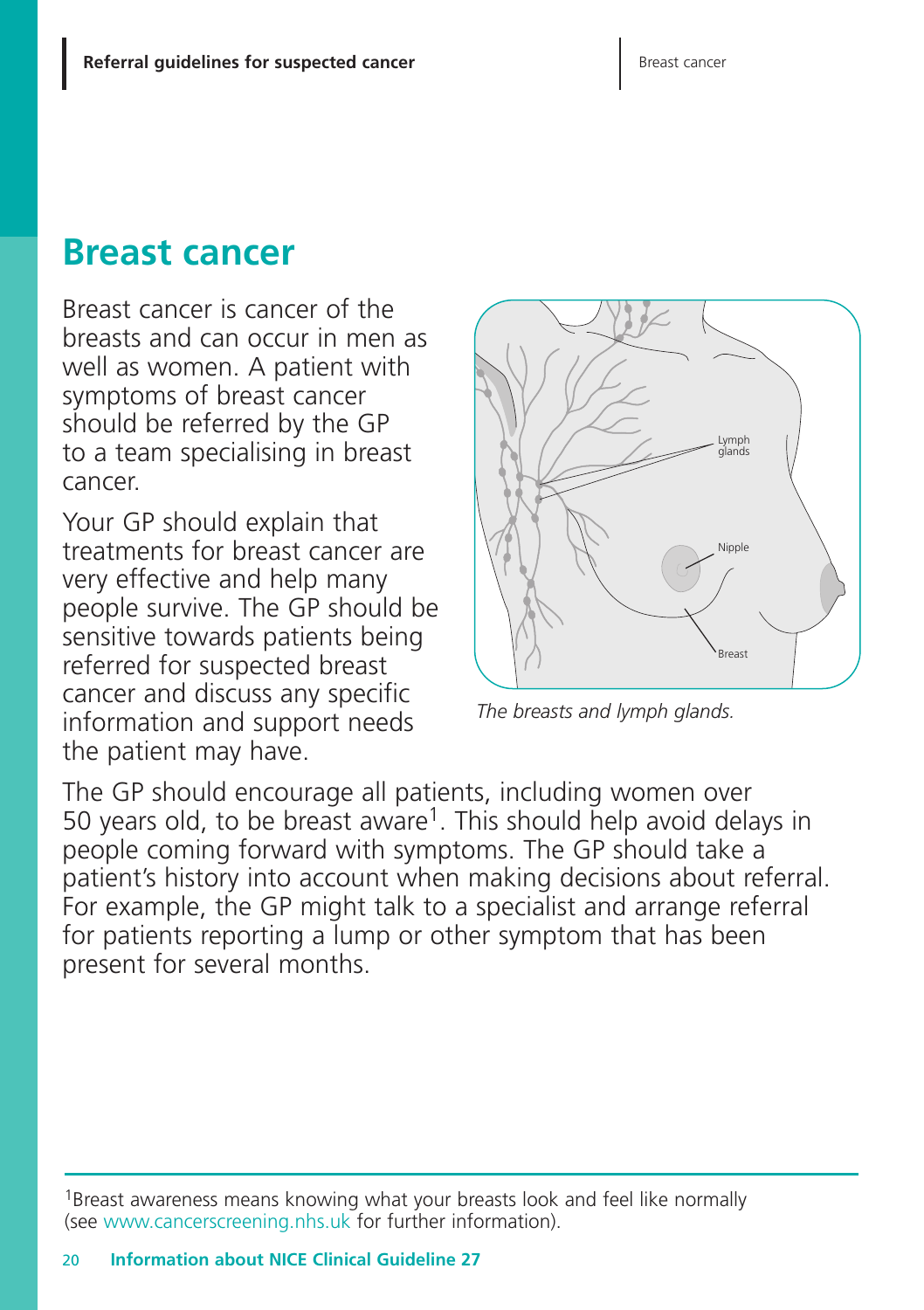# **Breast cancer**

Breast cancer is cancer of the breasts and can occur in men as well as women. A patient with symptoms of breast cancer should be referred by the GP to a team specialising in breast cancer.

Your GP should explain that treatments for breast cancer are very effective and help many people survive. The GP should be sensitive towards patients being referred for suspected breast cancer and discuss any specific information and support needs the patient may have.



*The breasts and lymph glands.*

The GP should encourage all patients, including women over 50 years old, to be breast aware<sup>1</sup>. This should help avoid delays in people coming forward with symptoms. The GP should take a patient's history into account when making decisions about referral. For example, the GP might talk to a specialist and arrange referral for patients reporting a lump or other symptom that has been present for several months.

<sup>&</sup>lt;sup>1</sup>Breast awareness means knowing what your breasts look and feel like normally (see www.cancerscreening.nhs.uk for further information).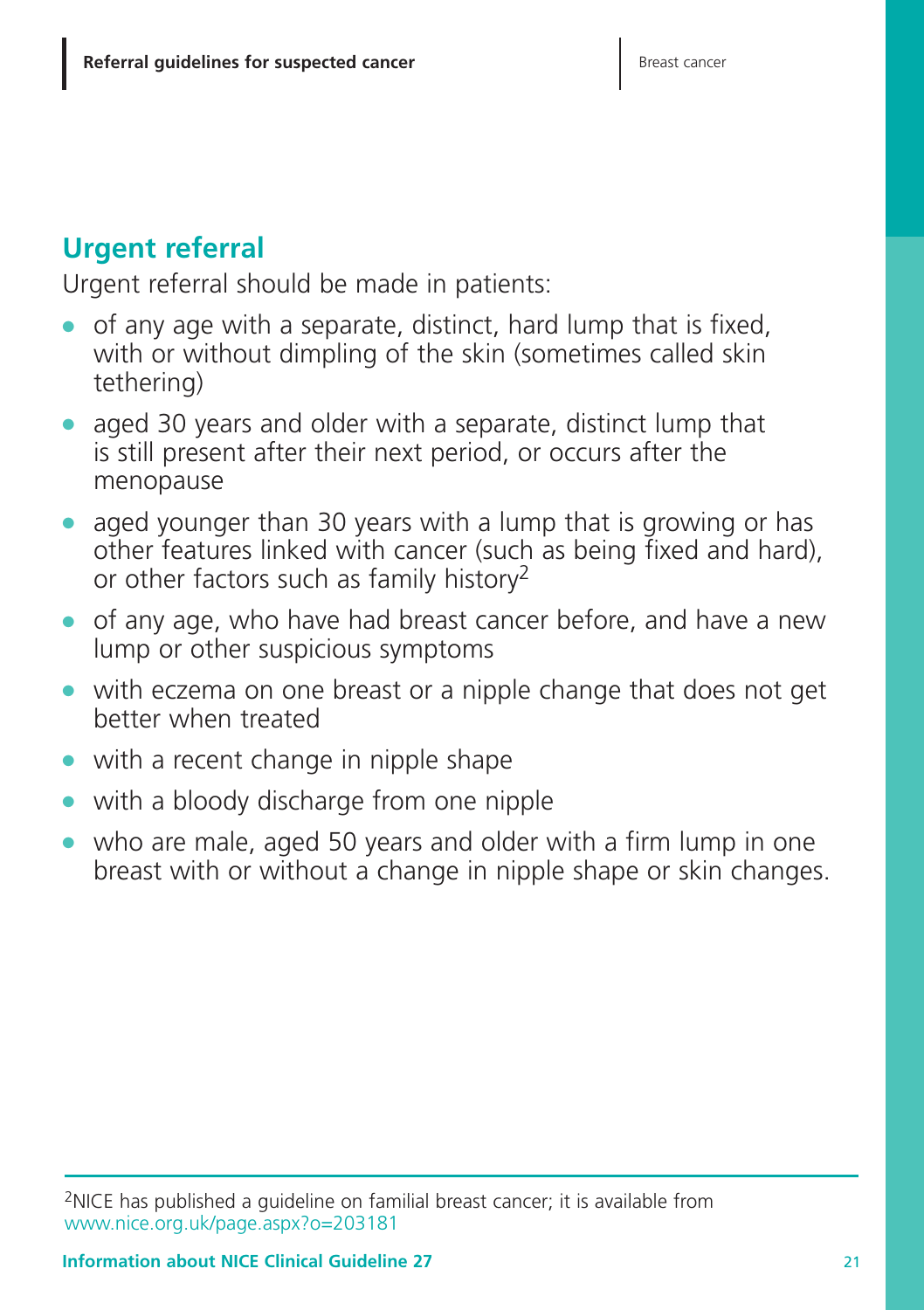# **Urgent referral**

Urgent referral should be made in patients:

- **●** of any age with a separate, distinct, hard lump that is fixed, with or without dimpling of the skin (sometimes called skin tethering)
- **●** aged 30 years and older with a separate, distinct lump that is still present after their next period, or occurs after the menopause
- **●** aged younger than 30 years with a lump that is growing or has other features linked with cancer (such as being fixed and hard), or other factors such as family history2
- **●** of any age, who have had breast cancer before, and have a new lump or other suspicious symptoms
- **●** with eczema on one breast or a nipple change that does not get better when treated
- **●** with a recent change in nipple shape
- **●** with a bloody discharge from one nipple
- **●** who are male, aged 50 years and older with a firm lump in one breast with or without a change in nipple shape or skin changes.

<sup>2</sup>NICE has published a guideline on familial breast cancer; it is available from www.nice.org.uk/page.aspx?o=203181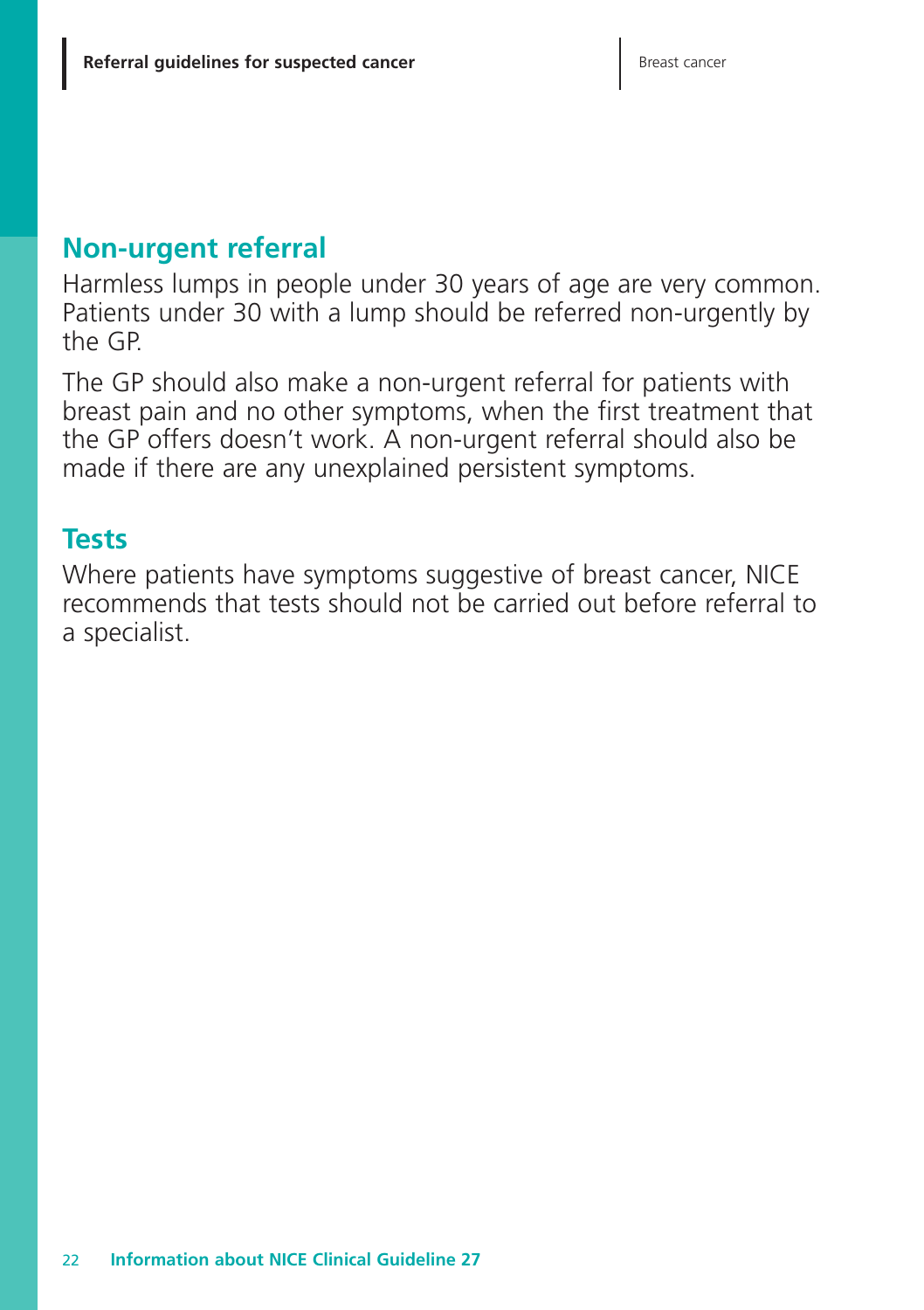## **Non-urgent referral**

Harmless lumps in people under 30 years of age are very common. Patients under 30 with a lump should be referred non-urgently by the GP.

The GP should also make a non-urgent referral for patients with breast pain and no other symptoms, when the first treatment that the GP offers doesn't work. A non-urgent referral should also be made if there are any unexplained persistent symptoms.

### **Tests**

Where patients have symptoms suggestive of breast cancer, NICE recommends that tests should not be carried out before referral to a specialist.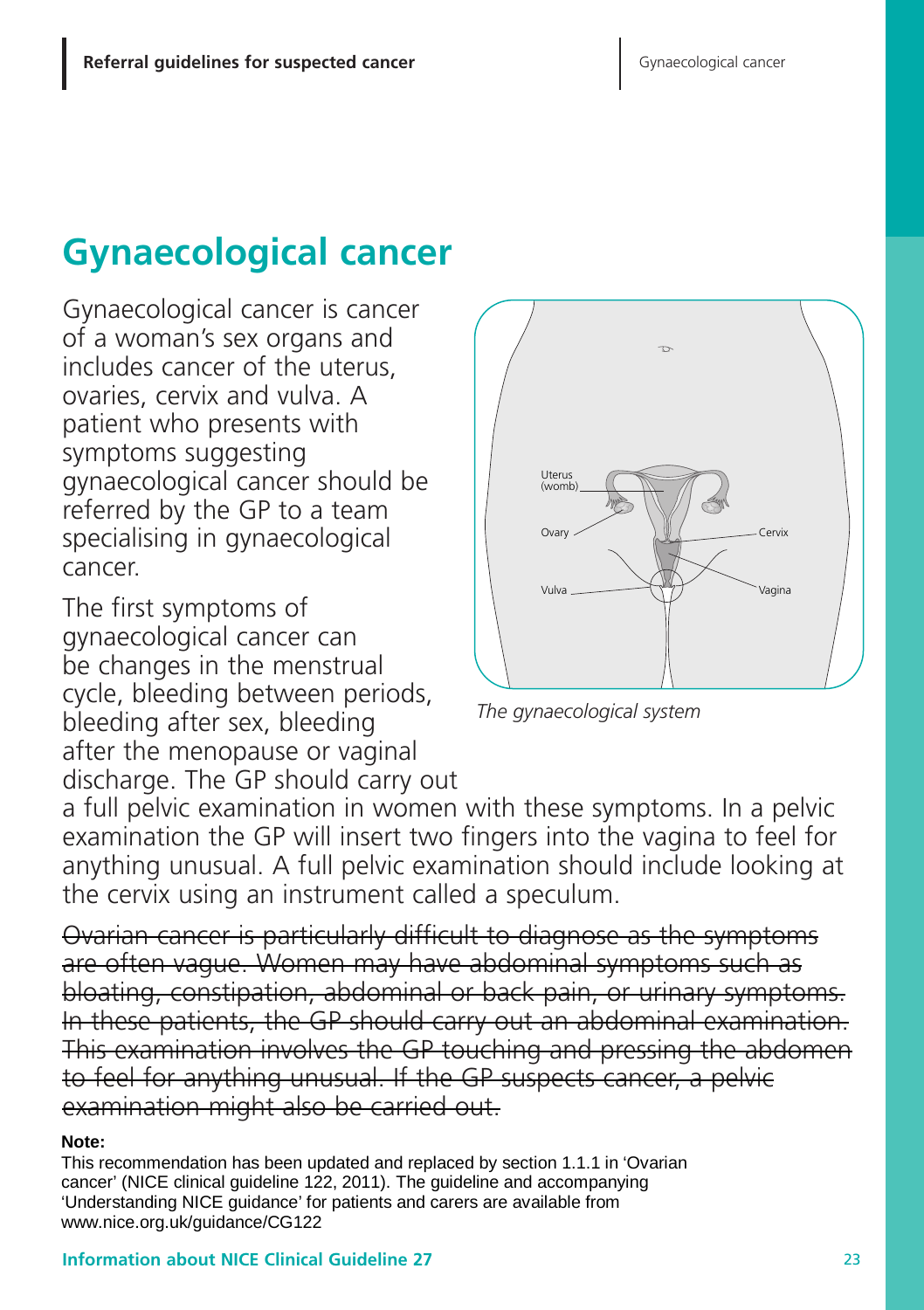# **Gynaecological cancer**

Gynaecological cancer is cancer of a woman's sex organs and includes cancer of the uterus, ovaries, cervix and vulva. A patient who presents with symptoms suggesting gynaecological cancer should be referred by the GP to a team specialising in gynaecological cancer.

The first symptoms of gynaecological cancer can be changes in the menstrual cycle, bleeding between periods, bleeding after sex, bleeding after the menopause or vaginal discharge. The GP should carry out



*The gynaecological system*

a full pelvic examination in women with these symptoms. In a pelvic examination the GP will insert two fingers into the vagina to feel for anything unusual. A full pelvic examination should include looking at the cervix using an instrument called a speculum.

Ovarian cancer is particularly difficult to diagnose as the symptoms are often vague. Women may have abdominal symptoms such as bloating, constipation, abdominal or back pain, or urinary symptoms. In these patients, the GP should carry out an abdominal examination. This examination involves the GP touching and pressing the abdomen to feel for anything unusual. If the GP suspects cancer, a pelvic examination might also be carried out.

#### **Note:**

This recommendation has been updated and replaced by section 1.1.1 in 'Ovarian cancer' (NICE clinical guideline 122, 2011). The guideline and accompanying 'Understanding NICE guidance' for patients and carers are available from www.nice.org.uk/guidance/CG122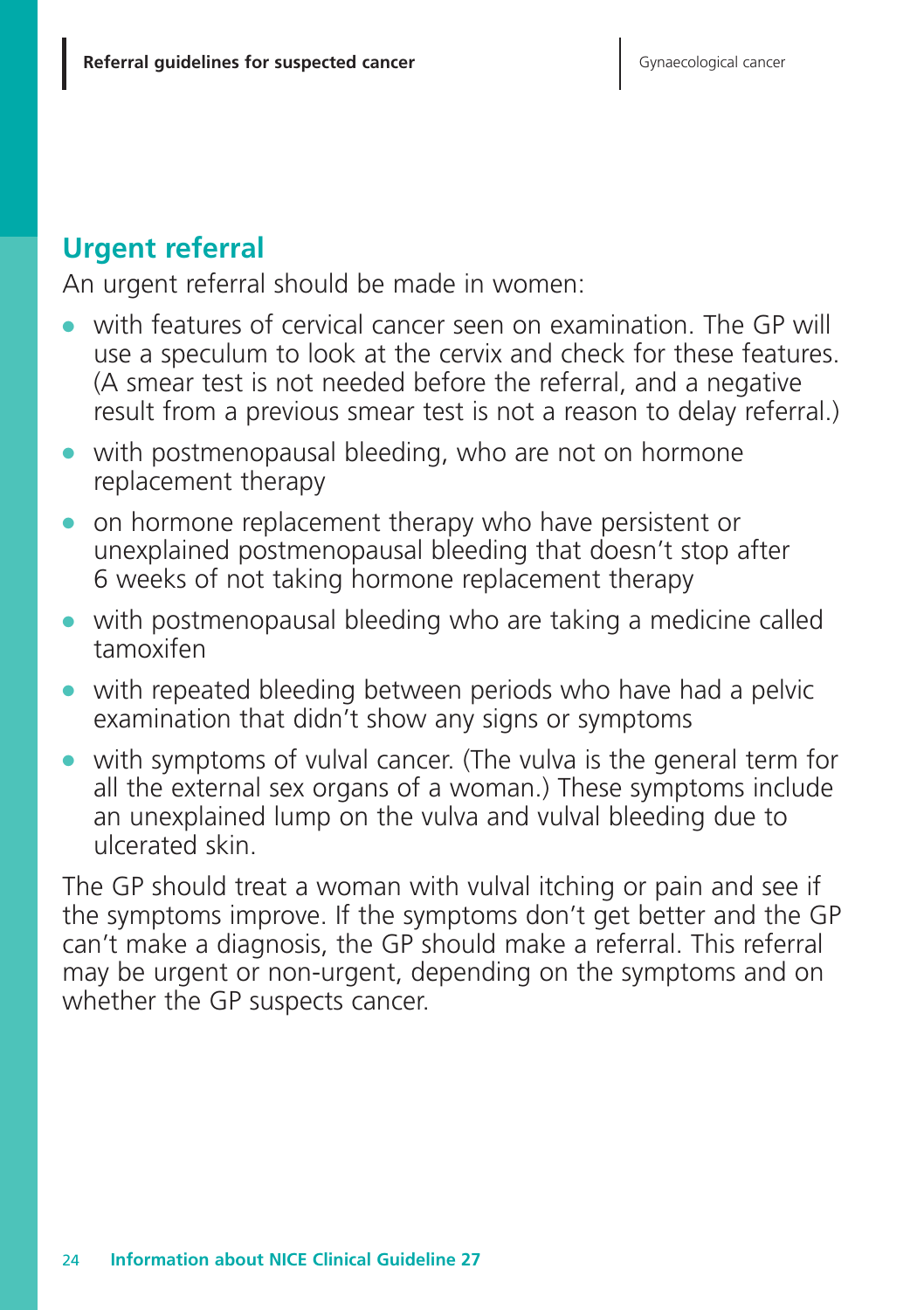# **Urgent referral**

An urgent referral should be made in women:

- with features of cervical cancer seen on examination. The GP will use a speculum to look at the cervix and check for these features. (A smear test is not needed before the referral, and a negative result from a previous smear test is not a reason to delay referral.)
- **●** with postmenopausal bleeding, who are not on hormone replacement therapy
- **●** on hormone replacement therapy who have persistent or unexplained postmenopausal bleeding that doesn't stop after 6 weeks of not taking hormone replacement therapy
- **●** with postmenopausal bleeding who are taking a medicine called tamoxifen
- **●** with repeated bleeding between periods who have had a pelvic examination that didn't show any signs or symptoms
- with symptoms of vulval cancer. (The vulva is the general term for all the external sex organs of a woman.) These symptoms include an unexplained lump on the vulva and vulval bleeding due to ulcerated skin.

The GP should treat a woman with vulval itching or pain and see if the symptoms improve. If the symptoms don't get better and the GP can't make a diagnosis, the GP should make a referral. This referral may be urgent or non-urgent, depending on the symptoms and on whether the GP suspects cancer.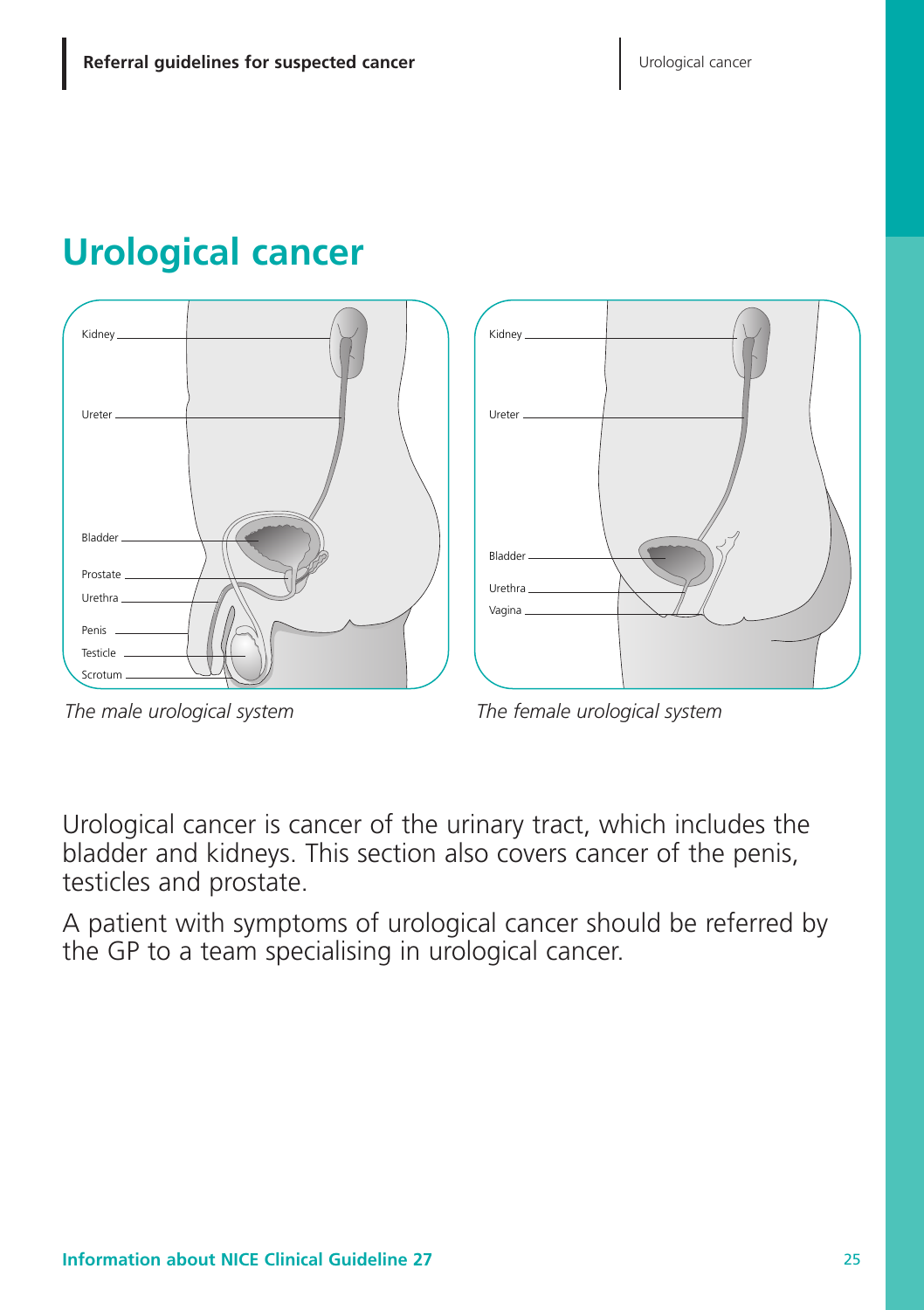# **Urological cancer**





*The male urological system*

*The female urological system*

Urological cancer is cancer of the urinary tract, which includes the bladder and kidneys. This section also covers cancer of the penis, testicles and prostate.

A patient with symptoms of urological cancer should be referred by the GP to a team specialising in urological cancer.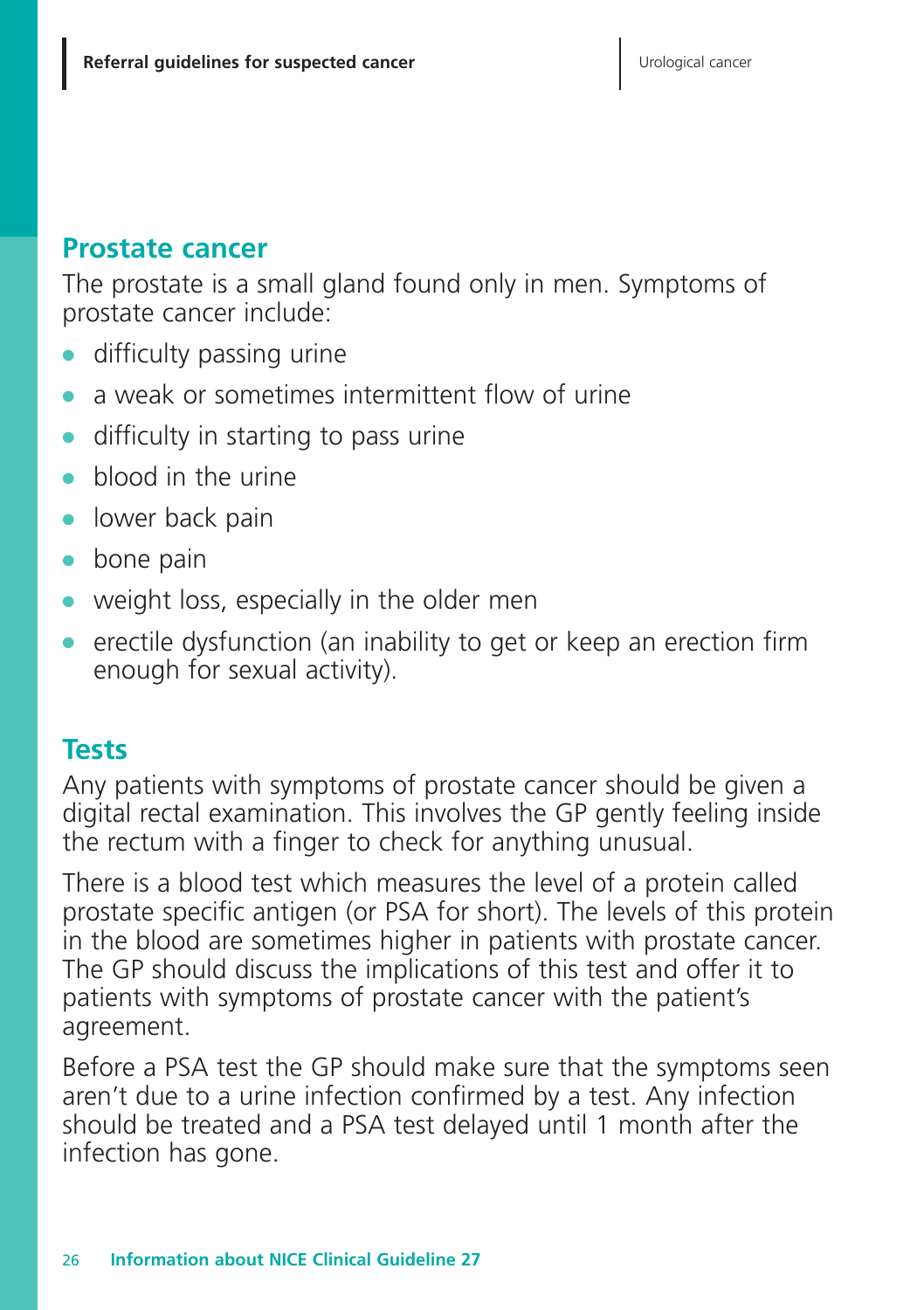#### **Prostate cancer**

The prostate is a small gland found only in men. Symptoms of prostate cancer include:

- **●** difficulty passing urine
- a weak or sometimes intermittent flow of urine
- **●** difficulty in starting to pass urine
- **●** blood in the urine
- **●** lower back pain
- **●** bone pain
- **●** weight loss, especially in the older men
- **●** erectile dysfunction (an inability to get or keep an erection firm enough for sexual activity).

#### **Tests**

Any patients with symptoms of prostate cancer should be given a digital rectal examination. This involves the GP gently feeling inside the rectum with a finger to check for anything unusual.

There is a blood test which measures the level of a protein called prostate specific antigen (or PSA for short). The levels of this protein in the blood are sometimes higher in patients with prostate cancer. The GP should discuss the implications of this test and offer it to patients with symptoms of prostate cancer with the patient's agreement.

Before a PSA test the GP should make sure that the symptoms seen aren't due to a urine infection confirmed by a test. Any infection should be treated and a PSA test delayed until 1 month after the infection has gone.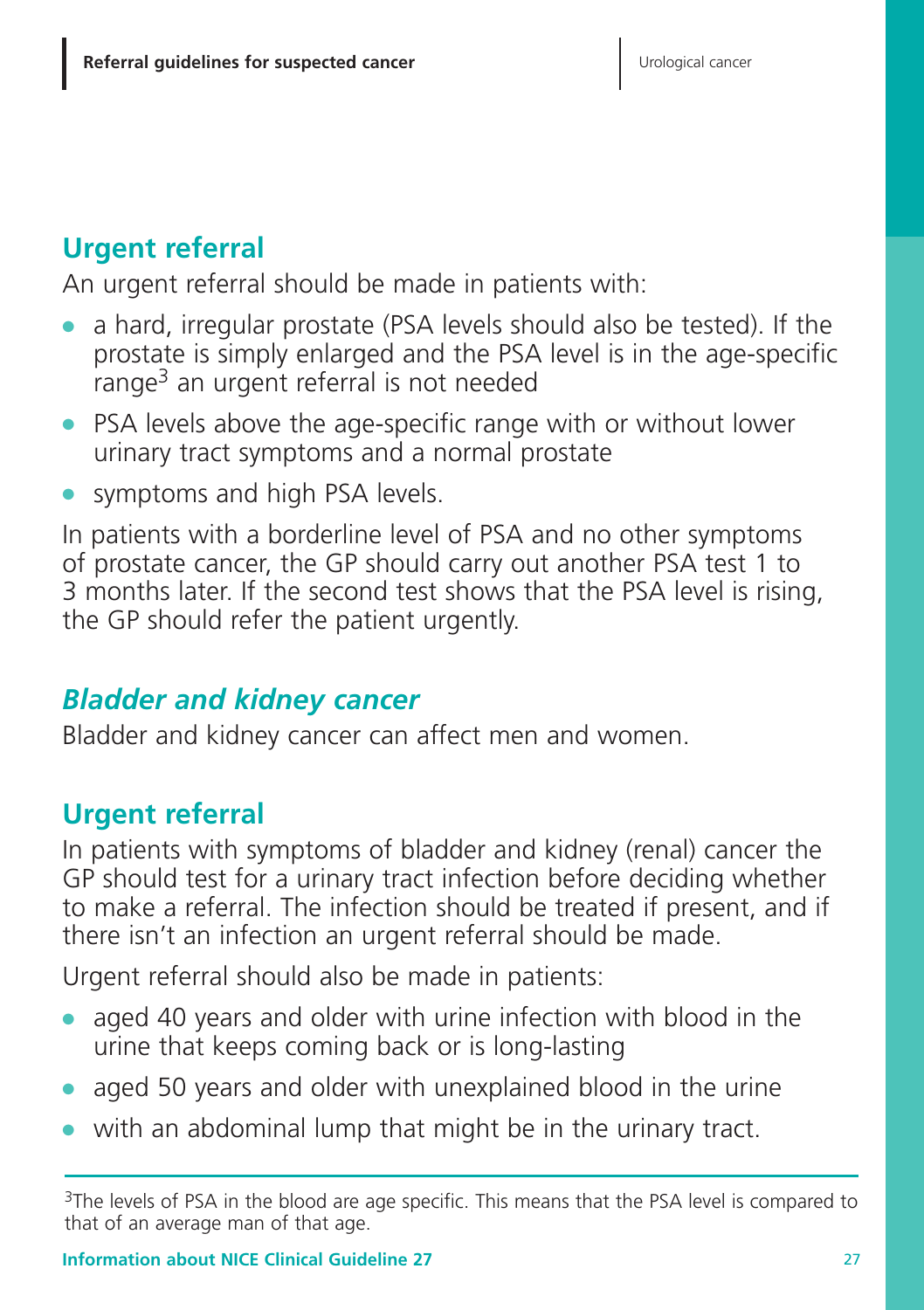# **Urgent referral**

An urgent referral should be made in patients with:

- **●** a hard, irregular prostate (PSA levels should also be tested). If the prostate is simply enlarged and the PSA level is in the age-specific range3 an urgent referral is not needed
- **●** PSA levels above the age-specific range with or without lower urinary tract symptoms and a normal prostate
- **●** symptoms and high PSA levels.

In patients with a borderline level of PSA and no other symptoms of prostate cancer, the GP should carry out another PSA test 1 to 3 months later. If the second test shows that the PSA level is rising, the GP should refer the patient urgently.

# *Bladder and kidney cancer*

Bladder and kidney cancer can affect men and women.

# **Urgent referral**

In patients with symptoms of bladder and kidney (renal) cancer the GP should test for a urinary tract infection before deciding whether to make a referral. The infection should be treated if present, and if there isn't an infection an urgent referral should be made.

Urgent referral should also be made in patients:

- aged 40 years and older with urine infection with blood in the urine that keeps coming back or is long-lasting
- **●** aged 50 years and older with unexplained blood in the urine
- with an abdominal lump that might be in the urinary tract.

<sup>&</sup>lt;sup>3</sup>The levels of PSA in the blood are age specific. This means that the PSA level is compared to that of an average man of that age.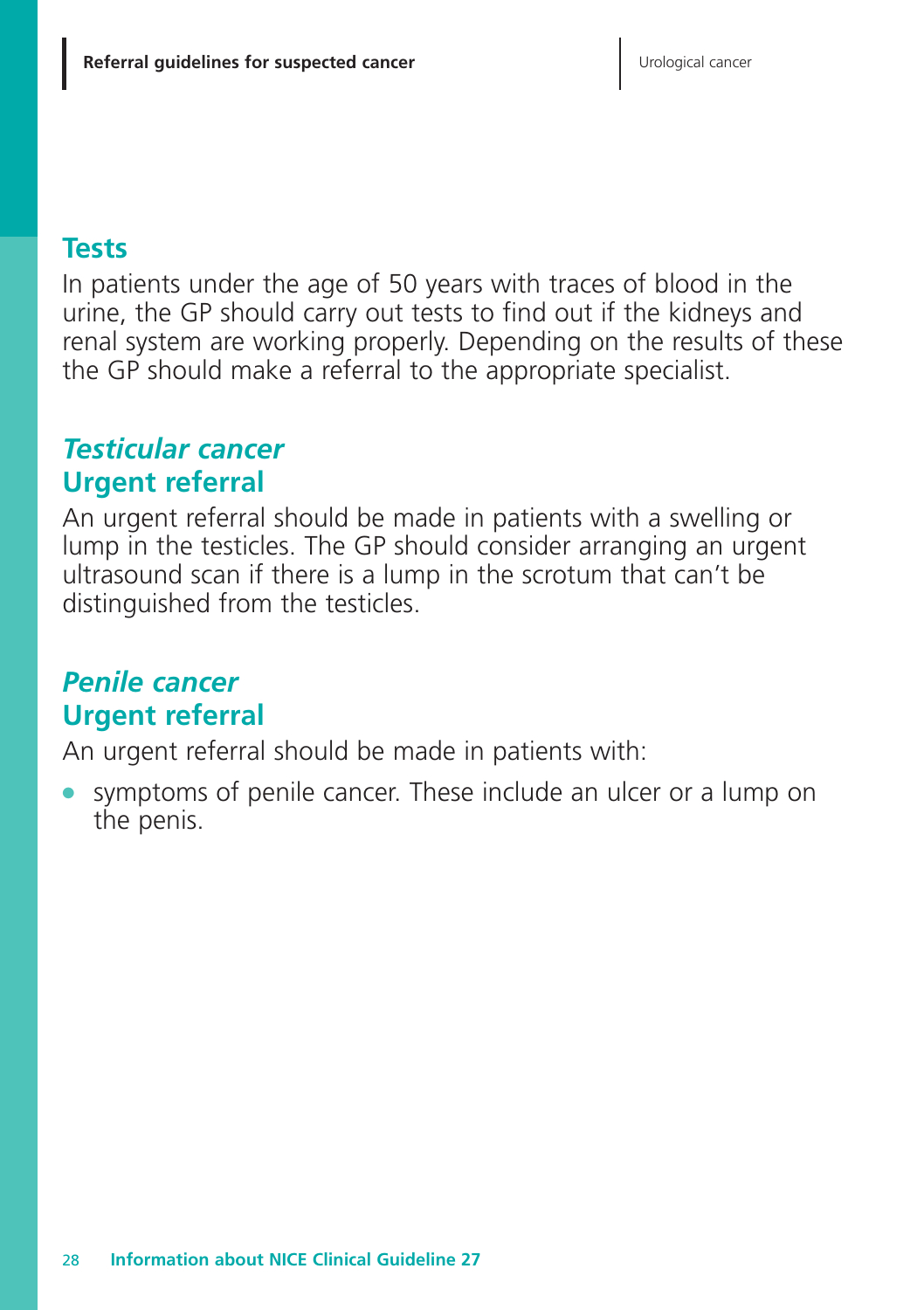#### **Tests**

In patients under the age of 50 years with traces of blood in the urine, the GP should carry out tests to find out if the kidneys and renal system are working properly. Depending on the results of these the GP should make a referral to the appropriate specialist.

# *Testicular cancer* **Urgent referral**

An urgent referral should be made in patients with a swelling or lump in the testicles. The GP should consider arranging an urgent ultrasound scan if there is a lump in the scrotum that can't be distinguished from the testicles.

## *Penile cancer* **Urgent referral**

An urgent referral should be made in patients with:

symptoms of penile cancer. These include an ulcer or a lump on the penis.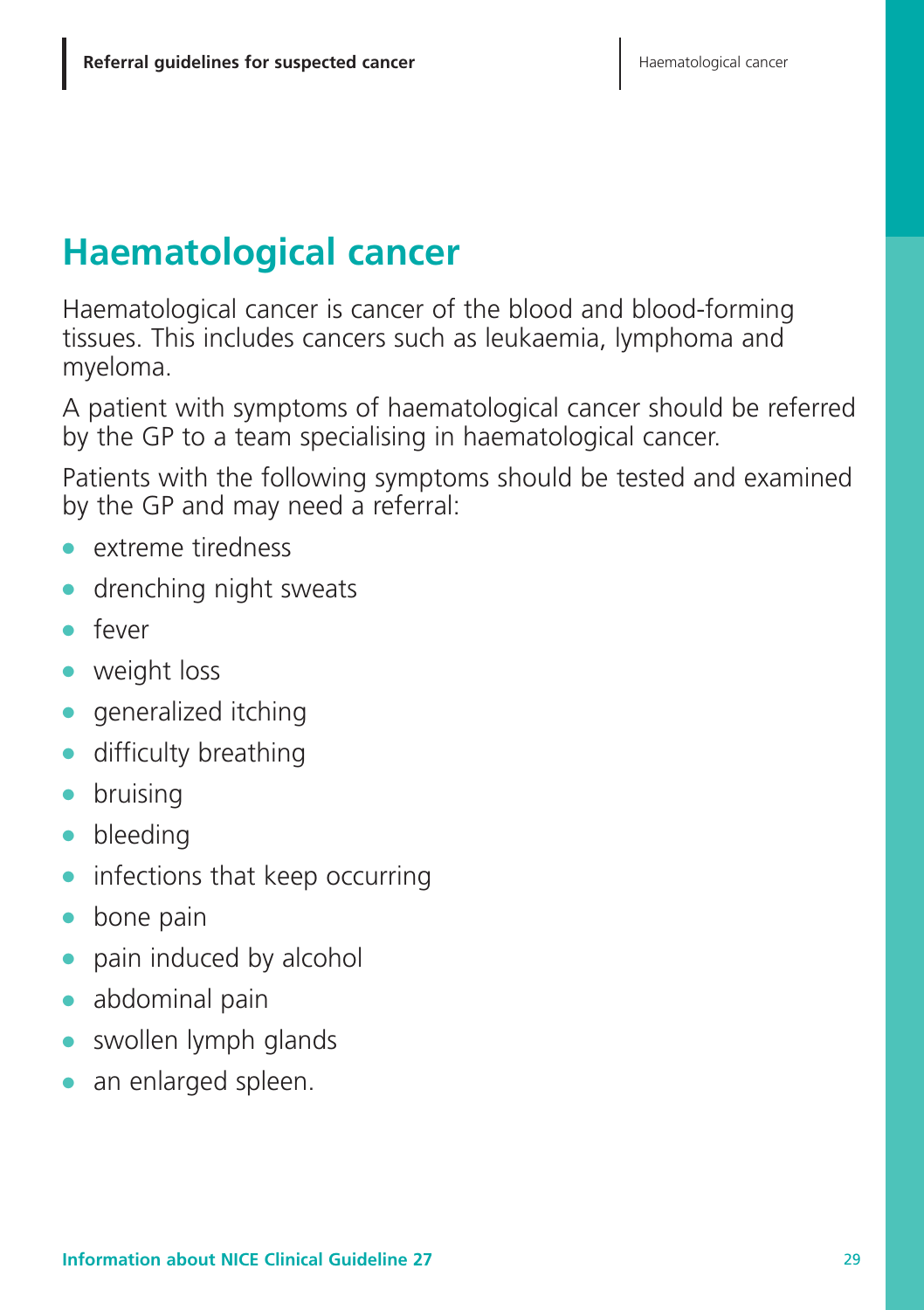# **Haematological cancer**

Haematological cancer is cancer of the blood and blood-forming tissues. This includes cancers such as leukaemia, lymphoma and myeloma.

A patient with symptoms of haematological cancer should be referred by the GP to a team specialising in haematological cancer.

Patients with the following symptoms should be tested and examined by the GP and may need a referral:

- **●** extreme tiredness
- **●** drenching night sweats
- **●** fever
- **●** weight loss
- **●** generalized itching
- **●** difficulty breathing
- **●** bruising
- **●** bleeding
- **●** infections that keep occurring
- **●** bone pain
- **●** pain induced by alcohol
- **●** abdominal pain
- swollen lymph glands
- **●** an enlarged spleen.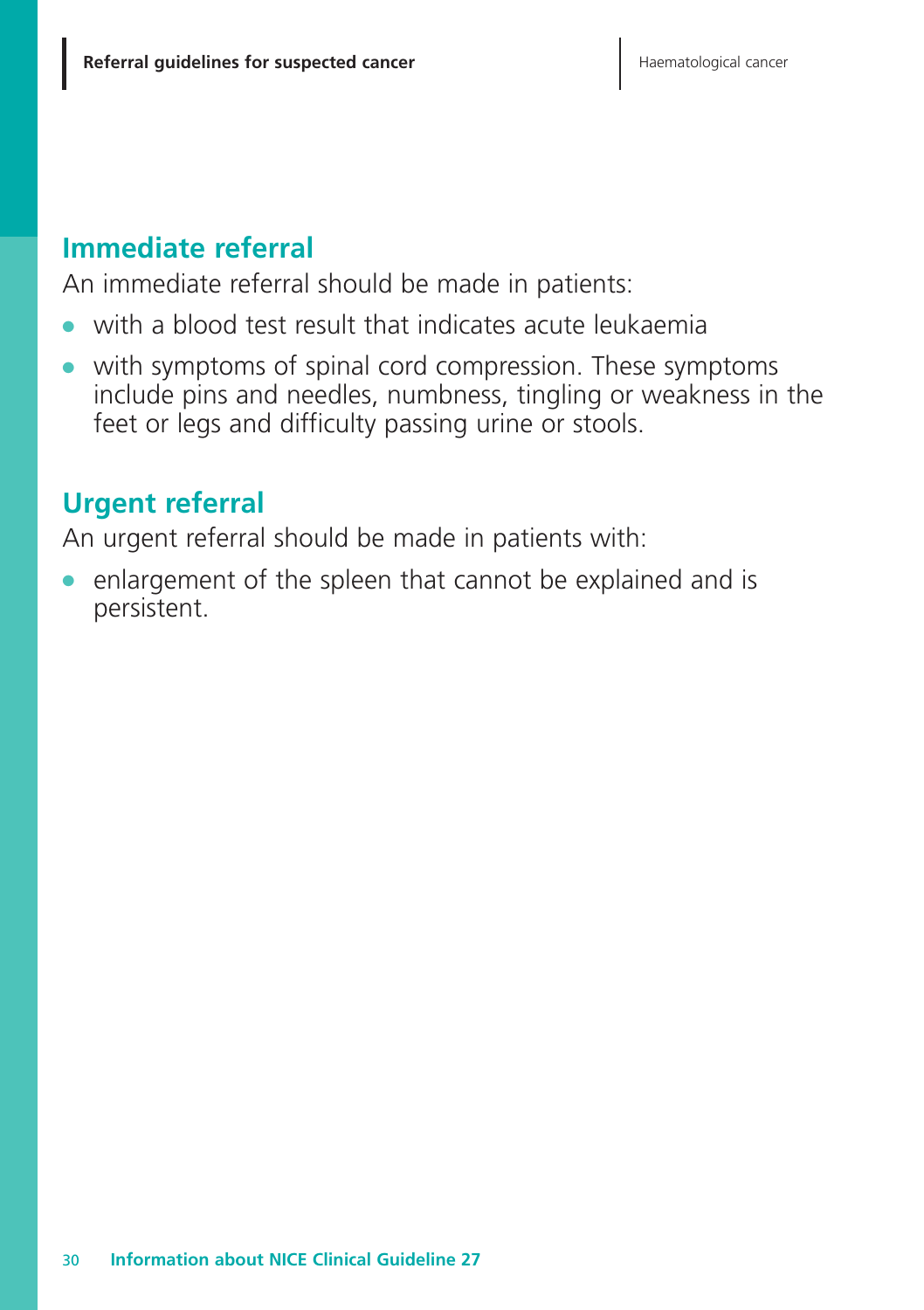## **Immediate referral**

An immediate referral should be made in patients:

- with a blood test result that indicates acute leukaemia
- **●** with symptoms of spinal cord compression. These symptoms include pins and needles, numbness, tingling or weakness in the feet or legs and difficulty passing urine or stools.

# **Urgent referral**

An urgent referral should be made in patients with:

enlargement of the spleen that cannot be explained and is persistent.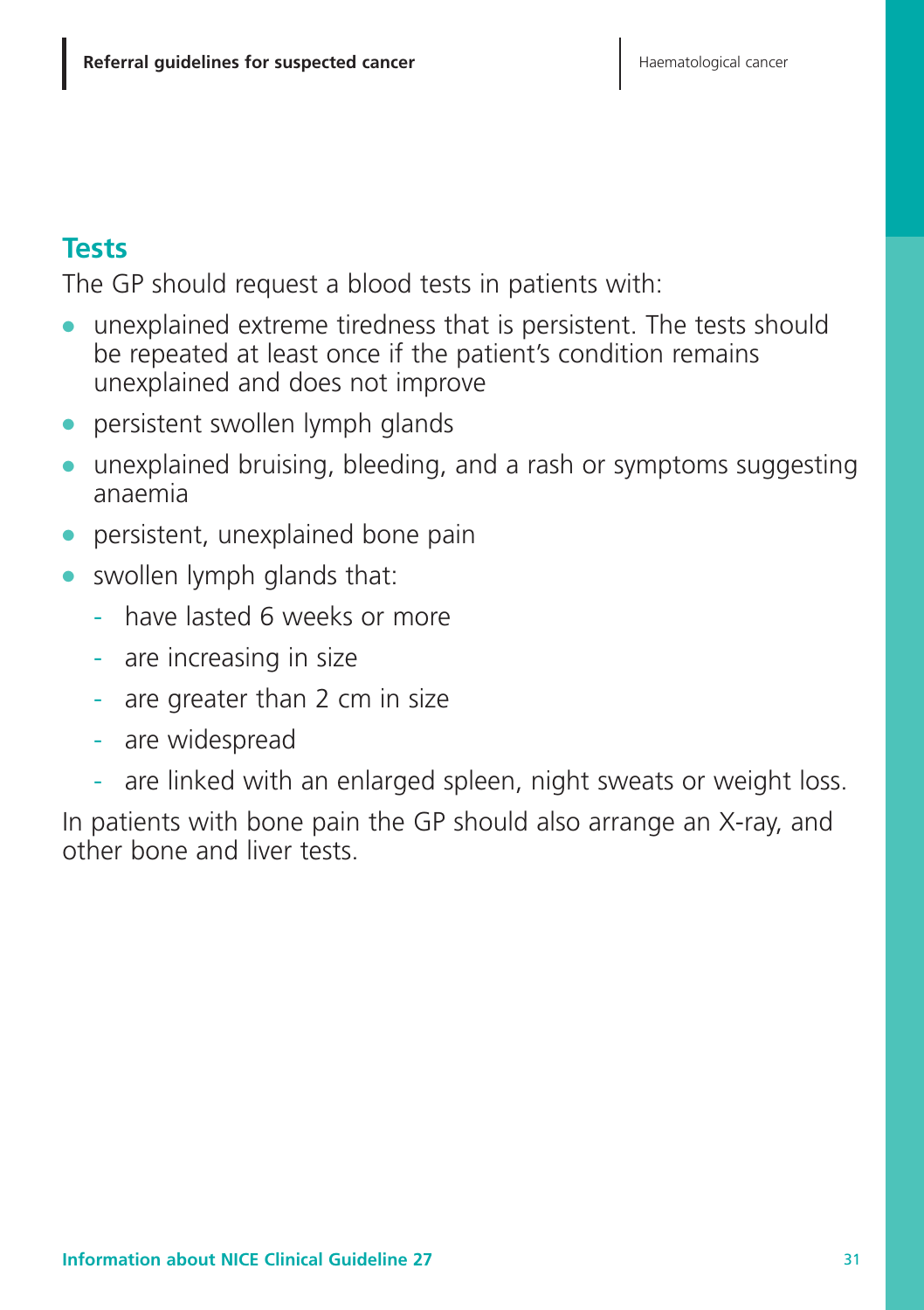## **Tests**

The GP should request a blood tests in patients with:

- **●** unexplained extreme tiredness that is persistent. The tests should be repeated at least once if the patient's condition remains unexplained and does not improve
- persistent swollen lymph glands
- **●** unexplained bruising, bleeding, and a rash or symptoms suggesting anaemia
- **●** persistent, unexplained bone pain
- **●** swollen lymph glands that:
	- have lasted 6 weeks or more
	- are increasing in size
	- are greater than 2 cm in size
	- are widespread
	- are linked with an enlarged spleen, night sweats or weight loss.

In patients with bone pain the GP should also arrange an X-ray, and other bone and liver tests.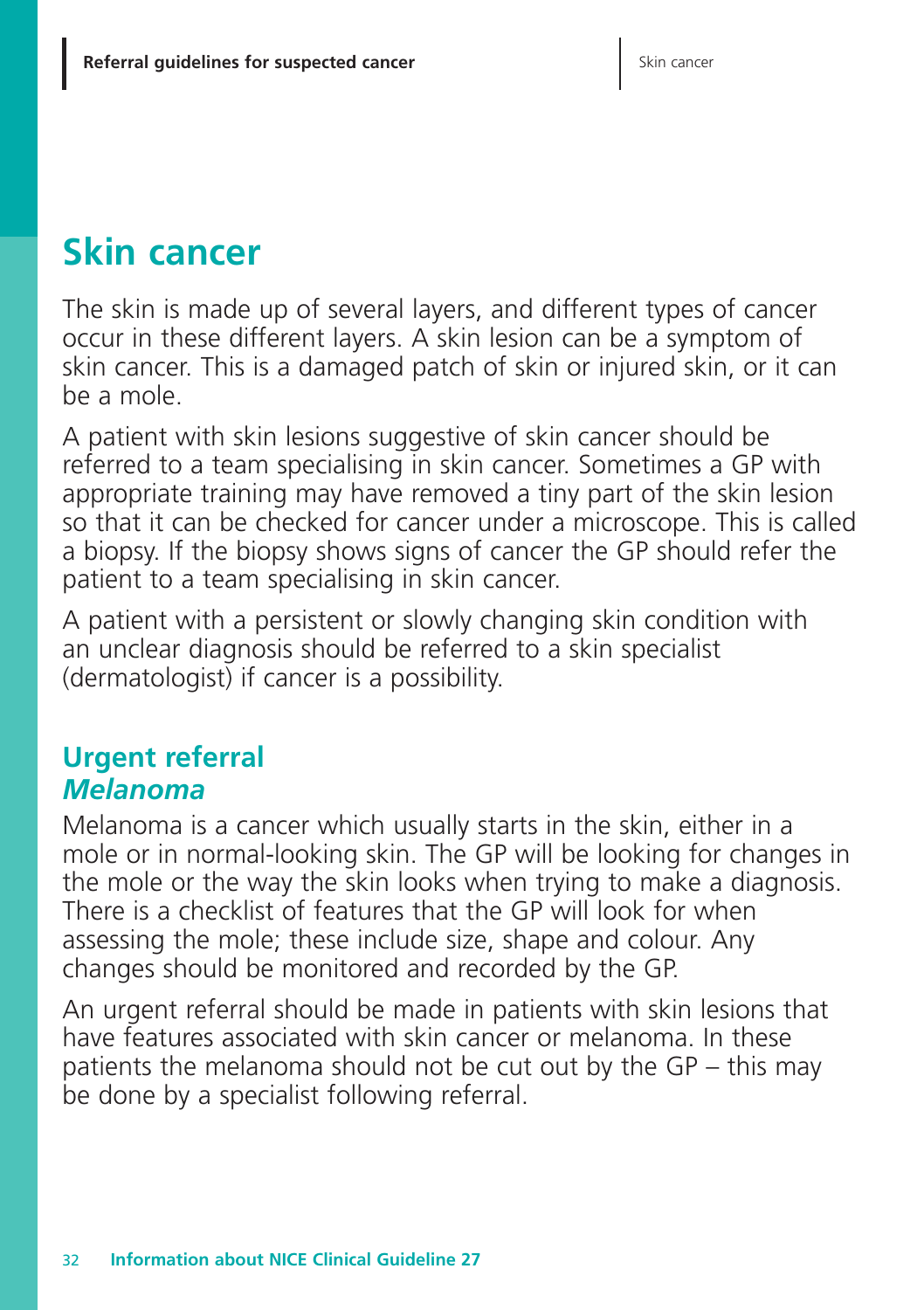# **Skin cancer**

The skin is made up of several layers, and different types of cancer occur in these different layers. A skin lesion can be a symptom of skin cancer. This is a damaged patch of skin or injured skin, or it can be a mole.

A patient with skin lesions suggestive of skin cancer should be referred to a team specialising in skin cancer. Sometimes a GP with appropriate training may have removed a tiny part of the skin lesion so that it can be checked for cancer under a microscope. This is called a biopsy. If the biopsy shows signs of cancer the GP should refer the patient to a team specialising in skin cancer.

A patient with a persistent or slowly changing skin condition with an unclear diagnosis should be referred to a skin specialist (dermatologist) if cancer is a possibility.

# **Urgent referral** *Melanoma*

Melanoma is a cancer which usually starts in the skin, either in a mole or in normal-looking skin. The GP will be looking for changes in the mole or the way the skin looks when trying to make a diagnosis. There is a checklist of features that the GP will look for when assessing the mole; these include size, shape and colour. Any changes should be monitored and recorded by the GP.

An urgent referral should be made in patients with skin lesions that have features associated with skin cancer or melanoma. In these patients the melanoma should not be cut out by the GP – this may be done by a specialist following referral.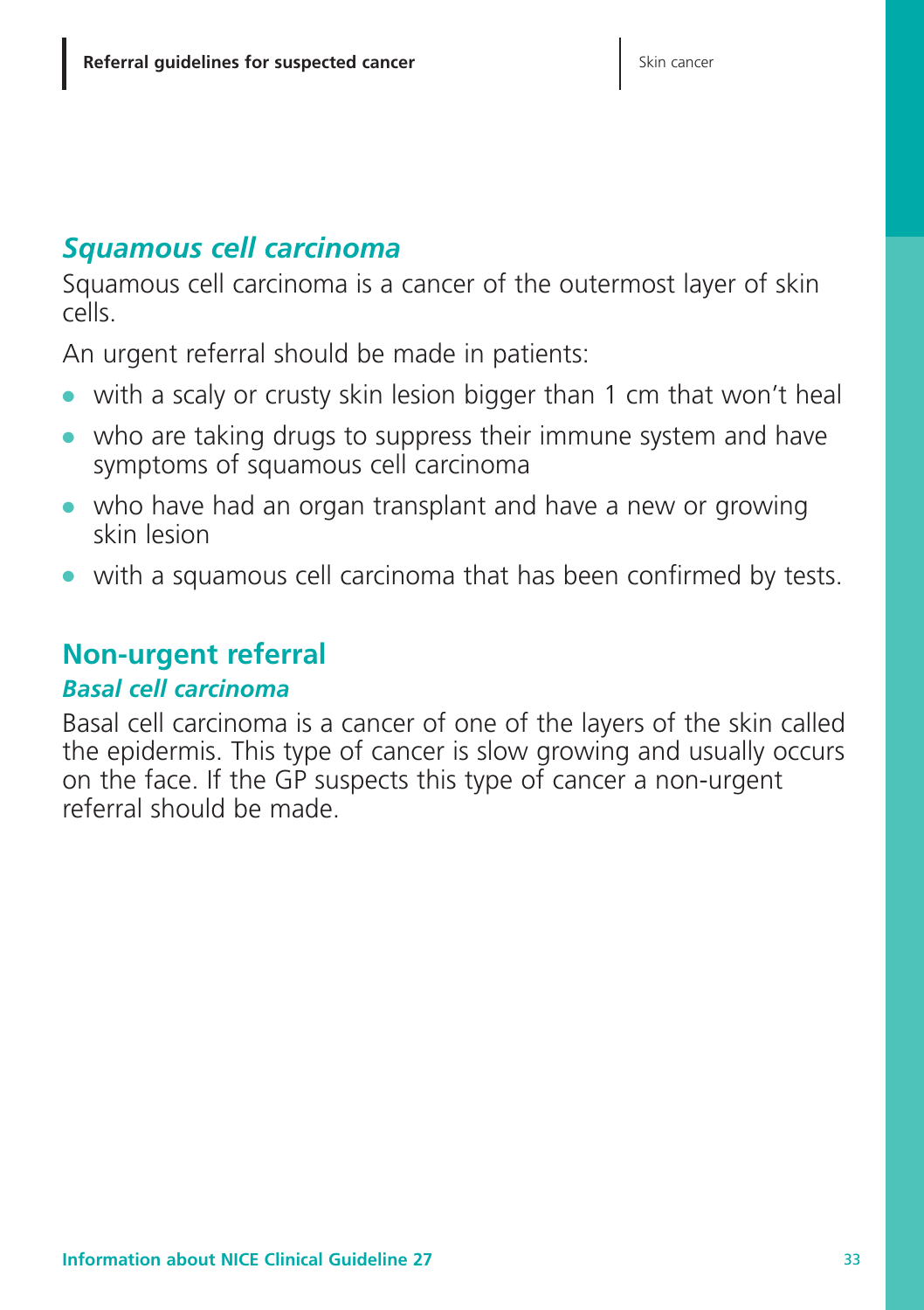## *Squamous cell carcinoma*

Squamous cell carcinoma is a cancer of the outermost layer of skin cells.

An urgent referral should be made in patients:

- **●** with a scaly or crusty skin lesion bigger than 1 cm that won't heal
- **●** who are taking drugs to suppress their immune system and have symptoms of squamous cell carcinoma
- **●** who have had an organ transplant and have a new or growing skin lesion
- **●** with a squamous cell carcinoma that has been confirmed by tests.

### **Non-urgent referral**

#### *Basal cell carcinoma*

Basal cell carcinoma is a cancer of one of the layers of the skin called the epidermis. This type of cancer is slow growing and usually occurs on the face. If the GP suspects this type of cancer a non-urgent referral should be made.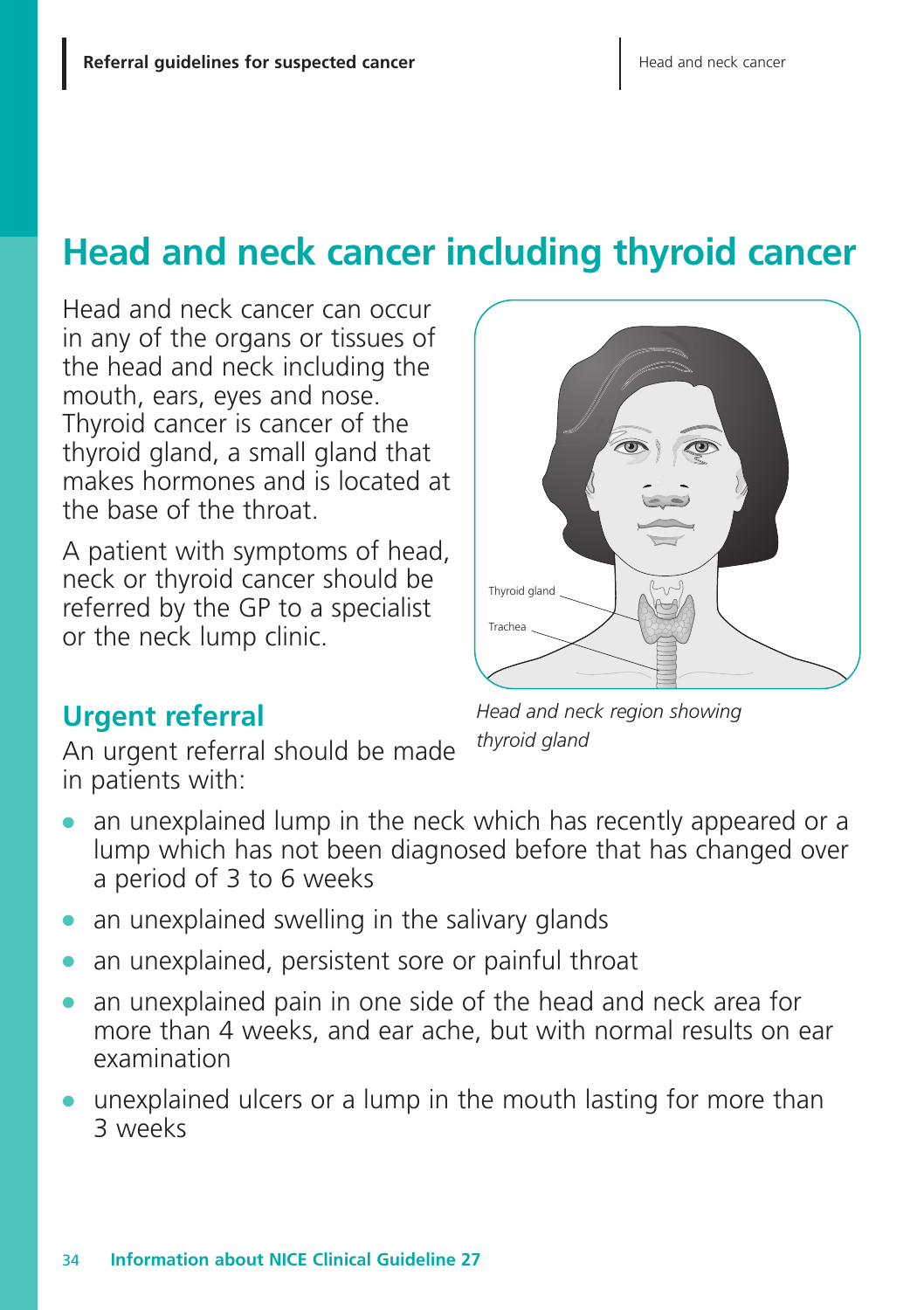# **Head and neck cancer including thyroid cancer**

Head and neck cancer can occur in any of the organs or tissues of the head and neck including the mouth, ears, eyes and nose. Thyroid cancer is cancer of the thyroid gland, a small gland that makes hormones and is located at the base of the throat.

A patient with symptoms of head, neck or thyroid cancer should be referred by the GP to a specialist or the neck lump clinic.



# **Urgent referral**

An urgent referral should be made in patients with:

*Head and neck region showing thyroid gland*

- an unexplained lump in the neck which has recently appeared or a lump which has not been diagnosed before that has changed over a period of 3 to 6 weeks
- an unexplained swelling in the salivary glands
- an unexplained, persistent sore or painful throat
- **●** an unexplained pain in one side of the head and neck area for more than 4 weeks, and ear ache, but with normal results on ear examination
- **●** unexplained ulcers or a lump in the mouth lasting for more than 3 weeks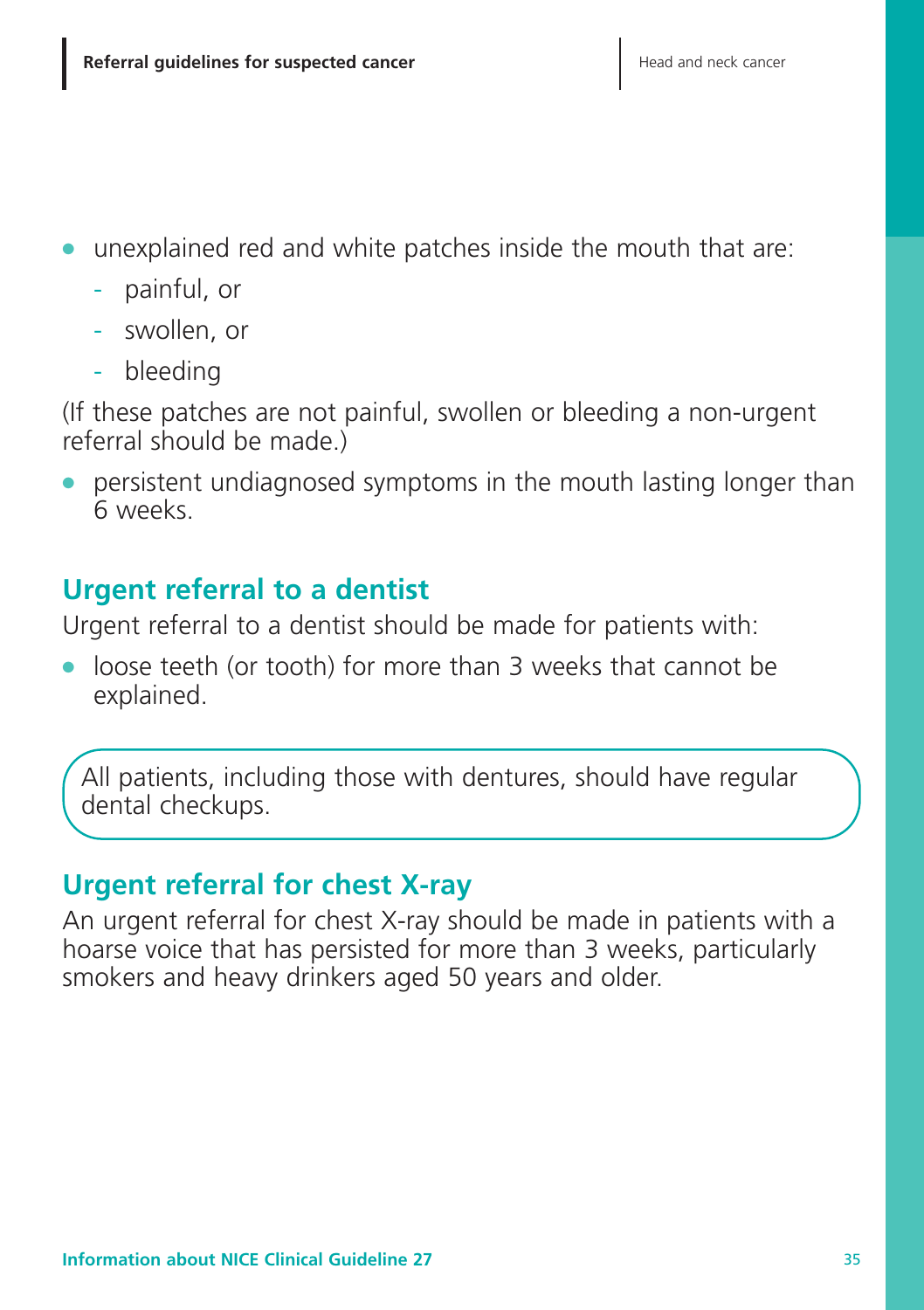- **●** unexplained red and white patches inside the mouth that are:
	- painful, or
	- swollen, or
	- bleeding

(If these patches are not painful, swollen or bleeding a non-urgent referral should be made.)

persistent undiagnosed symptoms in the mouth lasting longer than 6 weeks.

# **Urgent referral to a dentist**

Urgent referral to a dentist should be made for patients with:

**●** loose teeth (or tooth) for more than 3 weeks that cannot be explained.

All patients, including those with dentures, should have regular dental checkups.

# **Urgent referral for chest X-ray**

An urgent referral for chest X-ray should be made in patients with a hoarse voice that has persisted for more than 3 weeks, particularly smokers and heavy drinkers aged 50 years and older.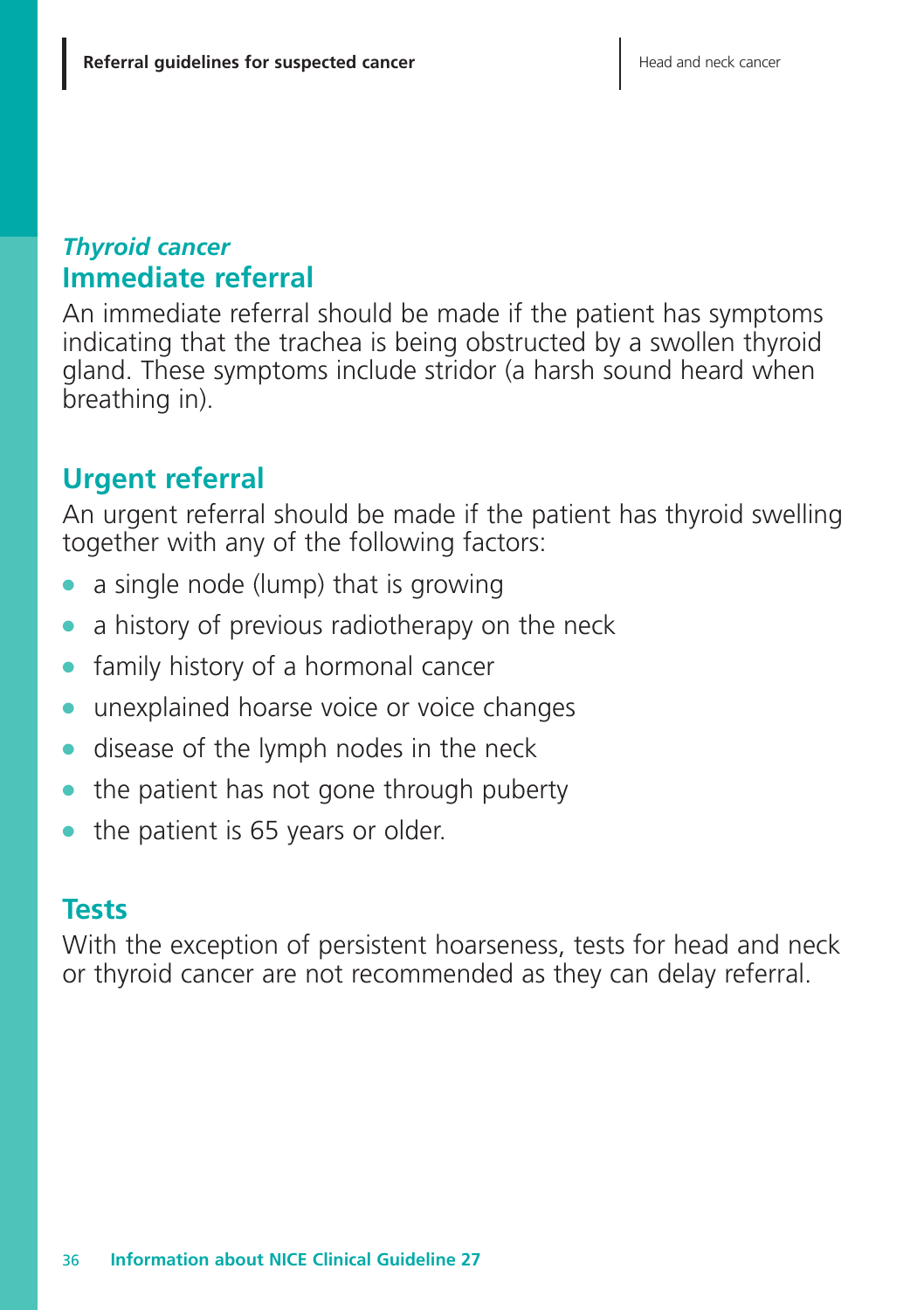## *Thyroid cancer* **Immediate referral**

An immediate referral should be made if the patient has symptoms indicating that the trachea is being obstructed by a swollen thyroid gland. These symptoms include stridor (a harsh sound heard when breathing in).

# **Urgent referral**

An urgent referral should be made if the patient has thyroid swelling together with any of the following factors:

- **●** a single node (lump) that is growing
- a history of previous radiotherapy on the neck
- family history of a hormonal cancer
- **●** unexplained hoarse voice or voice changes
- **●** disease of the lymph nodes in the neck
- the patient has not gone through puberty
- the patient is 65 years or older.

## **Tests**

With the exception of persistent hoarseness, tests for head and neck or thyroid cancer are not recommended as they can delay referral.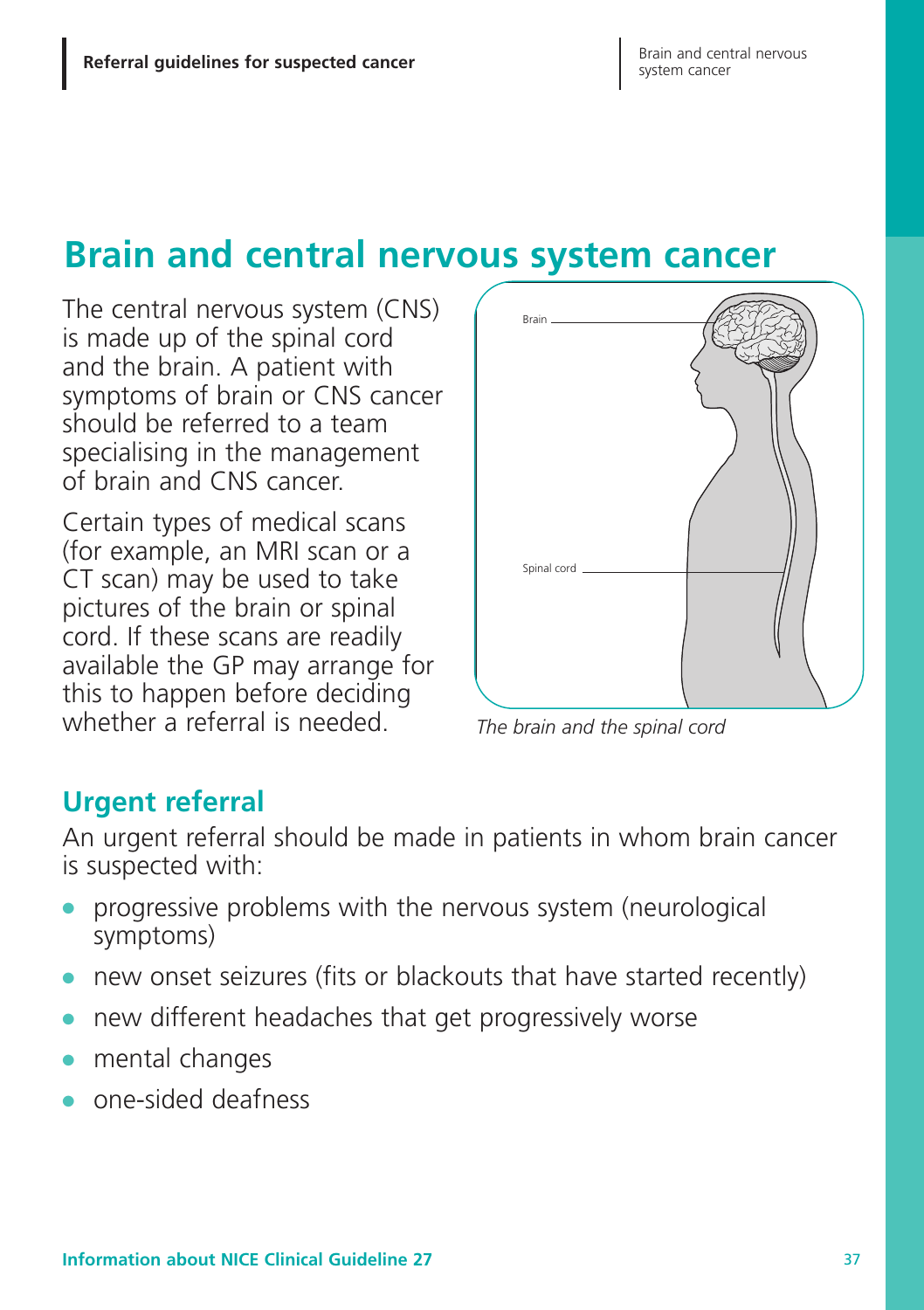# **Brain and central nervous system cancer**

The central nervous system (CNS) is made up of the spinal cord and the brain. A patient with symptoms of brain or CNS cancer should be referred to a team specialising in the management of brain and CNS cancer.

Certain types of medical scans (for example, an MRI scan or a CT scan) may be used to take pictures of the brain or spinal cord. If these scans are readily available the GP may arrange for this to happen before deciding whether a referral is needed.



*The brain and the spinal cord*

## **Urgent referral**

An urgent referral should be made in patients in whom brain cancer is suspected with:

- **●** progressive problems with the nervous system (neurological symptoms)
- **●** new onset seizures (fits or blackouts that have started recently)
- **●** new different headaches that get progressively worse
- **●** mental changes
- **●** one-sided deafness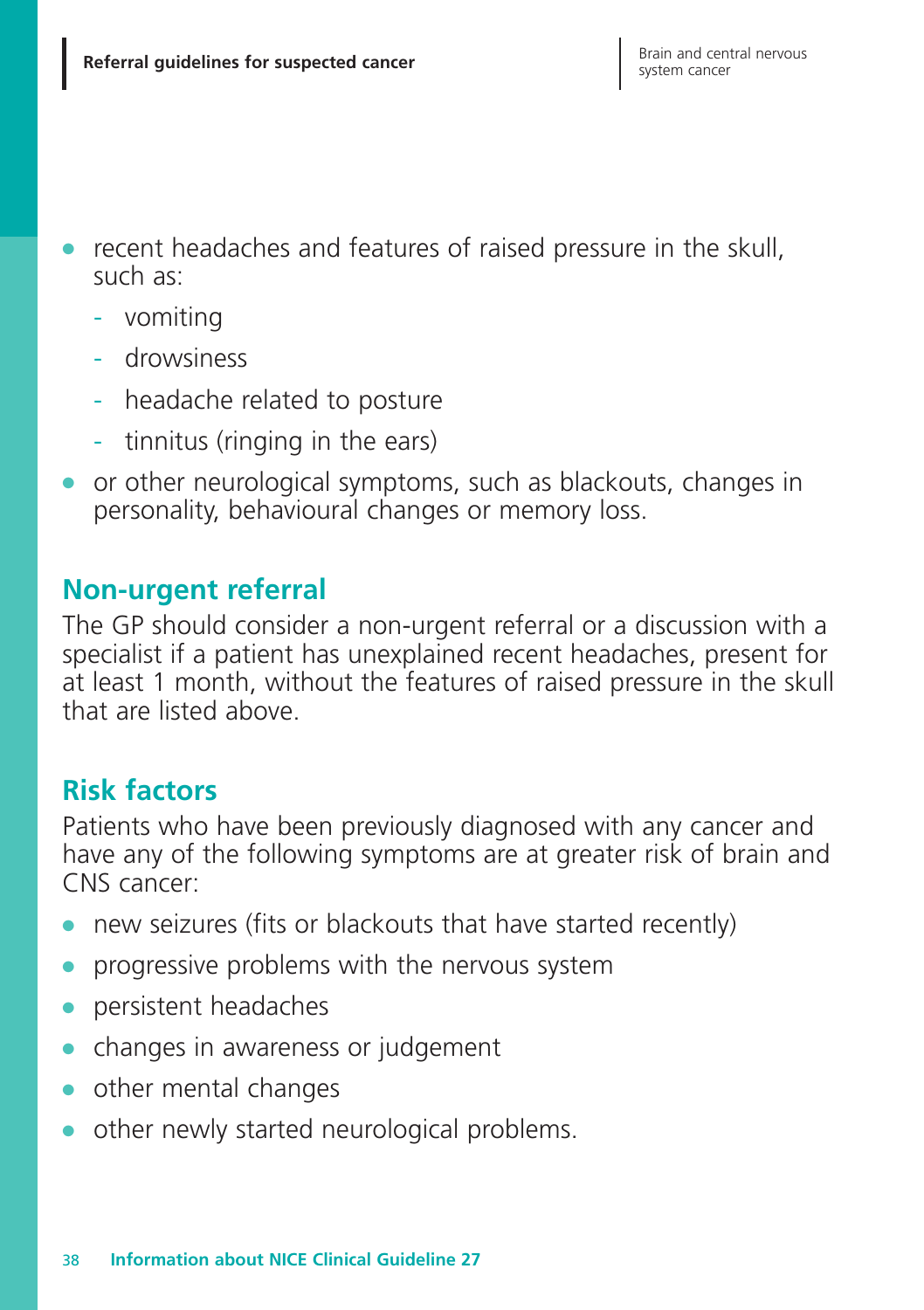- recent headaches and features of raised pressure in the skull, such as:
	- vomiting
	- drowsiness
	- headache related to posture
	- tinnitus (ringing in the ears)
- **●** or other neurological symptoms, such as blackouts, changes in personality, behavioural changes or memory loss.

## **Non-urgent referral**

The GP should consider a non-urgent referral or a discussion with a specialist if a patient has unexplained recent headaches, present for at least 1 month, without the features of raised pressure in the skull that are listed above.

# **Risk factors**

Patients who have been previously diagnosed with any cancer and have any of the following symptoms are at greater risk of brain and CNS cancer:

- **●** new seizures (fits or blackouts that have started recently)
- **●** progressive problems with the nervous system
- **●** persistent headaches
- **●** changes in awareness or judgement
- **●** other mental changes
- other newly started neurological problems.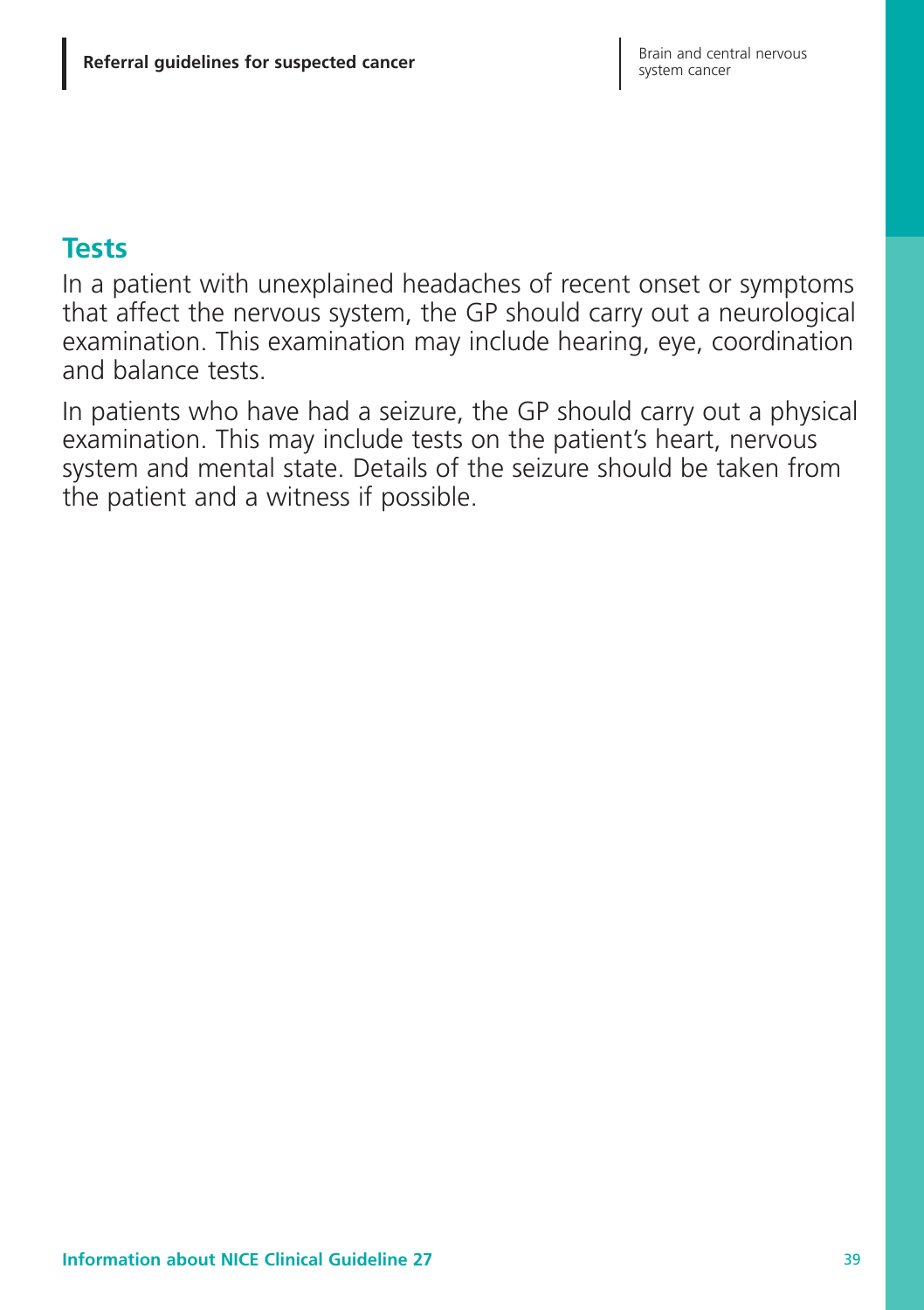#### **Tests**

In a patient with unexplained headaches of recent onset or symptoms that affect the nervous system, the GP should carry out a neurological examination. This examination may include hearing, eye, coordination and balance tests.

In patients who have had a seizure, the GP should carry out a physical examination. This may include tests on the patient's heart, nervous system and mental state. Details of the seizure should be taken from the patient and a witness if possible.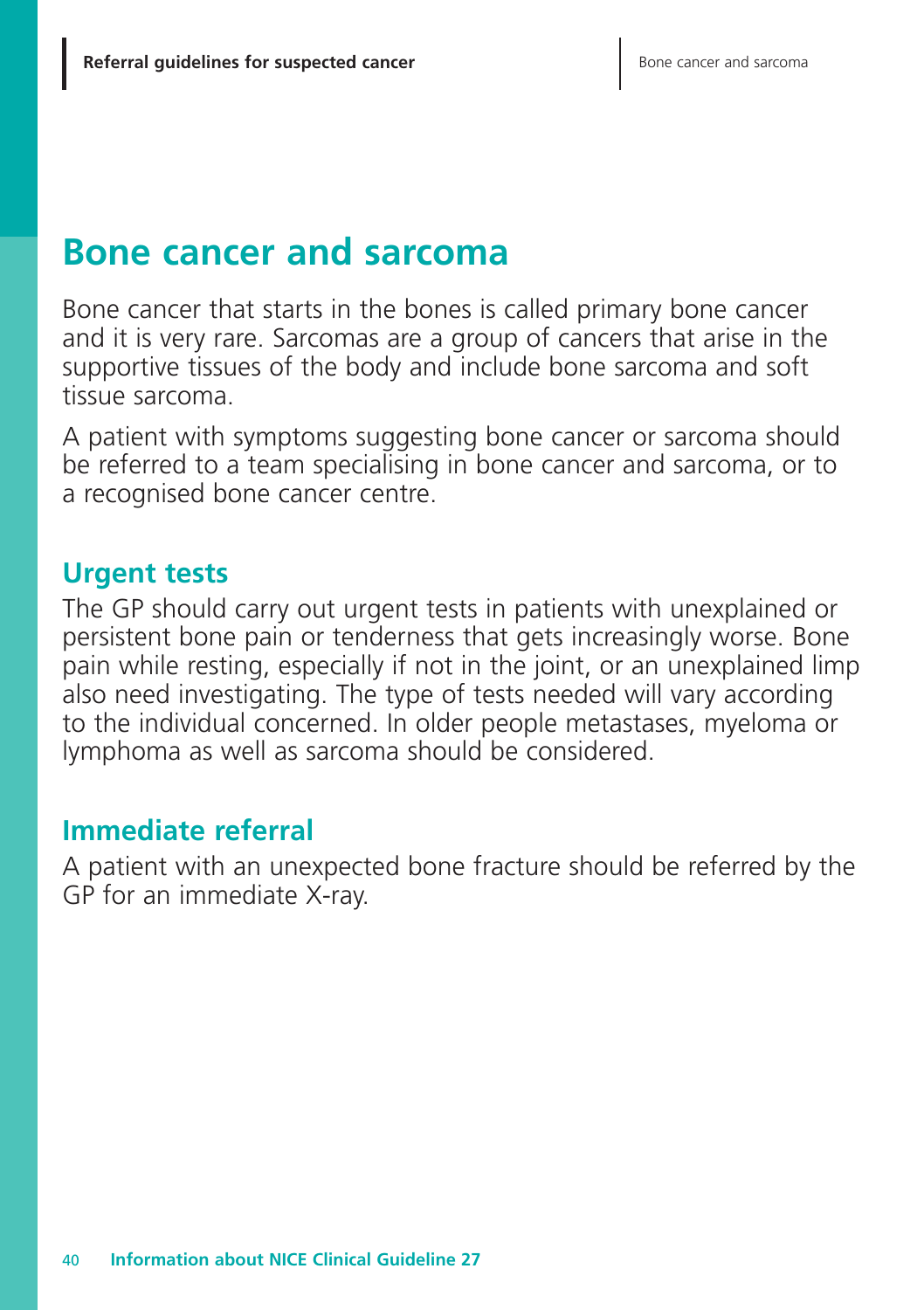# **Bone cancer and sarcoma**

Bone cancer that starts in the bones is called primary bone cancer and it is very rare. Sarcomas are a group of cancers that arise in the supportive tissues of the body and include bone sarcoma and soft tissue sarcoma.

A patient with symptoms suggesting bone cancer or sarcoma should be referred to a team specialising in bone cancer and sarcoma, or to a recognised bone cancer centre.

### **Urgent tests**

The GP should carry out urgent tests in patients with unexplained or persistent bone pain or tenderness that gets increasingly worse. Bone pain while resting, especially if not in the joint, or an unexplained limp also need investigating. The type of tests needed will vary according to the individual concerned. In older people metastases, myeloma or lymphoma as well as sarcoma should be considered.

## **Immediate referral**

A patient with an unexpected bone fracture should be referred by the GP for an immediate X-ray.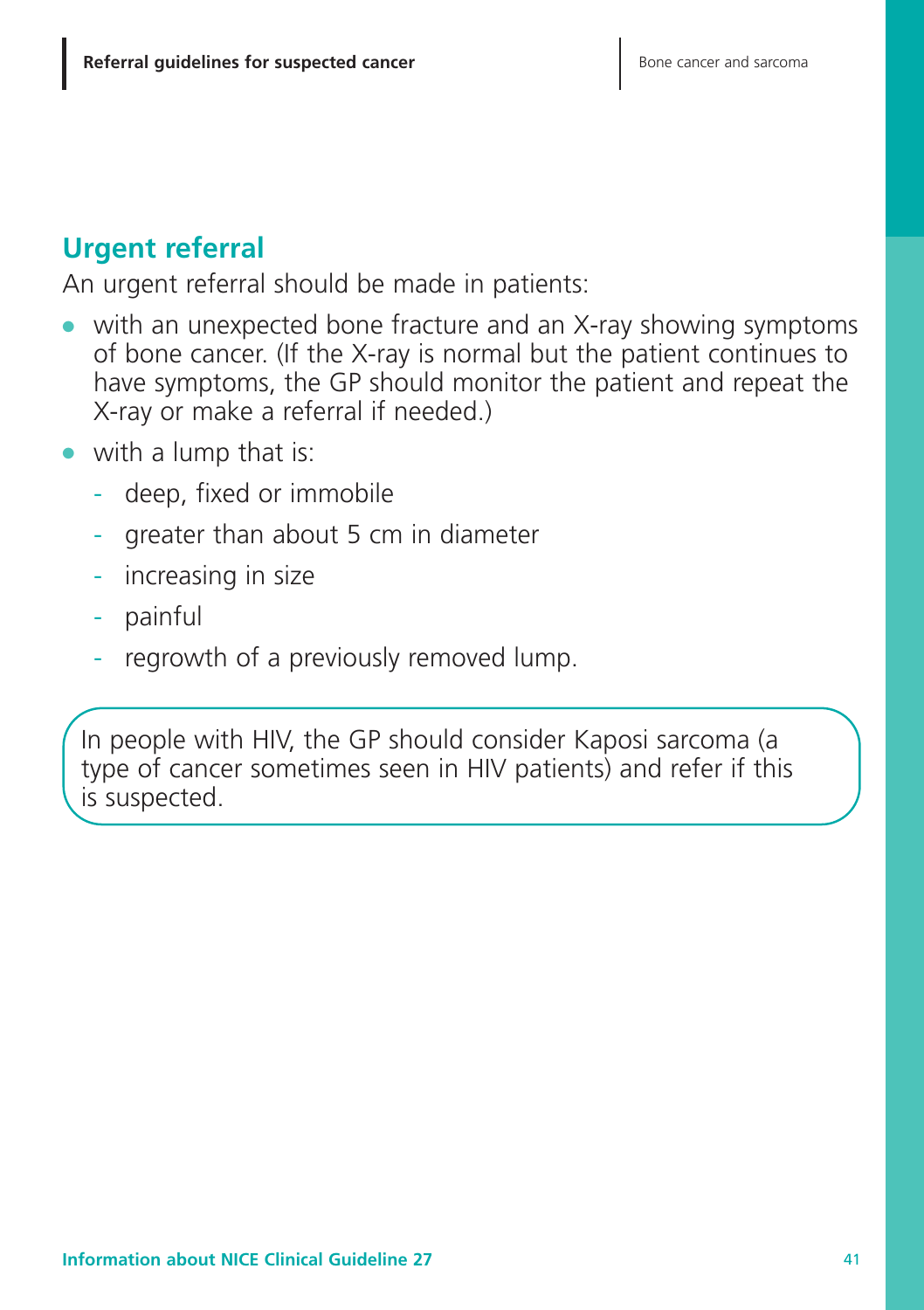# **Urgent referral**

An urgent referral should be made in patients:

- with an unexpected bone fracture and an X-ray showing symptoms of bone cancer. (If the X-ray is normal but the patient continues to have symptoms, the GP should monitor the patient and repeat the X-ray or make a referral if needed.)
- **●** with a lump that is:
	- deep, fixed or immobile
	- greater than about 5 cm in diameter
	- increasing in size
	- painful
	- regrowth of a previously removed lump.

In people with HIV, the GP should consider Kaposi sarcoma (a type of cancer sometimes seen in HIV patients) and refer if this is suspected.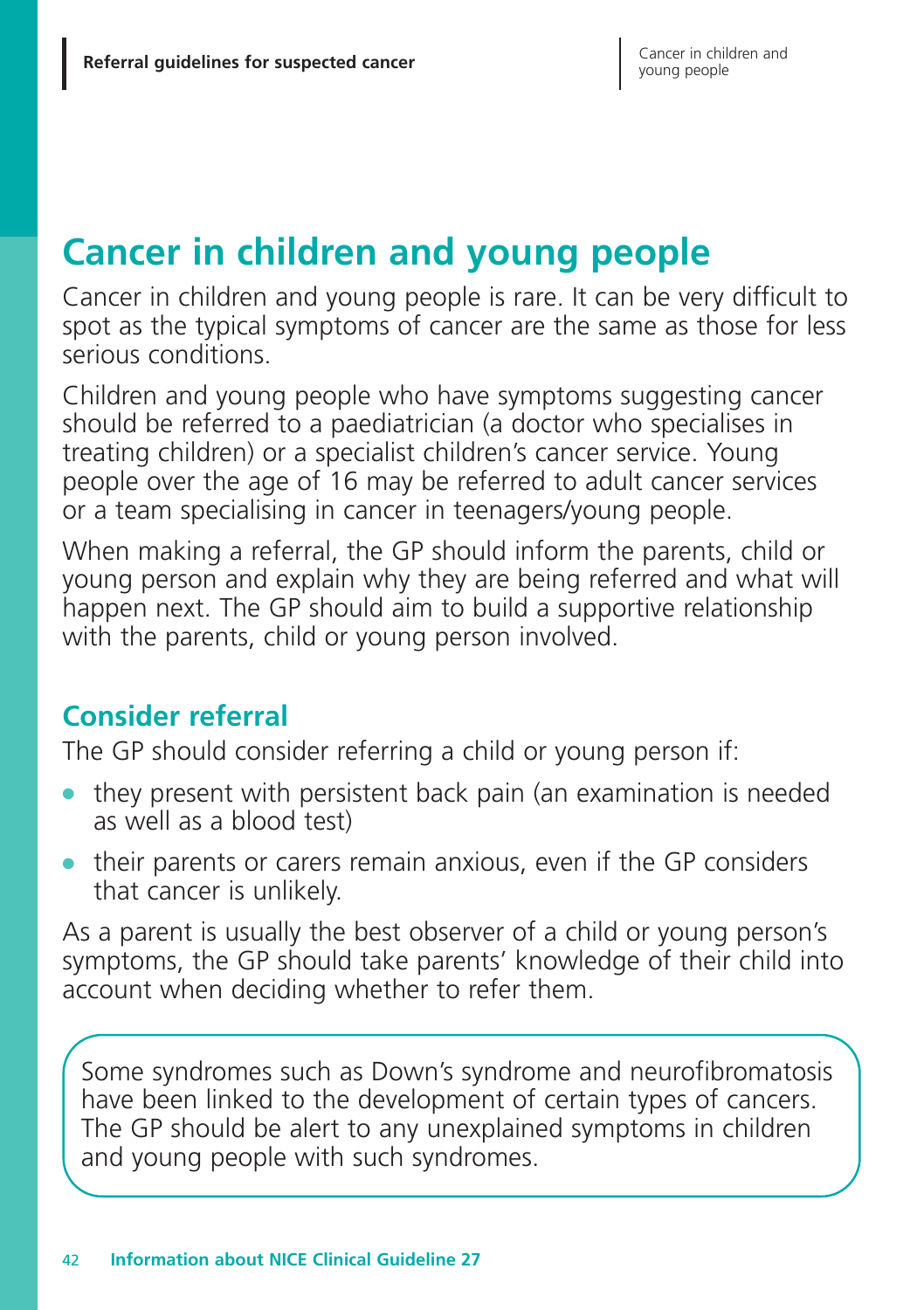# **Cancer in children and young people**

Cancer in children and young people is rare. It can be very difficult to spot as the typical symptoms of cancer are the same as those for less serious conditions.

Children and young people who have symptoms suggesting cancer should be referred to a paediatrician (a doctor who specialises in treating children) or a specialist children's cancer service. Young people over the age of 16 may be referred to adult cancer services or a team specialising in cancer in teenagers/young people.

When making a referral, the GP should inform the parents, child or young person and explain why they are being referred and what will happen next. The GP should aim to build a supportive relationship with the parents, child or young person involved.

# **Consider referral**

The GP should consider referring a child or young person if:

- they present with persistent back pain (an examination is needed as well as a blood test)
- **●** their parents or carers remain anxious, even if the GP considers that cancer is unlikely.

As a parent is usually the best observer of a child or young person's symptoms, the GP should take parents' knowledge of their child into account when deciding whether to refer them.

Some syndromes such as Down's syndrome and neurofibromatosis have been linked to the development of certain types of cancers. The GP should be alert to any unexplained symptoms in children and young people with such syndromes.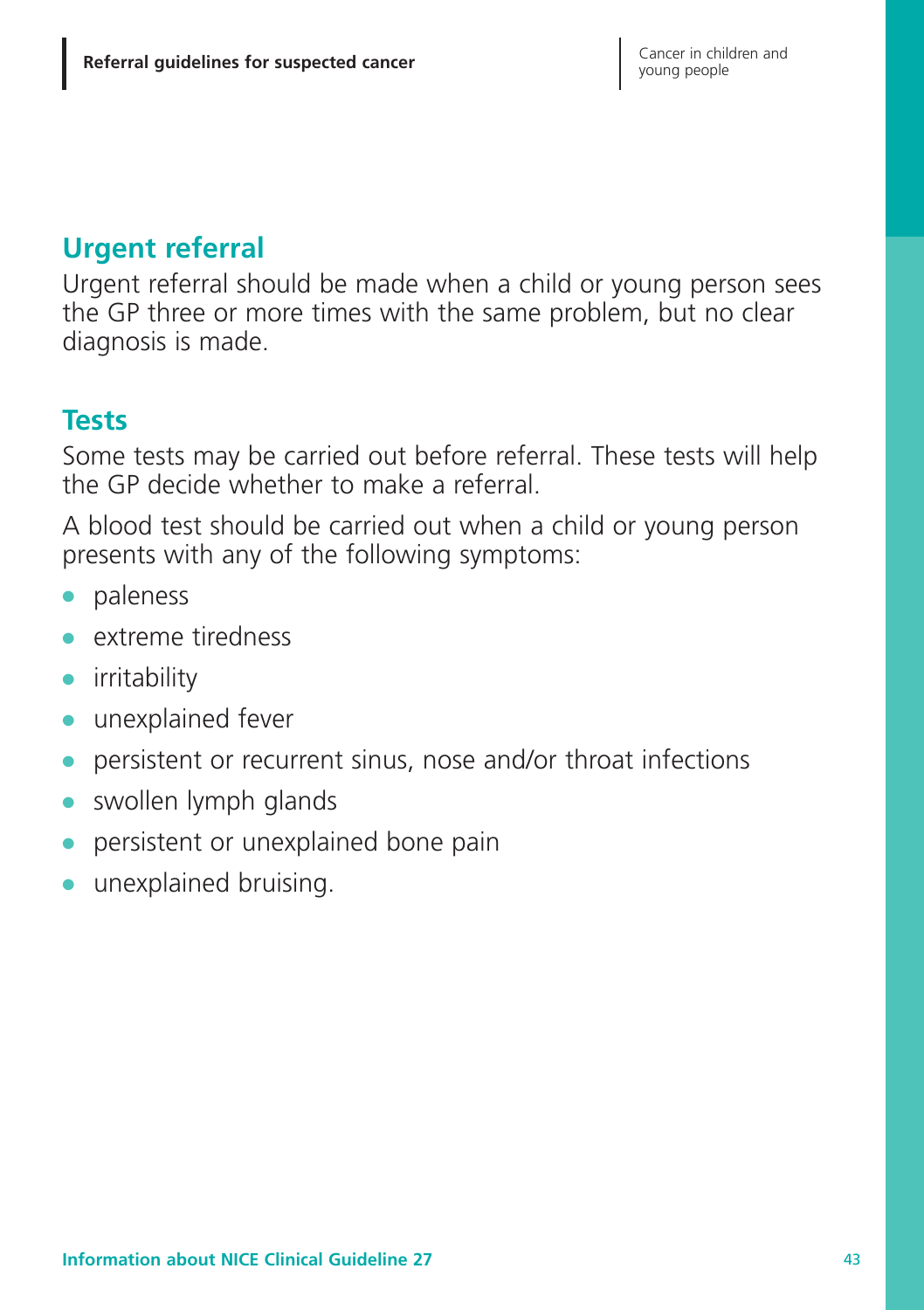## **Urgent referral**

Urgent referral should be made when a child or young person sees the GP three or more times with the same problem, but no clear diagnosis is made.

### **Tests**

Some tests may be carried out before referral. These tests will help the GP decide whether to make a referral.

A blood test should be carried out when a child or young person presents with any of the following symptoms:

- **●** paleness
- **●** extreme tiredness
- **●** irritability
- **●** unexplained fever
- persistent or recurrent sinus, nose and/or throat infections
- swollen lymph glands
- **●** persistent or unexplained bone pain
- **●** unexplained bruising.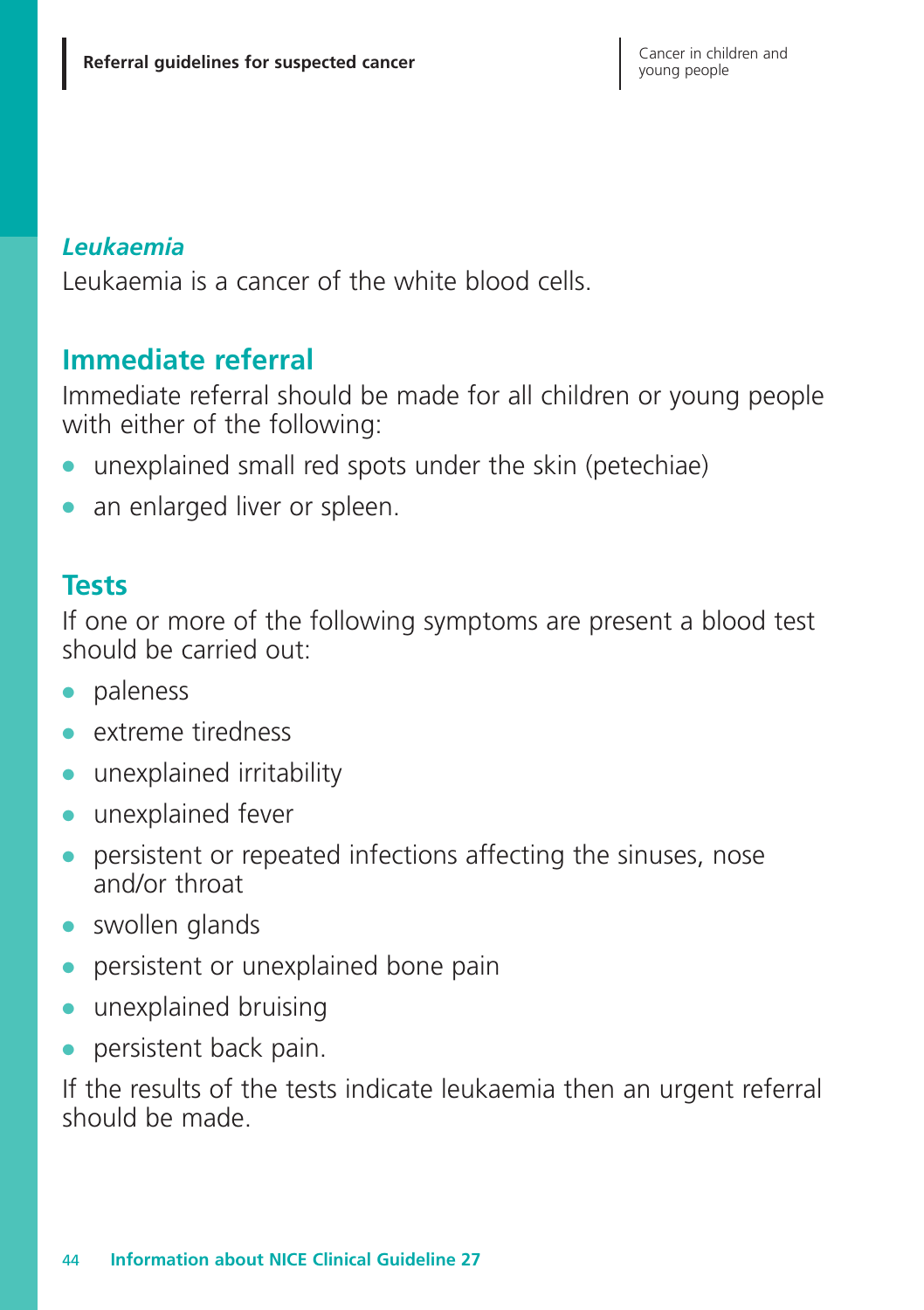#### *Leukaemia*

Leukaemia is a cancer of the white blood cells.

### **Immediate referral**

Immediate referral should be made for all children or young people with either of the following:

- **●** unexplained small red spots under the skin (petechiae)
- an enlarged liver or spleen.

#### **Tests**

If one or more of the following symptoms are present a blood test should be carried out:

- **●** paleness
- **●** extreme tiredness
- **●** unexplained irritability
- **●** unexplained fever
- **●** persistent or repeated infections affecting the sinuses, nose and/or throat
- **●** swollen glands
- **●** persistent or unexplained bone pain
- **●** unexplained bruising
- **●** persistent back pain.

If the results of the tests indicate leukaemia then an urgent referral should be made.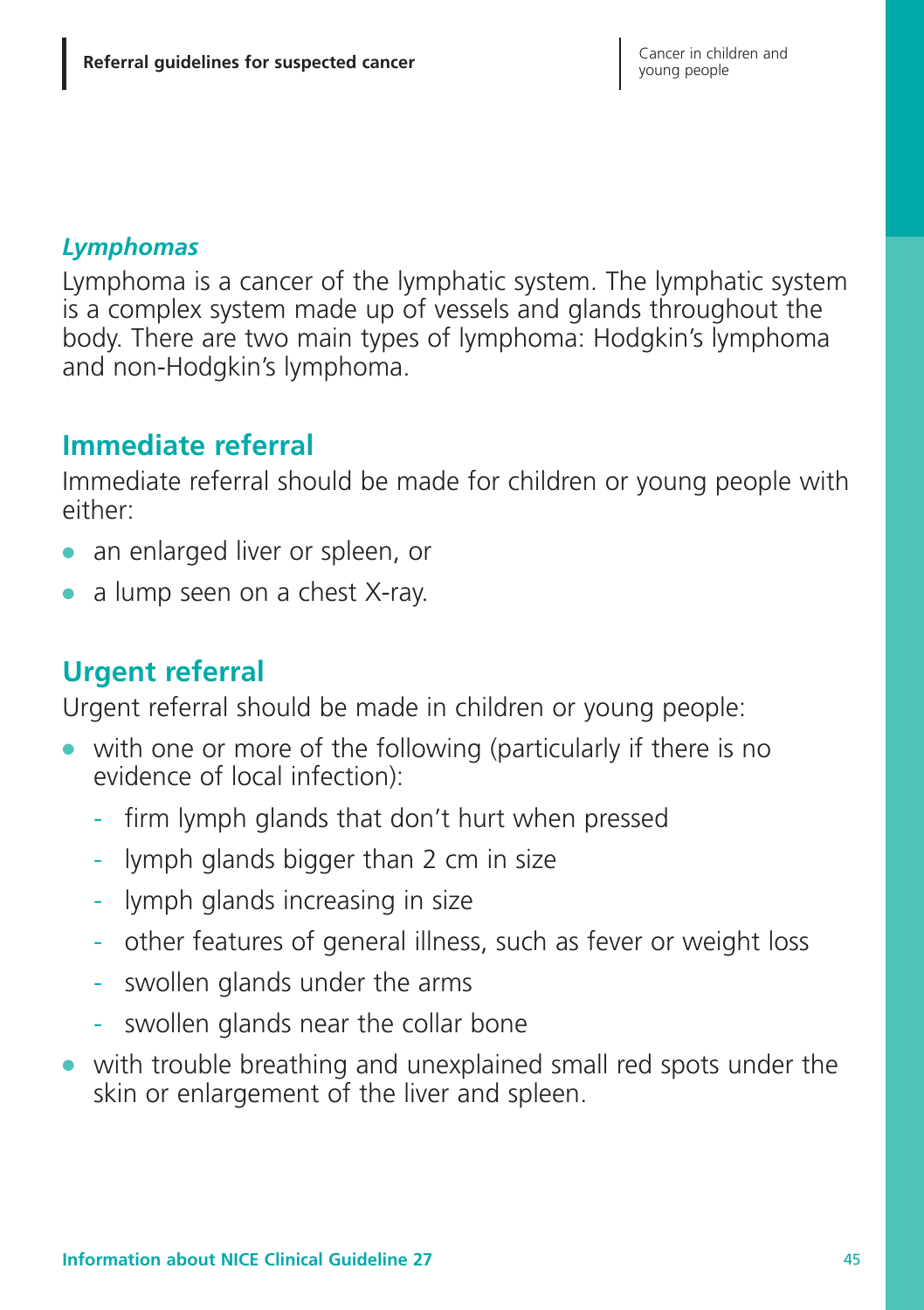#### *Lymphomas*

Lymphoma is a cancer of the lymphatic system. The lymphatic system is a complex system made up of vessels and glands throughout the body. There are two main types of lymphoma: Hodgkin's lymphoma and non-Hodgkin's lymphoma.

# **Immediate referral**

Immediate referral should be made for children or young people with either:

- **●** an enlarged liver or spleen, or
- **●** a lump seen on a chest X-ray.

# **Urgent referral**

Urgent referral should be made in children or young people:

- **●** with one or more of the following (particularly if there is no evidence of local infection):
	- firm lymph glands that don't hurt when pressed
	- lymph glands bigger than 2 cm in size
	- lymph glands increasing in size
	- other features of general illness, such as fever or weight loss
	- swollen glands under the arms
	- swollen glands near the collar bone
- **●** with trouble breathing and unexplained small red spots under the skin or enlargement of the liver and spleen.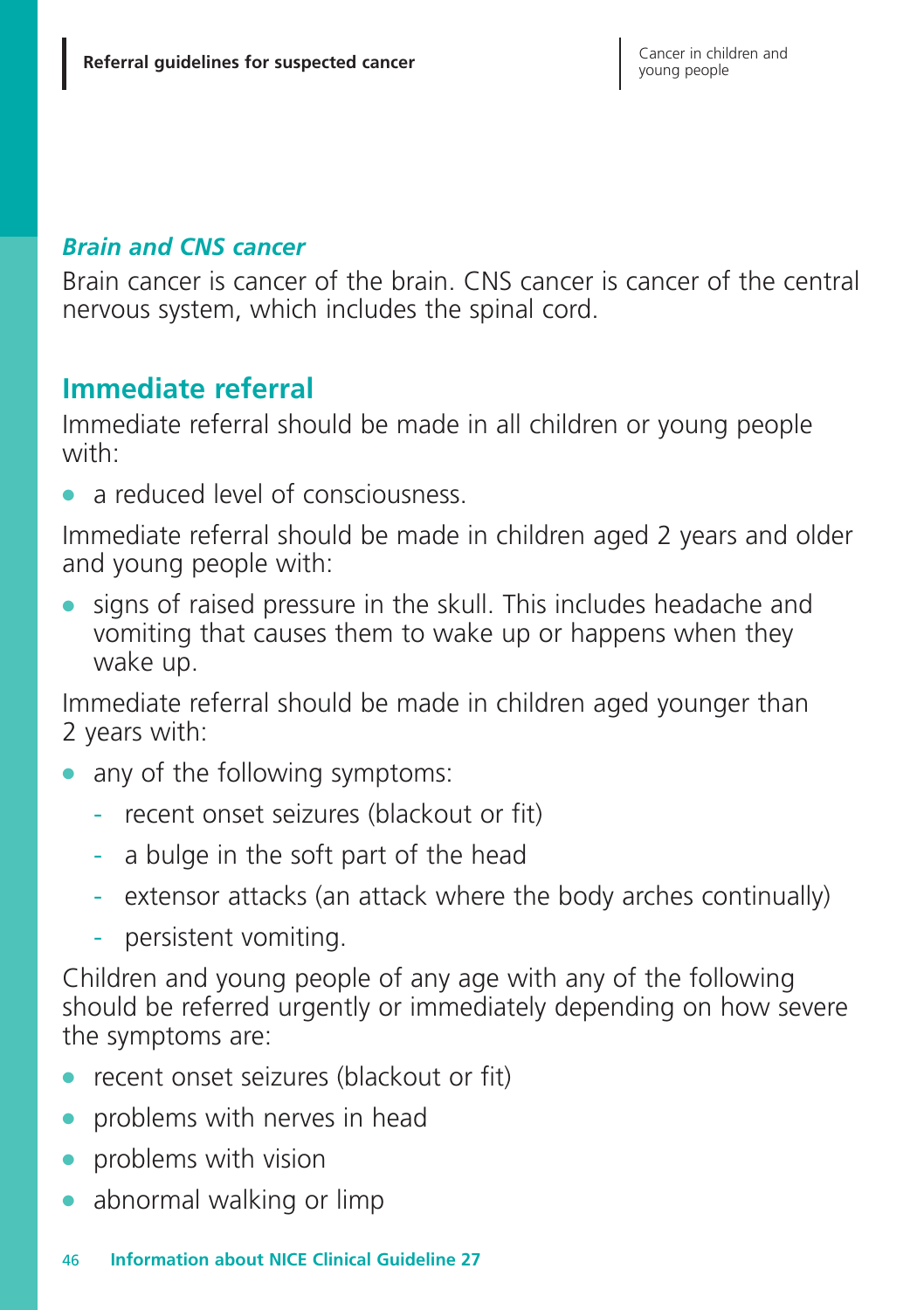#### *Brain and CNS cancer*

Brain cancer is cancer of the brain. CNS cancer is cancer of the central nervous system, which includes the spinal cord.

# **Immediate referral**

Immediate referral should be made in all children or young people with:

**●** a reduced level of consciousness.

Immediate referral should be made in children aged 2 years and older and young people with:

signs of raised pressure in the skull. This includes headache and vomiting that causes them to wake up or happens when they wake up.

Immediate referral should be made in children aged younger than 2 years with:

- **●** any of the following symptoms:
	- recent onset seizures (blackout or fit)
	- a bulge in the soft part of the head
	- extensor attacks (an attack where the body arches continually)
	- persistent vomiting.

Children and young people of any age with any of the following should be referred urgently or immediately depending on how severe the symptoms are:

- recent onset seizures (blackout or fit)
- problems with nerves in head
- **●** problems with vision
- **●** abnormal walking or limp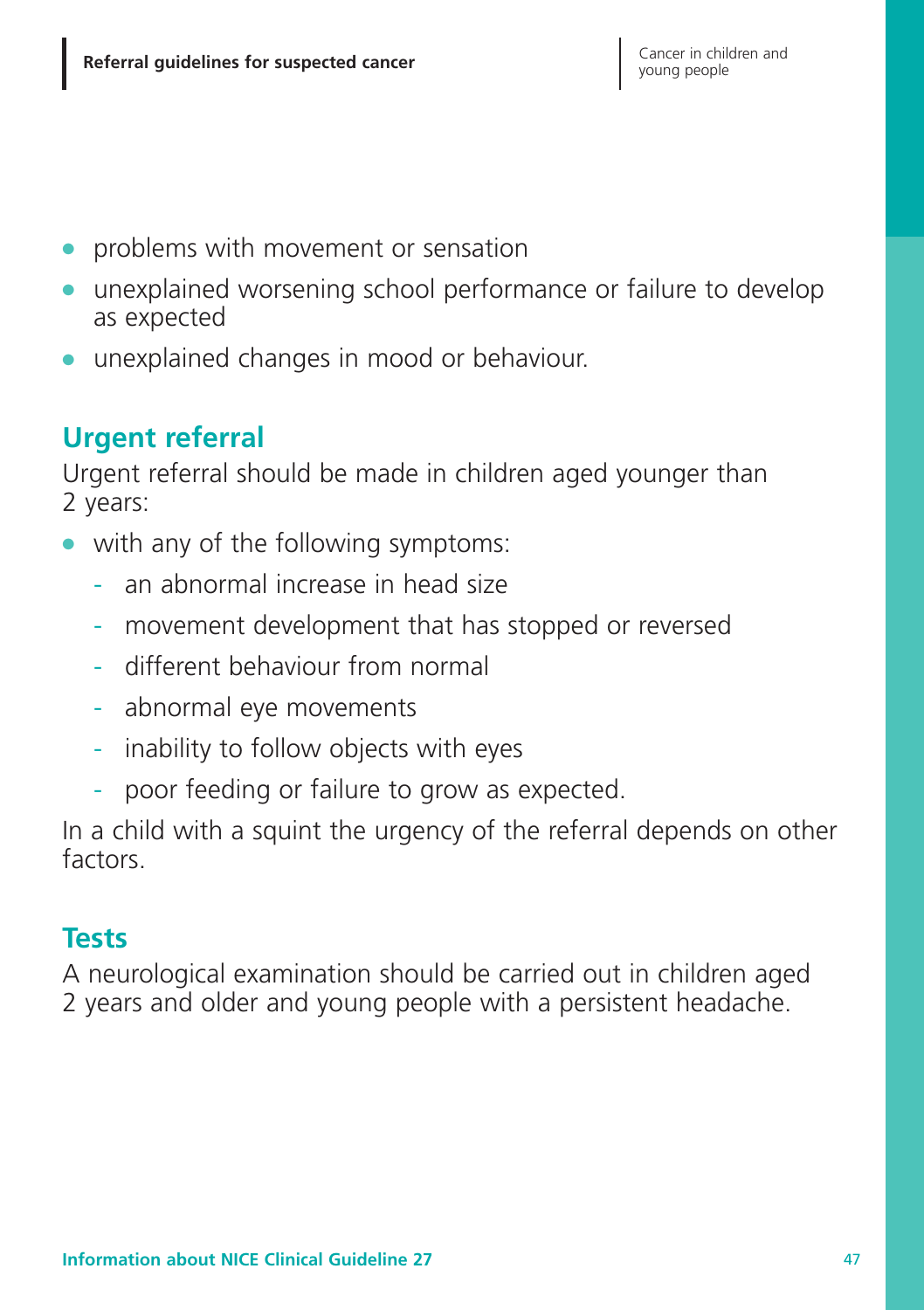- **●** problems with movement or sensation
- unexplained worsening school performance or failure to develop as expected
- **●** unexplained changes in mood or behaviour.

# **Urgent referral**

Urgent referral should be made in children aged younger than 2 years:

- **●** with any of the following symptoms:
	- an abnormal increase in head size
	- movement development that has stopped or reversed
	- different behaviour from normal
	- abnormal eye movements
	- inability to follow objects with eyes
	- poor feeding or failure to grow as expected.

In a child with a squint the urgency of the referral depends on other factors

### **Tests**

A neurological examination should be carried out in children aged 2 years and older and young people with a persistent headache.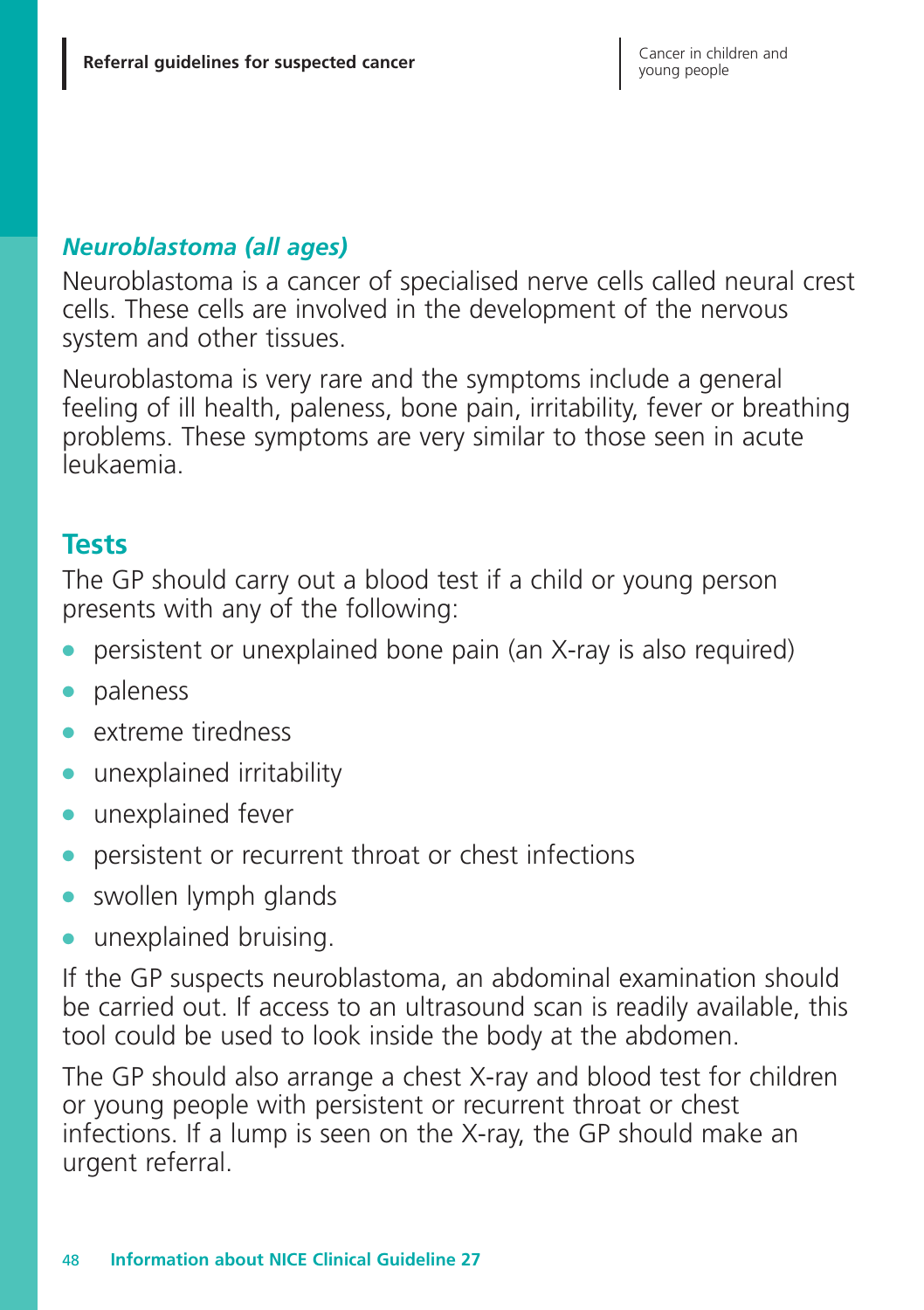#### *Neuroblastoma (all ages)*

Neuroblastoma is a cancer of specialised nerve cells called neural crest cells. These cells are involved in the development of the nervous system and other tissues.

Neuroblastoma is very rare and the symptoms include a general feeling of ill health, paleness, bone pain, irritability, fever or breathing problems. These symptoms are very similar to those seen in acute leukaemia.

### **Tests**

The GP should carry out a blood test if a child or young person presents with any of the following:

- **●** persistent or unexplained bone pain (an X-ray is also required)
- **●** paleness
- **●** extreme tiredness
- **●** unexplained irritability
- **●** unexplained fever
- **●** persistent or recurrent throat or chest infections
- **●** swollen lymph glands
- **●** unexplained bruising.

If the GP suspects neuroblastoma, an abdominal examination should be carried out. If access to an ultrasound scan is readily available, this tool could be used to look inside the body at the abdomen.

The GP should also arrange a chest X-ray and blood test for children or young people with persistent or recurrent throat or chest infections. If a lump is seen on the X-ray, the GP should make an urgent referral.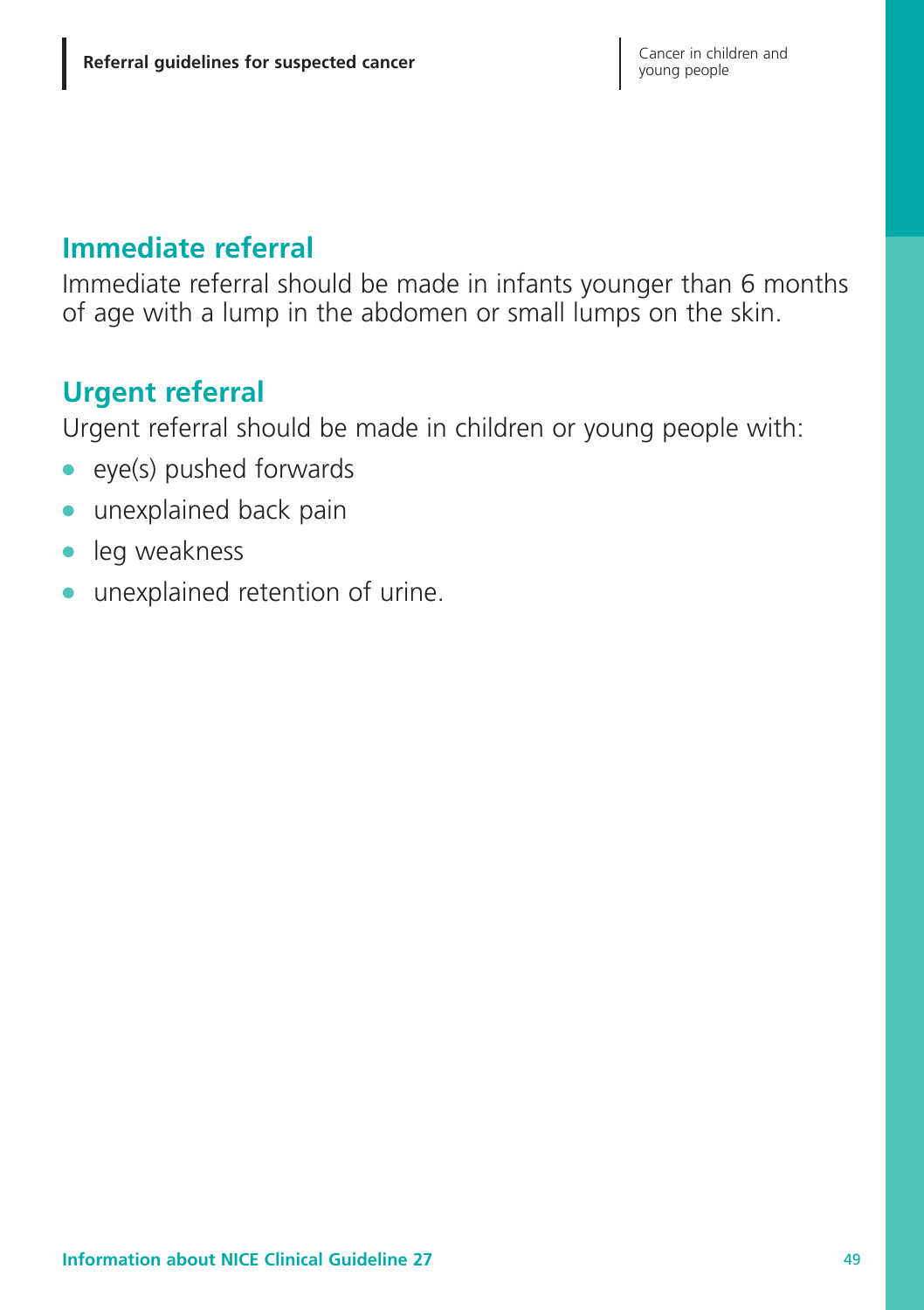## **Immediate referral**

Immediate referral should be made in infants younger than 6 months of age with a lump in the abdomen or small lumps on the skin.

# **Urgent referral**

Urgent referral should be made in children or young people with:

- **●** eye(s) pushed forwards
- **●** unexplained back pain
- **●** leg weakness
- **●** unexplained retention of urine.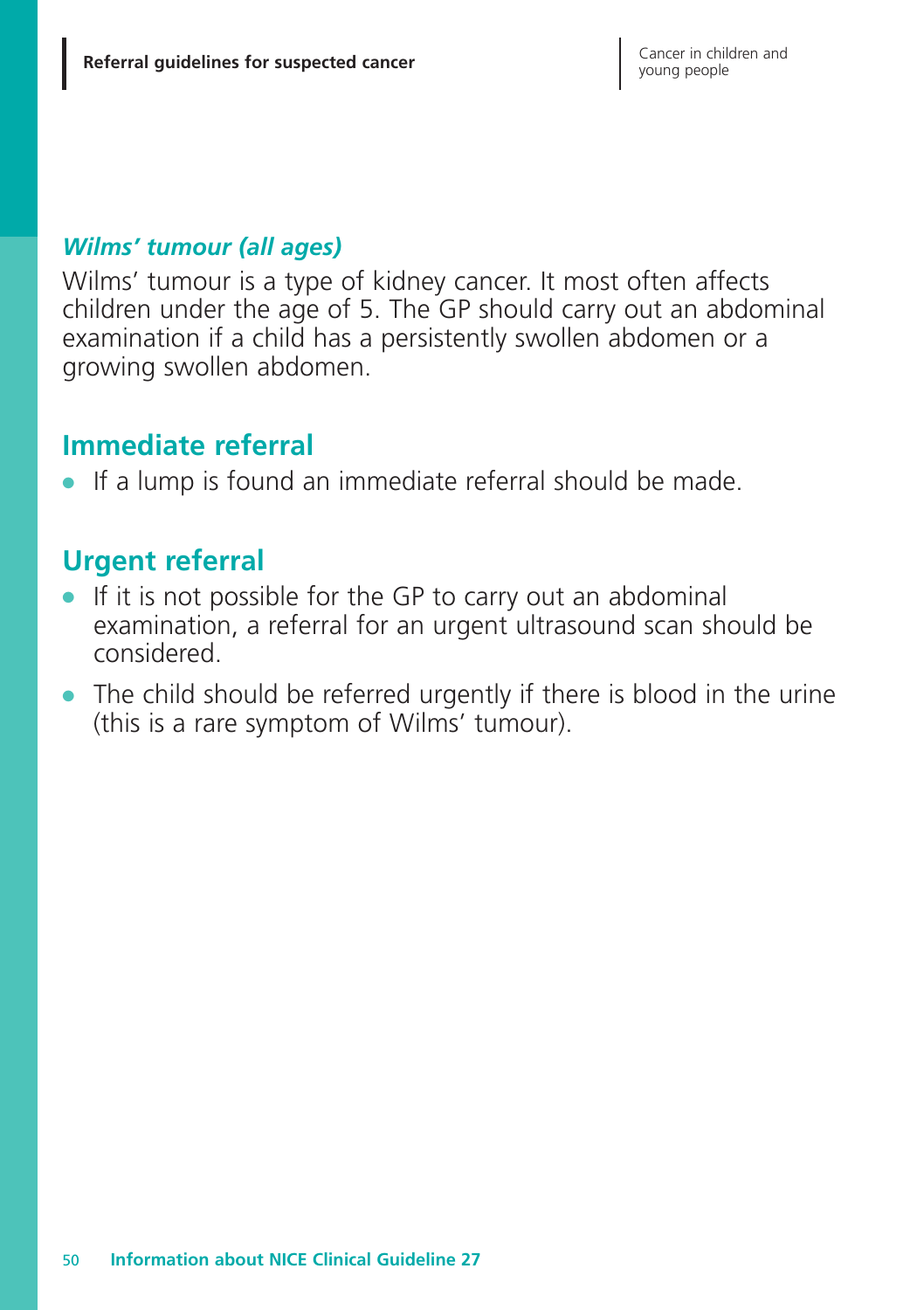#### *Wilms' tumour (all ages)*

Wilms' tumour is a type of kidney cancer. It most often affects children under the age of 5. The GP should carry out an abdominal examination if a child has a persistently swollen abdomen or a growing swollen abdomen.

### **Immediate referral**

**●** If a lump is found an immediate referral should be made.

### **Urgent referral**

- **●** If it is not possible for the GP to carry out an abdominal examination, a referral for an urgent ultrasound scan should be considered.
- **●** The child should be referred urgently if there is blood in the urine (this is a rare symptom of Wilms' tumour).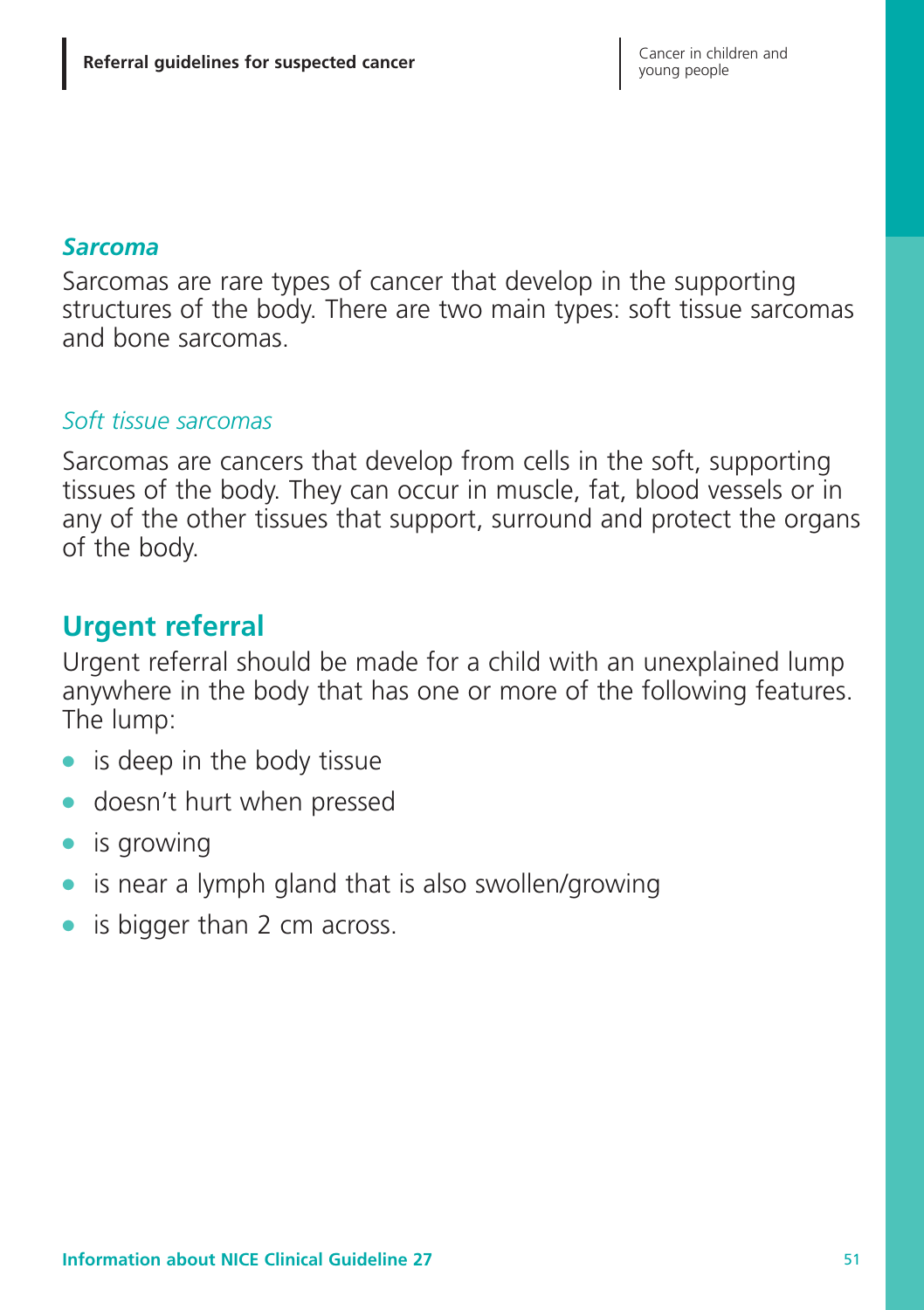#### *Sarcoma*

Sarcomas are rare types of cancer that develop in the supporting structures of the body. There are two main types: soft tissue sarcomas and bone sarcomas.

#### *Soft tissue sarcomas*

Sarcomas are cancers that develop from cells in the soft, supporting tissues of the body. They can occur in muscle, fat, blood vessels or in any of the other tissues that support, surround and protect the organs of the body.

### **Urgent referral**

Urgent referral should be made for a child with an unexplained lump anywhere in the body that has one or more of the following features. The lump:

- **●** is deep in the body tissue
- **●** doesn't hurt when pressed
- **●** is growing
- **●** is near a lymph gland that is also swollen/growing
- **●** is bigger than 2 cm across.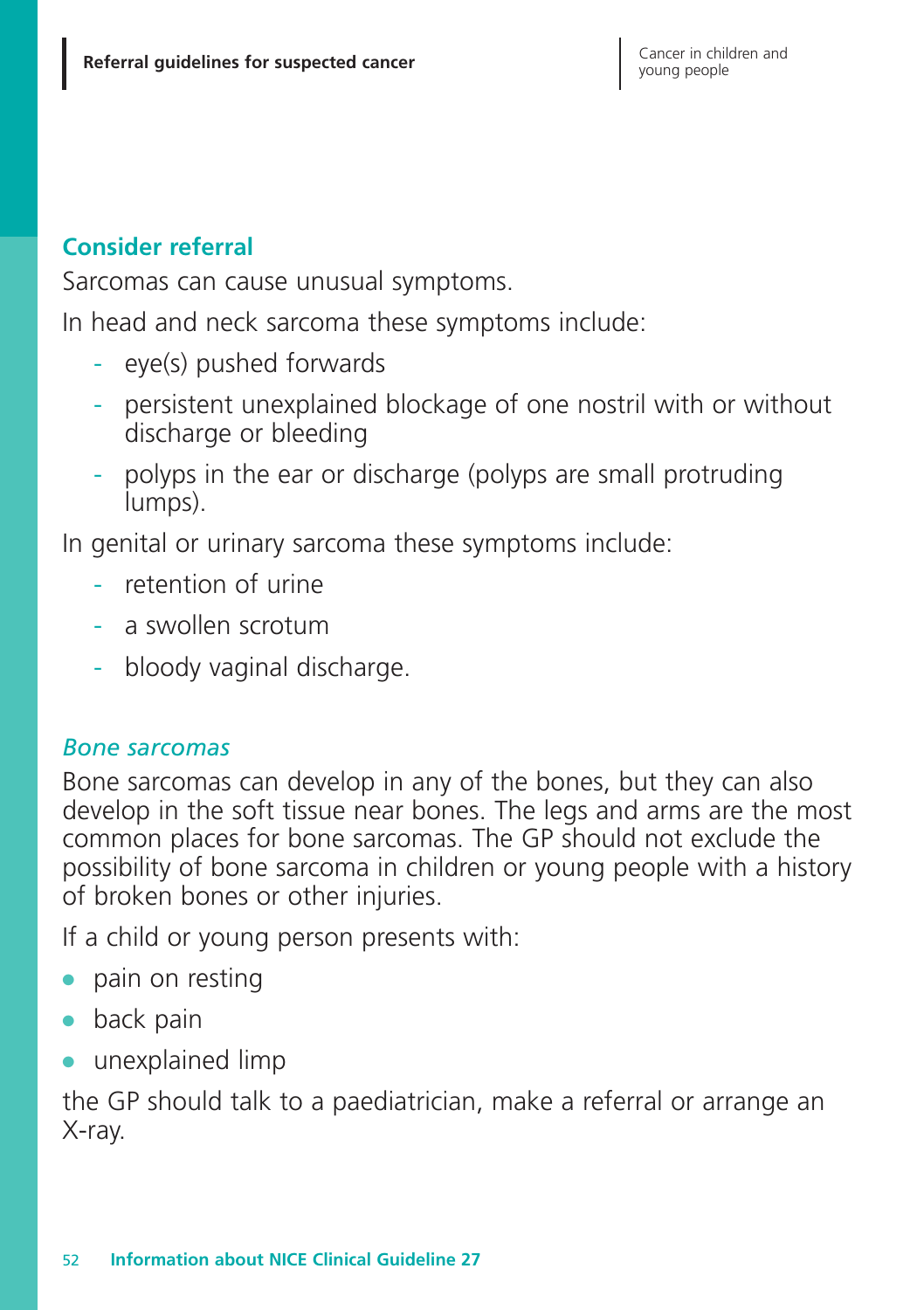#### **Consider referral**

Sarcomas can cause unusual symptoms.

In head and neck sarcoma these symptoms include:

- eye(s) pushed forwards
- persistent unexplained blockage of one nostril with or without discharge or bleeding
- polyps in the ear or discharge (polyps are small protruding lumps).

In genital or urinary sarcoma these symptoms include:

- retention of urine
- a swollen scrotum
- bloody vaginal discharge.

#### *Bone sarcomas*

Bone sarcomas can develop in any of the bones, but they can also develop in the soft tissue near bones. The legs and arms are the most common places for bone sarcomas. The GP should not exclude the possibility of bone sarcoma in children or young people with a history of broken bones or other injuries.

If a child or young person presents with:

- **●** pain on resting
- **●** back pain
- **●** unexplained limp

the GP should talk to a paediatrician, make a referral or arrange an X-ray.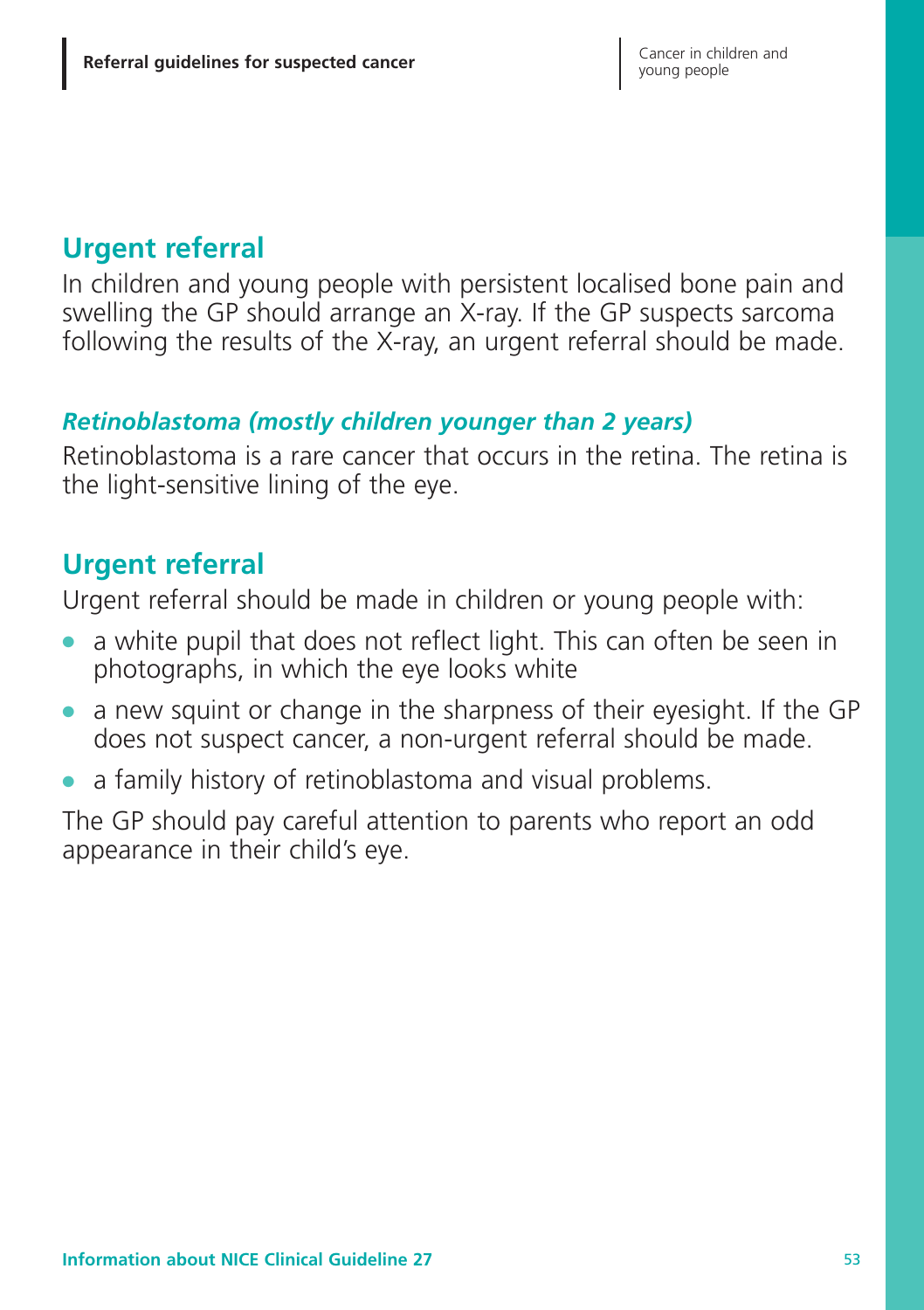# **Urgent referral**

In children and young people with persistent localised bone pain and swelling the GP should arrange an X-ray. If the GP suspects sarcoma following the results of the X-ray, an urgent referral should be made.

#### *Retinoblastoma (mostly children younger than 2 years)*

Retinoblastoma is a rare cancer that occurs in the retina. The retina is the light-sensitive lining of the eye.

## **Urgent referral**

Urgent referral should be made in children or young people with:

- **●** a white pupil that does not reflect light. This can often be seen in photographs, in which the eye looks white
- **●** a new squint or change in the sharpness of their eyesight. If the GP does not suspect cancer, a non-urgent referral should be made.
- **●** a family history of retinoblastoma and visual problems.

The GP should pay careful attention to parents who report an odd appearance in their child's eye.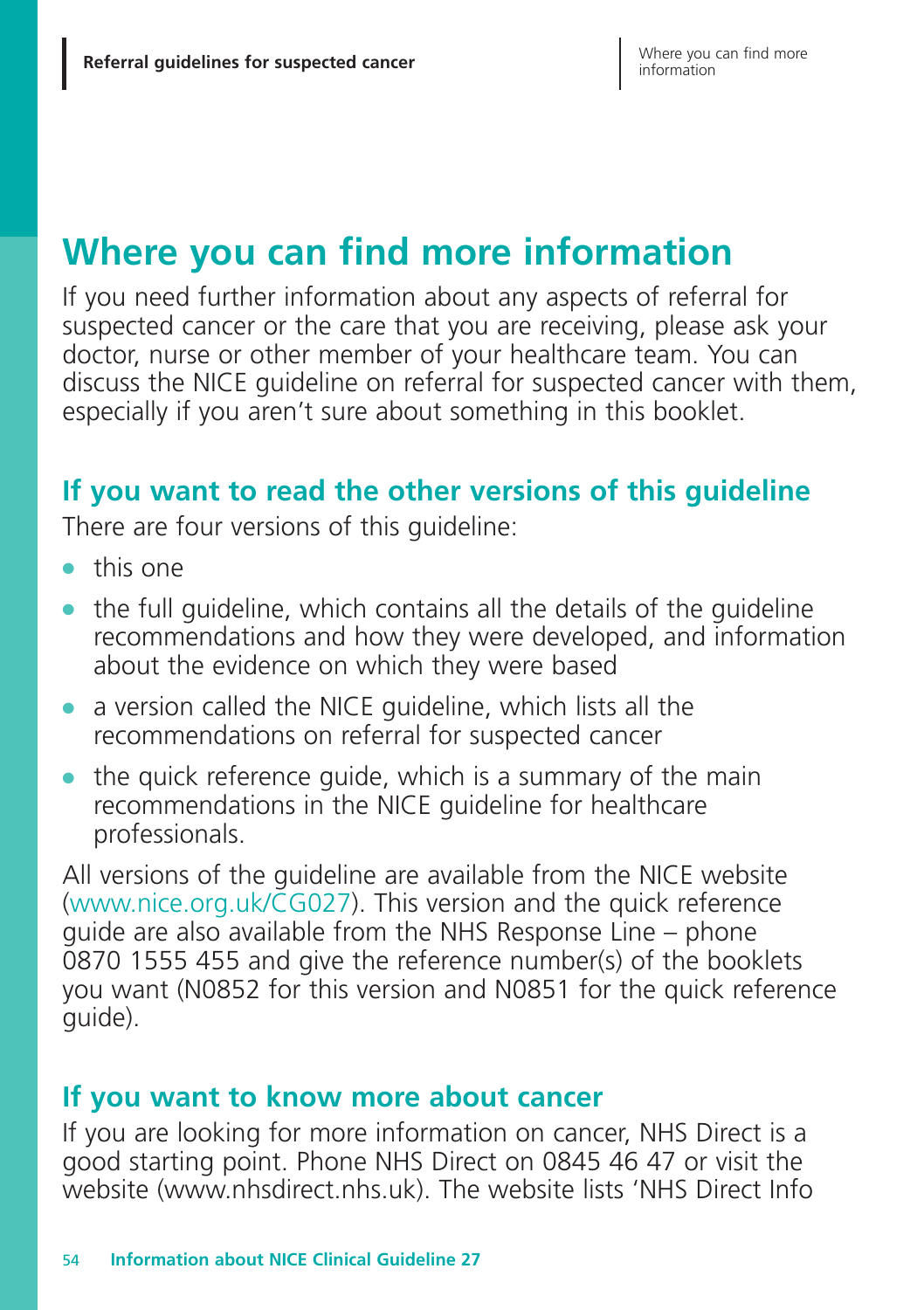# **Where you can find more information**

If you need further information about any aspects of referral for suspected cancer or the care that you are receiving, please ask your doctor, nurse or other member of your healthcare team. You can discuss the NICE guideline on referral for suspected cancer with them, especially if you aren't sure about something in this booklet.

## **If you want to read the other versions of this guideline**

There are four versions of this guideline:

- **●** this one
- **●** the full guideline, which contains all the details of the guideline recommendations and how they were developed, and information about the evidence on which they were based
- **●** a version called the NICE guideline, which lists all the recommendations on referral for suspected cancer
- **●** the quick reference guide, which is a summary of the main recommendations in the NICE guideline for healthcare professionals.

All versions of the guideline are available from the NICE website (www.nice.org.uk/CG027). This version and the quick reference guide are also available from the NHS Response Line – phone 0870 1555 455 and give the reference number(s) of the booklets you want (N0852 for this version and N0851 for the quick reference quide).

### **If you want to know more about cancer**

If you are looking for more information on cancer, NHS Direct is a good starting point. Phone NHS Direct on 0845 46 47 or visit the website (www.nhsdirect.nhs.uk). The website lists 'NHS Direct Info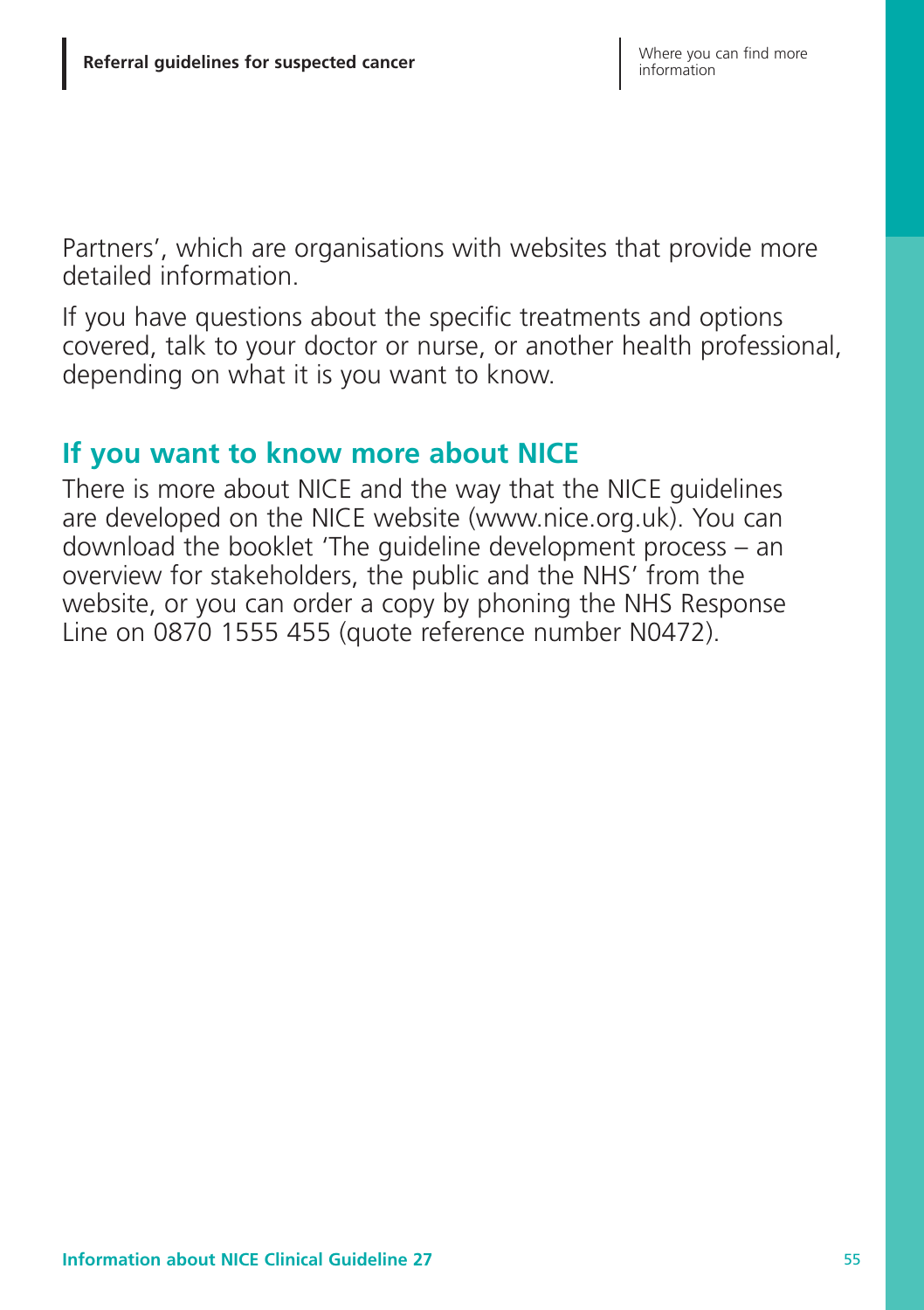Partners', which are organisations with websites that provide more detailed information.

If you have questions about the specific treatments and options covered, talk to your doctor or nurse, or another health professional, depending on what it is you want to know.

### **If you want to know more about NICE**

There is more about NICE and the way that the NICE guidelines are developed on the NICE website (www.nice.org.uk). You can download the booklet 'The guideline development process – an overview for stakeholders, the public and the NHS' from the website, or you can order a copy by phoning the NHS Response Line on 0870 1555 455 (quote reference number N0472).